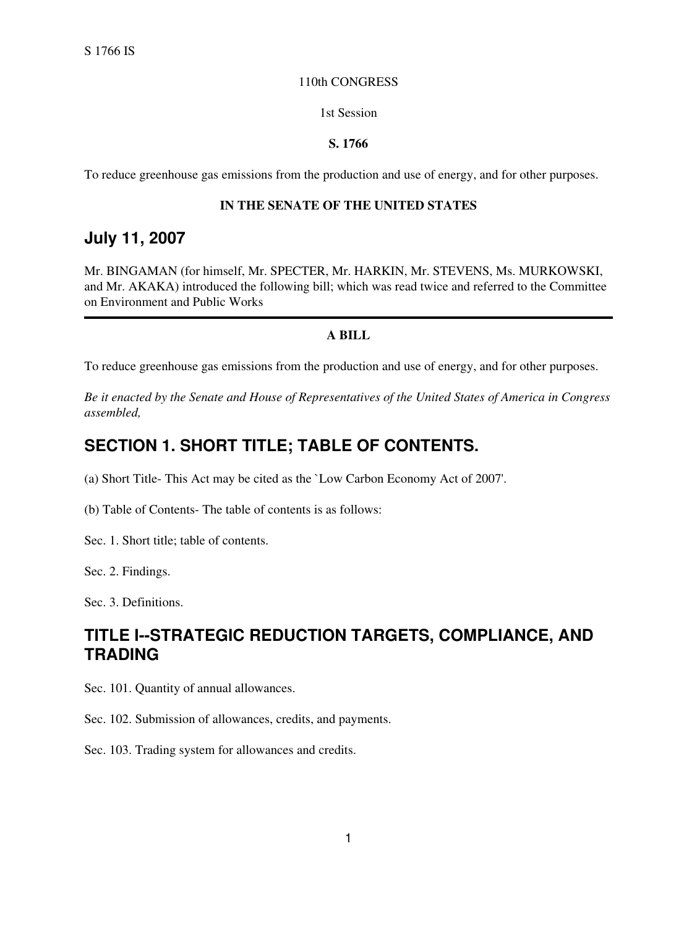#### 110th CONGRESS

#### 1st Session

#### **S. 1766**

To reduce greenhouse gas emissions from the production and use of energy, and for other purposes.

#### **IN THE SENATE OF THE UNITED STATES**

### **July 11, 2007**

Mr. BINGAMAN (for himself, Mr. SPECTER, Mr. HARKIN, Mr. STEVENS, Ms. MURKOWSKI, and Mr. AKAKA) introduced the following bill; which was read twice and referred to the Committee on Environment and Public Works

#### **A BILL**

To reduce greenhouse gas emissions from the production and use of energy, and for other purposes.

*Be it enacted by the Senate and House of Representatives of the United States of America in Congress assembled,*

### **SECTION 1. SHORT TITLE; TABLE OF CONTENTS.**

(a) Short Title- This Act may be cited as the `Low Carbon Economy Act of 2007'.

(b) Table of Contents- The table of contents is as follows:

Sec. 1. Short title; table of contents.

Sec. 2. Findings.

Sec. 3. Definitions.

## **TITLE I--STRATEGIC REDUCTION TARGETS, COMPLIANCE, AND TRADING**

Sec. 101. Quantity of annual allowances.

Sec. 102. Submission of allowances, credits, and payments.

Sec. 103. Trading system for allowances and credits.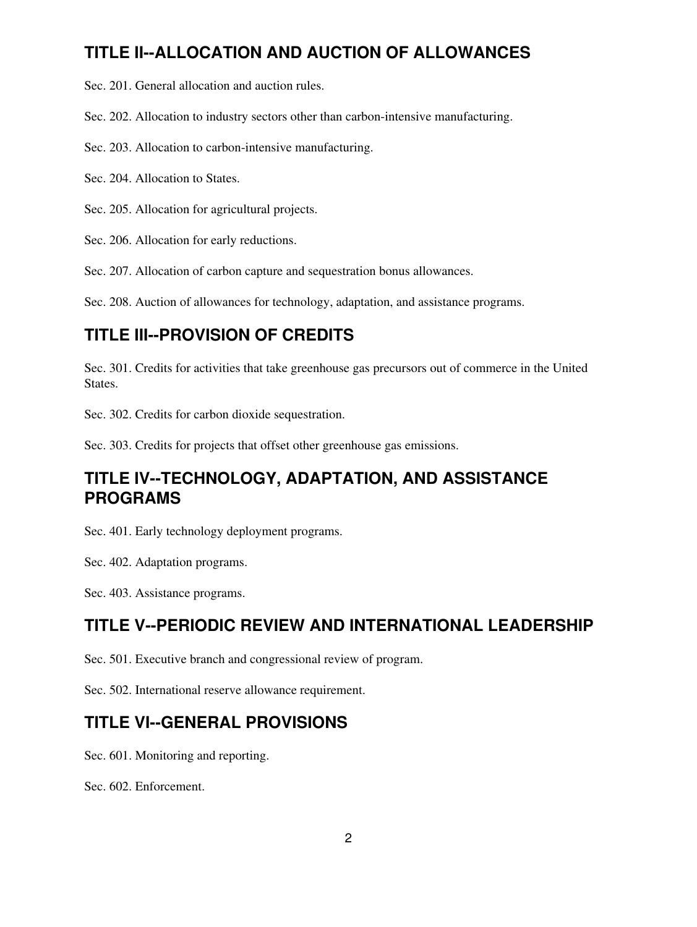# **TITLE II--ALLOCATION AND AUCTION OF ALLOWANCES**

Sec. 201. General allocation and auction rules.

Sec. 202. Allocation to industry sectors other than carbon-intensive manufacturing.

Sec. 203. Allocation to carbon-intensive manufacturing.

Sec. 204. Allocation to States.

Sec. 205. Allocation for agricultural projects.

Sec. 206. Allocation for early reductions.

Sec. 207. Allocation of carbon capture and sequestration bonus allowances.

Sec. 208. Auction of allowances for technology, adaptation, and assistance programs.

### **TITLE III--PROVISION OF CREDITS**

Sec. 301. Credits for activities that take greenhouse gas precursors out of commerce in the United States.

Sec. 302. Credits for carbon dioxide sequestration.

Sec. 303. Credits for projects that offset other greenhouse gas emissions.

## **TITLE IV--TECHNOLOGY, ADAPTATION, AND ASSISTANCE PROGRAMS**

Sec. 401. Early technology deployment programs.

Sec. 402. Adaptation programs.

Sec. 403. Assistance programs.

### **TITLE V--PERIODIC REVIEW AND INTERNATIONAL LEADERSHIP**

Sec. 501. Executive branch and congressional review of program.

Sec. 502. International reserve allowance requirement.

### **TITLE VI--GENERAL PROVISIONS**

Sec. 601. Monitoring and reporting.

Sec. 602. Enforcement.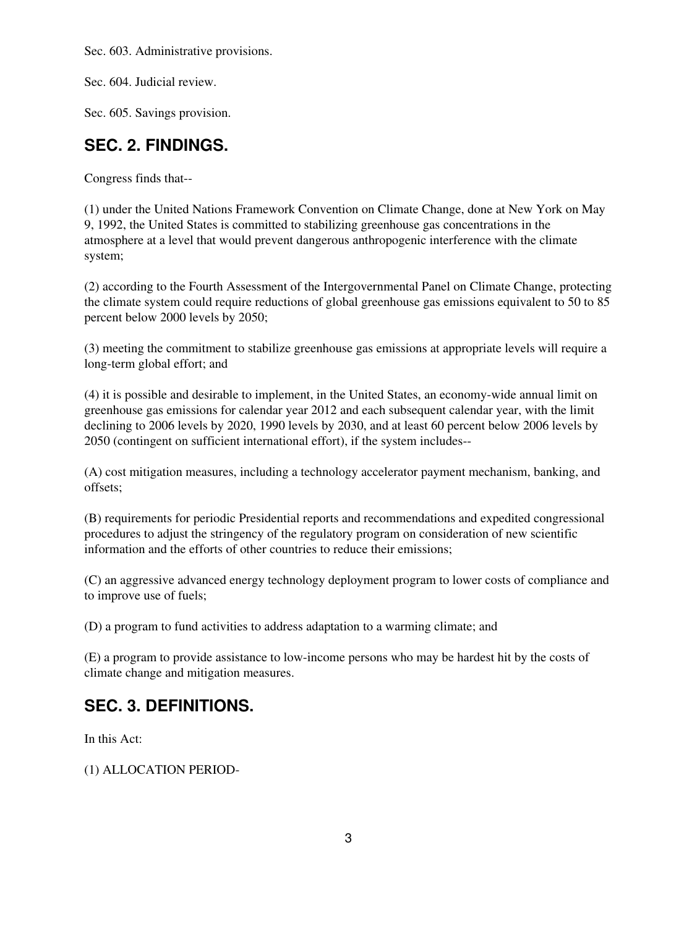Sec. 603. Administrative provisions.

Sec. 604. Judicial review.

Sec. 605. Savings provision.

### **SEC. 2. FINDINGS.**

Congress finds that--

(1) under the United Nations Framework Convention on Climate Change, done at New York on May 9, 1992, the United States is committed to stabilizing greenhouse gas concentrations in the atmosphere at a level that would prevent dangerous anthropogenic interference with the climate system;

(2) according to the Fourth Assessment of the Intergovernmental Panel on Climate Change, protecting the climate system could require reductions of global greenhouse gas emissions equivalent to 50 to 85 percent below 2000 levels by 2050;

(3) meeting the commitment to stabilize greenhouse gas emissions at appropriate levels will require a long-term global effort; and

(4) it is possible and desirable to implement, in the United States, an economy-wide annual limit on greenhouse gas emissions for calendar year 2012 and each subsequent calendar year, with the limit declining to 2006 levels by 2020, 1990 levels by 2030, and at least 60 percent below 2006 levels by 2050 (contingent on sufficient international effort), if the system includes--

(A) cost mitigation measures, including a technology accelerator payment mechanism, banking, and offsets;

(B) requirements for periodic Presidential reports and recommendations and expedited congressional procedures to adjust the stringency of the regulatory program on consideration of new scientific information and the efforts of other countries to reduce their emissions;

(C) an aggressive advanced energy technology deployment program to lower costs of compliance and to improve use of fuels;

(D) a program to fund activities to address adaptation to a warming climate; and

(E) a program to provide assistance to low-income persons who may be hardest hit by the costs of climate change and mitigation measures.

# **SEC. 3. DEFINITIONS.**

In this Act:

(1) ALLOCATION PERIOD-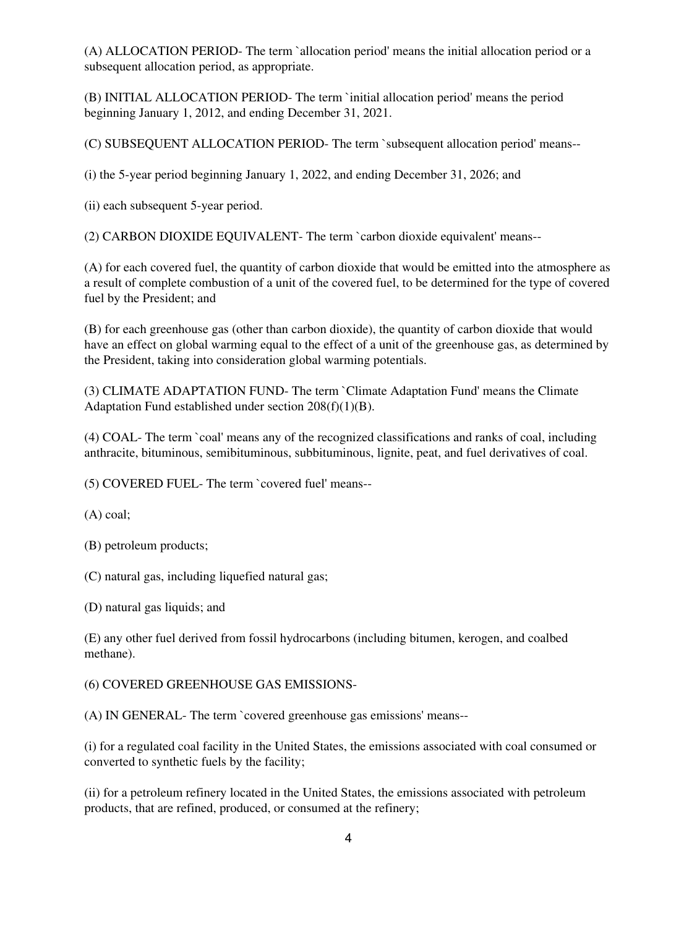(A) ALLOCATION PERIOD- The term `allocation period' means the initial allocation period or a subsequent allocation period, as appropriate.

(B) INITIAL ALLOCATION PERIOD- The term `initial allocation period' means the period beginning January 1, 2012, and ending December 31, 2021.

(C) SUBSEQUENT ALLOCATION PERIOD- The term `subsequent allocation period' means--

(i) the 5-year period beginning January 1, 2022, and ending December 31, 2026; and

(ii) each subsequent 5-year period.

(2) CARBON DIOXIDE EQUIVALENT- The term `carbon dioxide equivalent' means--

(A) for each covered fuel, the quantity of carbon dioxide that would be emitted into the atmosphere as a result of complete combustion of a unit of the covered fuel, to be determined for the type of covered fuel by the President; and

(B) for each greenhouse gas (other than carbon dioxide), the quantity of carbon dioxide that would have an effect on global warming equal to the effect of a unit of the greenhouse gas, as determined by the President, taking into consideration global warming potentials.

(3) CLIMATE ADAPTATION FUND- The term `Climate Adaptation Fund' means the Climate Adaptation Fund established under section 208(f)(1)(B).

(4) COAL- The term `coal' means any of the recognized classifications and ranks of coal, including anthracite, bituminous, semibituminous, subbituminous, lignite, peat, and fuel derivatives of coal.

(5) COVERED FUEL- The term `covered fuel' means--

(A) coal;

(B) petroleum products;

(C) natural gas, including liquefied natural gas;

(D) natural gas liquids; and

(E) any other fuel derived from fossil hydrocarbons (including bitumen, kerogen, and coalbed methane).

#### (6) COVERED GREENHOUSE GAS EMISSIONS-

(A) IN GENERAL- The term `covered greenhouse gas emissions' means--

(i) for a regulated coal facility in the United States, the emissions associated with coal consumed or converted to synthetic fuels by the facility;

(ii) for a petroleum refinery located in the United States, the emissions associated with petroleum products, that are refined, produced, or consumed at the refinery;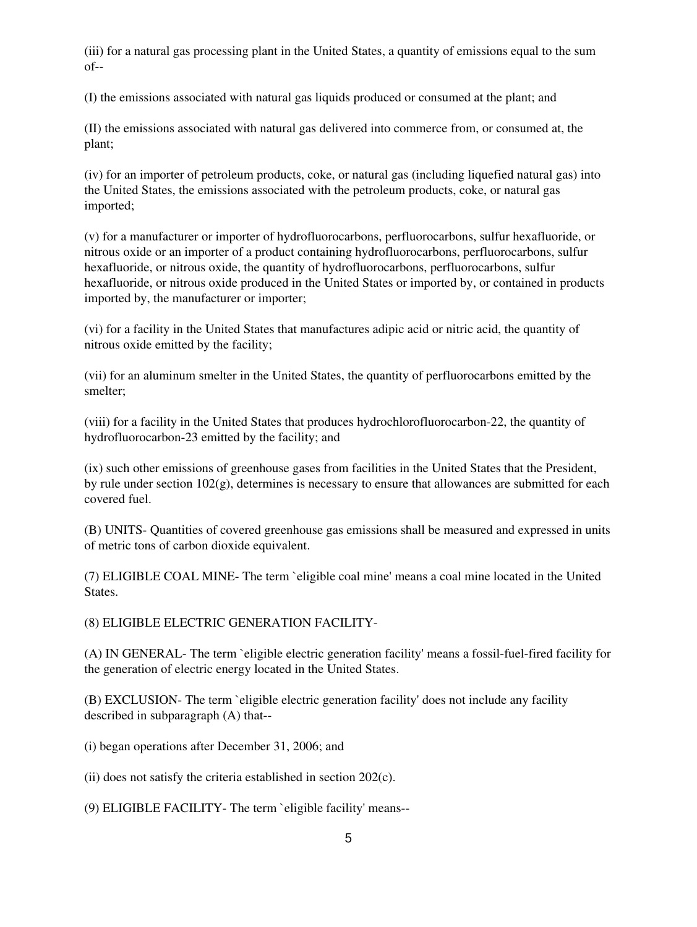(iii) for a natural gas processing plant in the United States, a quantity of emissions equal to the sum  $of--$ 

(I) the emissions associated with natural gas liquids produced or consumed at the plant; and

(II) the emissions associated with natural gas delivered into commerce from, or consumed at, the plant;

(iv) for an importer of petroleum products, coke, or natural gas (including liquefied natural gas) into the United States, the emissions associated with the petroleum products, coke, or natural gas imported;

(v) for a manufacturer or importer of hydrofluorocarbons, perfluorocarbons, sulfur hexafluoride, or nitrous oxide or an importer of a product containing hydrofluorocarbons, perfluorocarbons, sulfur hexafluoride, or nitrous oxide, the quantity of hydrofluorocarbons, perfluorocarbons, sulfur hexafluoride, or nitrous oxide produced in the United States or imported by, or contained in products imported by, the manufacturer or importer;

(vi) for a facility in the United States that manufactures adipic acid or nitric acid, the quantity of nitrous oxide emitted by the facility;

(vii) for an aluminum smelter in the United States, the quantity of perfluorocarbons emitted by the smelter;

(viii) for a facility in the United States that produces hydrochlorofluorocarbon-22, the quantity of hydrofluorocarbon-23 emitted by the facility; and

(ix) such other emissions of greenhouse gases from facilities in the United States that the President, by rule under section 102(g), determines is necessary to ensure that allowances are submitted for each covered fuel.

(B) UNITS- Quantities of covered greenhouse gas emissions shall be measured and expressed in units of metric tons of carbon dioxide equivalent.

(7) ELIGIBLE COAL MINE- The term `eligible coal mine' means a coal mine located in the United States.

(8) ELIGIBLE ELECTRIC GENERATION FACILITY-

(A) IN GENERAL- The term `eligible electric generation facility' means a fossil-fuel-fired facility for the generation of electric energy located in the United States.

(B) EXCLUSION- The term `eligible electric generation facility' does not include any facility described in subparagraph (A) that--

(i) began operations after December 31, 2006; and

(ii) does not satisfy the criteria established in section 202(c).

(9) ELIGIBLE FACILITY- The term `eligible facility' means--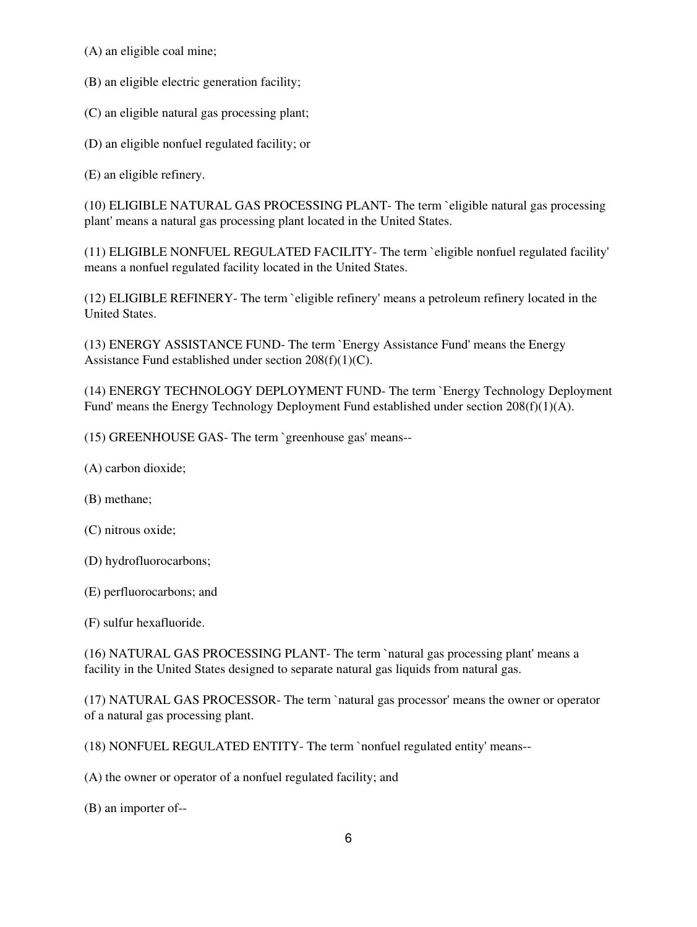(A) an eligible coal mine;

(B) an eligible electric generation facility;

(C) an eligible natural gas processing plant;

(D) an eligible nonfuel regulated facility; or

(E) an eligible refinery.

(10) ELIGIBLE NATURAL GAS PROCESSING PLANT- The term `eligible natural gas processing plant' means a natural gas processing plant located in the United States.

(11) ELIGIBLE NONFUEL REGULATED FACILITY- The term `eligible nonfuel regulated facility' means a nonfuel regulated facility located in the United States.

(12) ELIGIBLE REFINERY- The term `eligible refinery' means a petroleum refinery located in the United States.

(13) ENERGY ASSISTANCE FUND- The term `Energy Assistance Fund' means the Energy Assistance Fund established under section 208(f)(1)(C).

(14) ENERGY TECHNOLOGY DEPLOYMENT FUND- The term `Energy Technology Deployment Fund' means the Energy Technology Deployment Fund established under section 208(f)(1)(A).

(15) GREENHOUSE GAS- The term `greenhouse gas' means--

- (A) carbon dioxide;
- (B) methane;
- (C) nitrous oxide;
- (D) hydrofluorocarbons;
- (E) perfluorocarbons; and

(F) sulfur hexafluoride.

(16) NATURAL GAS PROCESSING PLANT- The term `natural gas processing plant' means a facility in the United States designed to separate natural gas liquids from natural gas.

(17) NATURAL GAS PROCESSOR- The term `natural gas processor' means the owner or operator of a natural gas processing plant.

(18) NONFUEL REGULATED ENTITY- The term `nonfuel regulated entity' means--

(A) the owner or operator of a nonfuel regulated facility; and

(B) an importer of--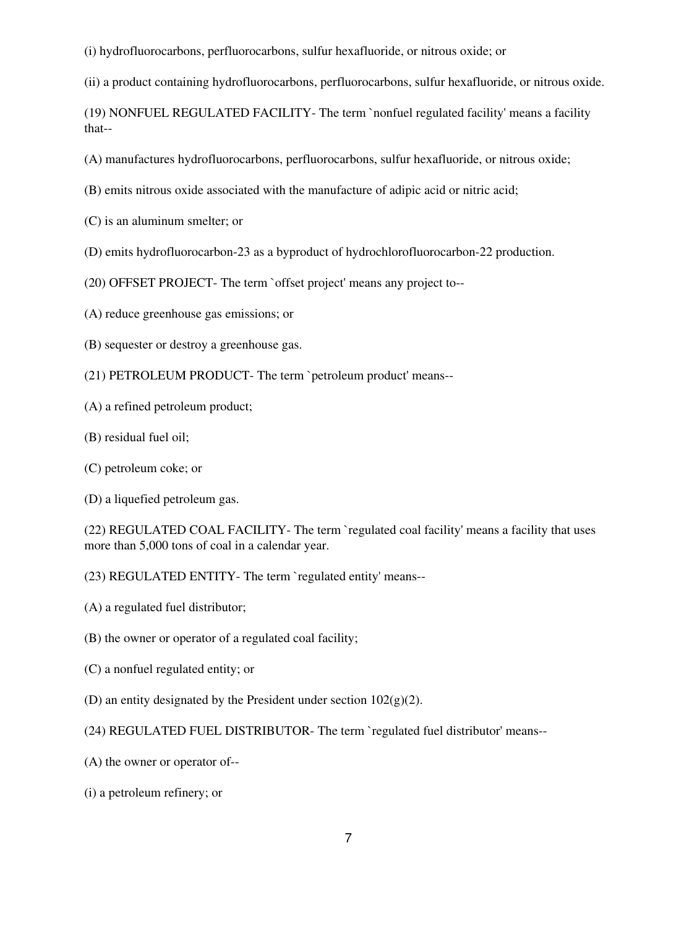(i) hydrofluorocarbons, perfluorocarbons, sulfur hexafluoride, or nitrous oxide; or

(ii) a product containing hydrofluorocarbons, perfluorocarbons, sulfur hexafluoride, or nitrous oxide.

(19) NONFUEL REGULATED FACILITY- The term `nonfuel regulated facility' means a facility that--

(A) manufactures hydrofluorocarbons, perfluorocarbons, sulfur hexafluoride, or nitrous oxide;

- (B) emits nitrous oxide associated with the manufacture of adipic acid or nitric acid;
- (C) is an aluminum smelter; or
- (D) emits hydrofluorocarbon-23 as a byproduct of hydrochlorofluorocarbon-22 production.
- (20) OFFSET PROJECT- The term `offset project' means any project to--
- (A) reduce greenhouse gas emissions; or
- (B) sequester or destroy a greenhouse gas.
- (21) PETROLEUM PRODUCT- The term `petroleum product' means--
- (A) a refined petroleum product;
- (B) residual fuel oil;
- (C) petroleum coke; or
- (D) a liquefied petroleum gas.

(22) REGULATED COAL FACILITY- The term `regulated coal facility' means a facility that uses more than 5,000 tons of coal in a calendar year.

- (23) REGULATED ENTITY- The term `regulated entity' means--
- (A) a regulated fuel distributor;
- (B) the owner or operator of a regulated coal facility;
- (C) a nonfuel regulated entity; or
- (D) an entity designated by the President under section  $102(g)(2)$ .
- (24) REGULATED FUEL DISTRIBUTOR- The term `regulated fuel distributor' means--
- (A) the owner or operator of--
- (i) a petroleum refinery; or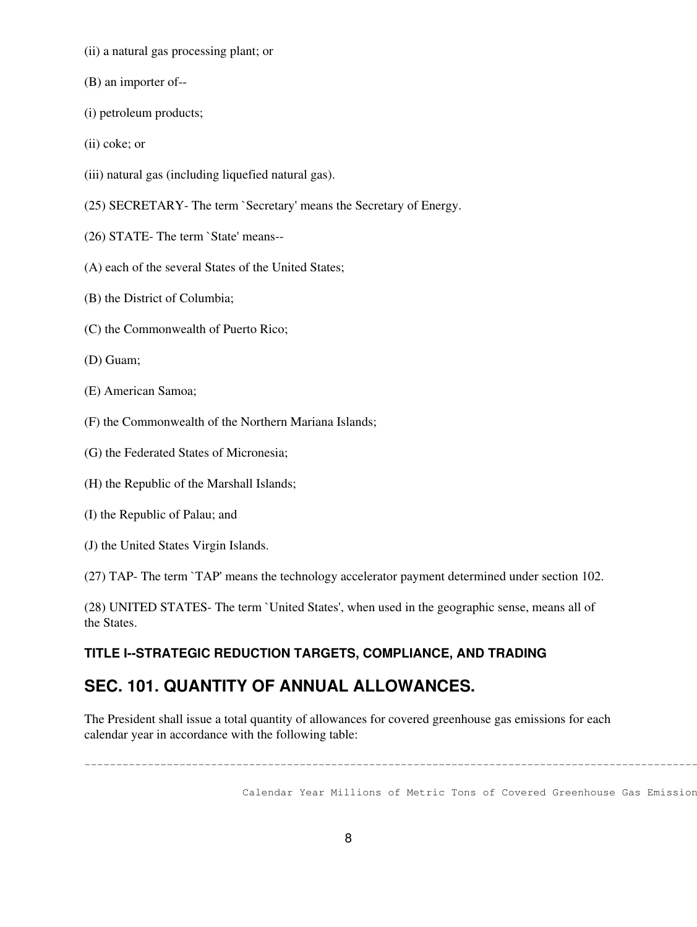- (ii) a natural gas processing plant; or
- (B) an importer of--
- (i) petroleum products;
- (ii) coke; or
- (iii) natural gas (including liquefied natural gas).
- (25) SECRETARY- The term `Secretary' means the Secretary of Energy.
- (26) STATE- The term `State' means--
- (A) each of the several States of the United States;
- (B) the District of Columbia;
- (C) the Commonwealth of Puerto Rico;
- (D) Guam;
- (E) American Samoa;
- (F) the Commonwealth of the Northern Mariana Islands;
- (G) the Federated States of Micronesia;
- (H) the Republic of the Marshall Islands;
- (I) the Republic of Palau; and
- (J) the United States Virgin Islands.
- (27) TAP- The term `TAP' means the technology accelerator payment determined under section 102.

(28) UNITED STATES- The term `United States', when used in the geographic sense, means all of the States.

### **TITLE I--STRATEGIC REDUCTION TARGETS, COMPLIANCE, AND TRADING**

### **SEC. 101. QUANTITY OF ANNUAL ALLOWANCES.**

The President shall issue a total quantity of allowances for covered greenhouse gas emissions for each calendar year in accordance with the following table:

Calendar Year Millions of Metric Tons of Covered Greenhouse Gas Emissions

---------------------------------------------------------------------------------------------------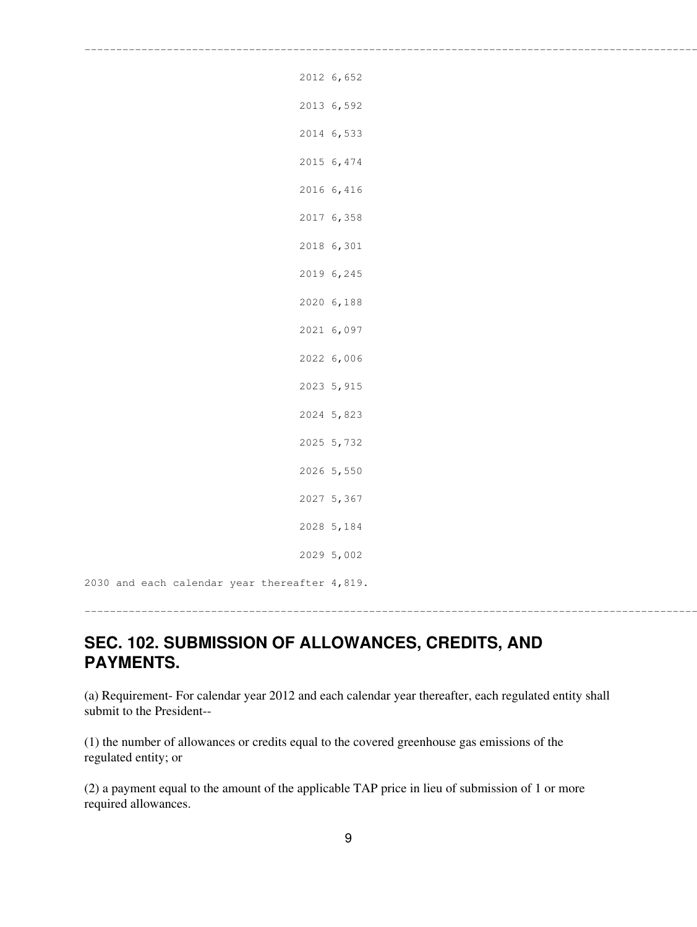| 2012 6,652 |
|------------|
| 2013 6,592 |
| 2014 6,533 |
| 2015 6,474 |
| 2016 6,416 |
| 2017 6,358 |
| 2018 6,301 |
| 2019 6,245 |
| 2020 6,188 |
| 2021 6,097 |
| 2022 6,006 |
| 2023 5,915 |
| 2024 5,823 |
| 2025 5,732 |
| 2026 5,550 |
| 2027 5,367 |
| 2028 5,184 |
| 2029 5,002 |

---------------------------------------------------------------------------------------------------

2030 and each calendar year thereafter 4,819.

---------------------------------------------------------------------------------------------------

## **SEC. 102. SUBMISSION OF ALLOWANCES, CREDITS, AND PAYMENTS.**

(a) Requirement- For calendar year 2012 and each calendar year thereafter, each regulated entity shall submit to the President--

(1) the number of allowances or credits equal to the covered greenhouse gas emissions of the regulated entity; or

(2) a payment equal to the amount of the applicable TAP price in lieu of submission of 1 or more required allowances.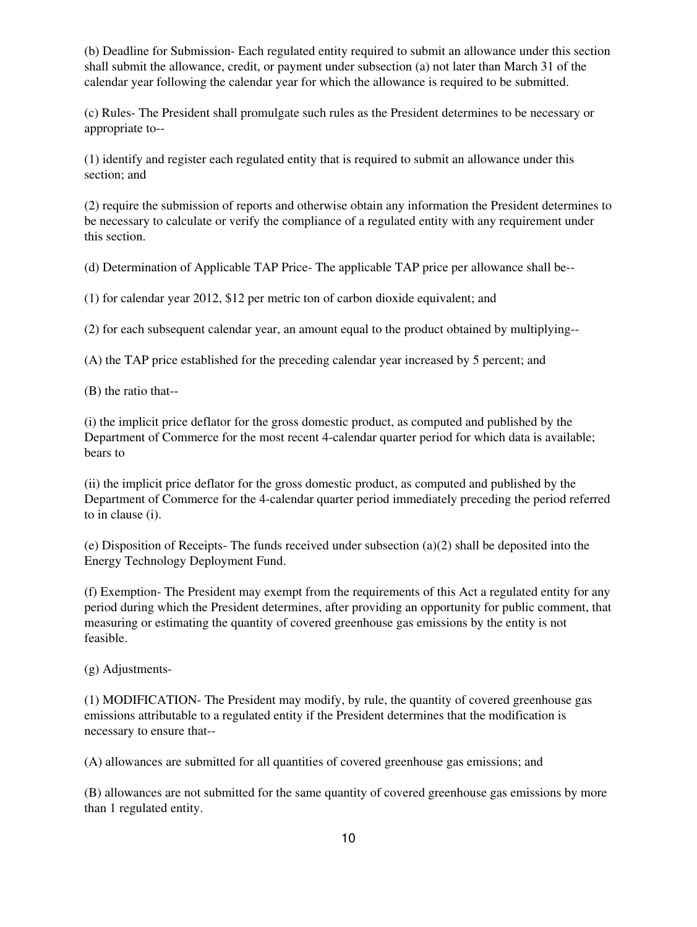(b) Deadline for Submission- Each regulated entity required to submit an allowance under this section shall submit the allowance, credit, or payment under subsection (a) not later than March 31 of the calendar year following the calendar year for which the allowance is required to be submitted.

(c) Rules- The President shall promulgate such rules as the President determines to be necessary or appropriate to--

(1) identify and register each regulated entity that is required to submit an allowance under this section; and

(2) require the submission of reports and otherwise obtain any information the President determines to be necessary to calculate or verify the compliance of a regulated entity with any requirement under this section.

(d) Determination of Applicable TAP Price- The applicable TAP price per allowance shall be--

(1) for calendar year 2012, \$12 per metric ton of carbon dioxide equivalent; and

(2) for each subsequent calendar year, an amount equal to the product obtained by multiplying--

(A) the TAP price established for the preceding calendar year increased by 5 percent; and

(B) the ratio that--

(i) the implicit price deflator for the gross domestic product, as computed and published by the Department of Commerce for the most recent 4-calendar quarter period for which data is available; bears to

(ii) the implicit price deflator for the gross domestic product, as computed and published by the Department of Commerce for the 4-calendar quarter period immediately preceding the period referred to in clause (i).

(e) Disposition of Receipts- The funds received under subsection (a)(2) shall be deposited into the Energy Technology Deployment Fund.

(f) Exemption- The President may exempt from the requirements of this Act a regulated entity for any period during which the President determines, after providing an opportunity for public comment, that measuring or estimating the quantity of covered greenhouse gas emissions by the entity is not feasible.

(g) Adjustments-

(1) MODIFICATION- The President may modify, by rule, the quantity of covered greenhouse gas emissions attributable to a regulated entity if the President determines that the modification is necessary to ensure that--

(A) allowances are submitted for all quantities of covered greenhouse gas emissions; and

(B) allowances are not submitted for the same quantity of covered greenhouse gas emissions by more than 1 regulated entity.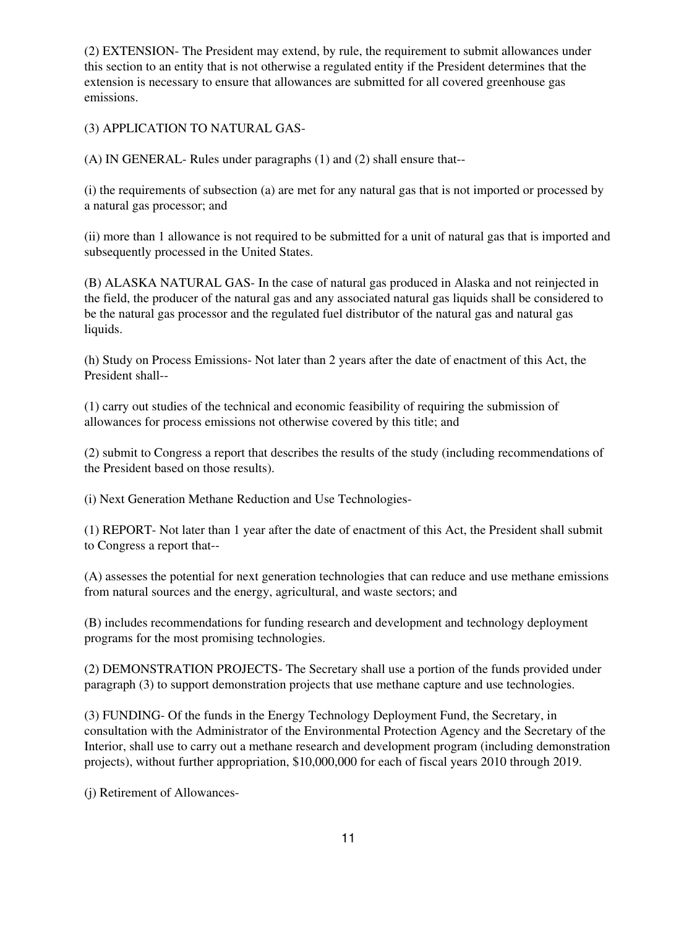(2) EXTENSION- The President may extend, by rule, the requirement to submit allowances under this section to an entity that is not otherwise a regulated entity if the President determines that the extension is necessary to ensure that allowances are submitted for all covered greenhouse gas emissions.

(3) APPLICATION TO NATURAL GAS-

(A) IN GENERAL- Rules under paragraphs (1) and (2) shall ensure that--

(i) the requirements of subsection (a) are met for any natural gas that is not imported or processed by a natural gas processor; and

(ii) more than 1 allowance is not required to be submitted for a unit of natural gas that is imported and subsequently processed in the United States.

(B) ALASKA NATURAL GAS- In the case of natural gas produced in Alaska and not reinjected in the field, the producer of the natural gas and any associated natural gas liquids shall be considered to be the natural gas processor and the regulated fuel distributor of the natural gas and natural gas liquids.

(h) Study on Process Emissions- Not later than 2 years after the date of enactment of this Act, the President shall--

(1) carry out studies of the technical and economic feasibility of requiring the submission of allowances for process emissions not otherwise covered by this title; and

(2) submit to Congress a report that describes the results of the study (including recommendations of the President based on those results).

(i) Next Generation Methane Reduction and Use Technologies-

(1) REPORT- Not later than 1 year after the date of enactment of this Act, the President shall submit to Congress a report that--

(A) assesses the potential for next generation technologies that can reduce and use methane emissions from natural sources and the energy, agricultural, and waste sectors; and

(B) includes recommendations for funding research and development and technology deployment programs for the most promising technologies.

(2) DEMONSTRATION PROJECTS- The Secretary shall use a portion of the funds provided under paragraph (3) to support demonstration projects that use methane capture and use technologies.

(3) FUNDING- Of the funds in the Energy Technology Deployment Fund, the Secretary, in consultation with the Administrator of the Environmental Protection Agency and the Secretary of the Interior, shall use to carry out a methane research and development program (including demonstration projects), without further appropriation, \$10,000,000 for each of fiscal years 2010 through 2019.

(j) Retirement of Allowances-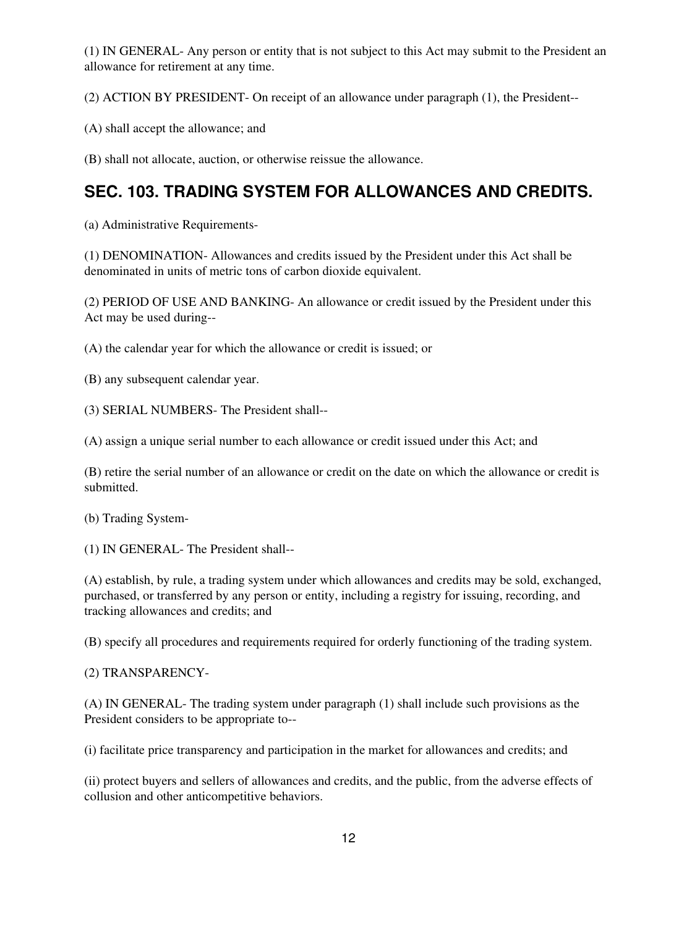(1) IN GENERAL- Any person or entity that is not subject to this Act may submit to the President an allowance for retirement at any time.

(2) ACTION BY PRESIDENT- On receipt of an allowance under paragraph (1), the President--

(A) shall accept the allowance; and

(B) shall not allocate, auction, or otherwise reissue the allowance.

# **SEC. 103. TRADING SYSTEM FOR ALLOWANCES AND CREDITS.**

(a) Administrative Requirements-

(1) DENOMINATION- Allowances and credits issued by the President under this Act shall be denominated in units of metric tons of carbon dioxide equivalent.

(2) PERIOD OF USE AND BANKING- An allowance or credit issued by the President under this Act may be used during--

(A) the calendar year for which the allowance or credit is issued; or

(B) any subsequent calendar year.

(3) SERIAL NUMBERS- The President shall--

(A) assign a unique serial number to each allowance or credit issued under this Act; and

(B) retire the serial number of an allowance or credit on the date on which the allowance or credit is submitted.

(b) Trading System-

(1) IN GENERAL- The President shall--

(A) establish, by rule, a trading system under which allowances and credits may be sold, exchanged, purchased, or transferred by any person or entity, including a registry for issuing, recording, and tracking allowances and credits; and

(B) specify all procedures and requirements required for orderly functioning of the trading system.

(2) TRANSPARENCY-

(A) IN GENERAL- The trading system under paragraph (1) shall include such provisions as the President considers to be appropriate to--

(i) facilitate price transparency and participation in the market for allowances and credits; and

(ii) protect buyers and sellers of allowances and credits, and the public, from the adverse effects of collusion and other anticompetitive behaviors.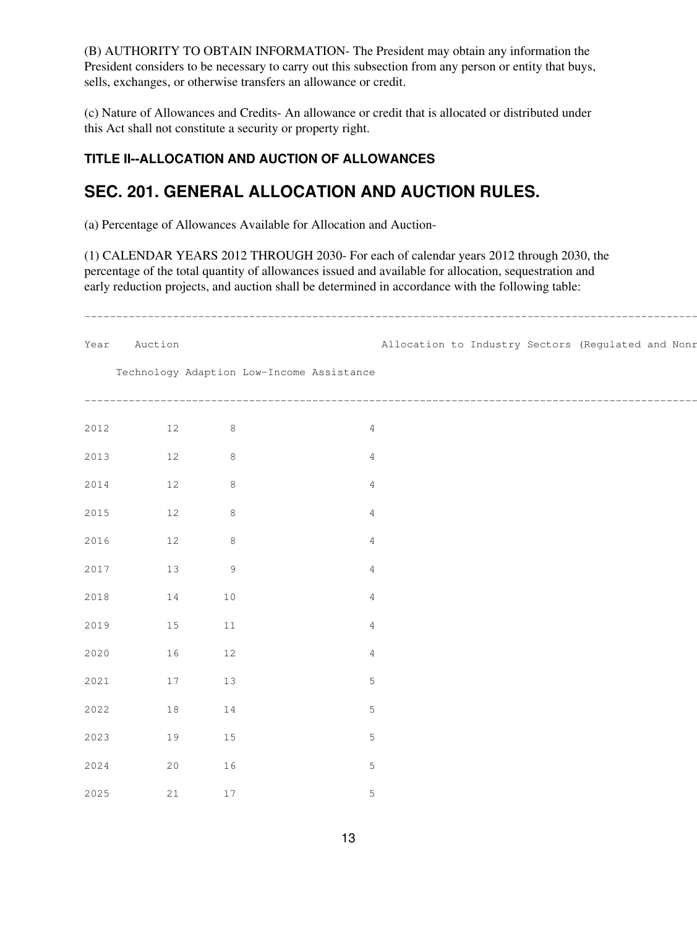(B) AUTHORITY TO OBTAIN INFORMATION- The President may obtain any information the President considers to be necessary to carry out this subsection from any person or entity that buys, sells, exchanges, or otherwise transfers an allowance or credit.

(c) Nature of Allowances and Credits- An allowance or credit that is allocated or distributed under this Act shall not constitute a security or property right.

### **TITLE II--ALLOCATION AND AUCTION OF ALLOWANCES**

# **SEC. 201. GENERAL ALLOCATION AND AUCTION RULES.**

(a) Percentage of Allowances Available for Allocation and Auction-

(1) CALENDAR YEARS 2012 THROUGH 2030- For each of calendar years 2012 through 2030, the percentage of the total quantity of allowances issued and available for allocation, sequestration and early reduction projects, and auction shall be determined in accordance with the following table:

| Year | Auction |        |                                           | Allocation to Industry Sectors (Regulated and Nonr |
|------|---------|--------|-------------------------------------------|----------------------------------------------------|
|      |         |        | Technology Adaption Low-Income Assistance |                                                    |
| 2012 | 12      | 8      |                                           |                                                    |
| 2013 | 12      | $8\,$  |                                           |                                                    |
| 2014 | 12      | $8\,$  |                                           |                                                    |
| 2015 | $12$    | $8\,$  |                                           |                                                    |
| 2016 | 12      | 8      |                                           |                                                    |
| 2017 | 13      | 9      |                                           |                                                    |
| 2018 | 14      | 10     |                                           |                                                    |
| 2019 | 15      | $11\,$ |                                           |                                                    |
| 2020 | 16      | 12     |                                           |                                                    |
| 2021 | 17      | 13     | 5                                         |                                                    |
| 2022 | 18      | 14     | 5                                         |                                                    |
| 2023 | 19      | 15     | 5                                         |                                                    |
| 2024 | 20      | 16     | 5                                         |                                                    |
| 2025 | 21      | $17$   | 5                                         |                                                    |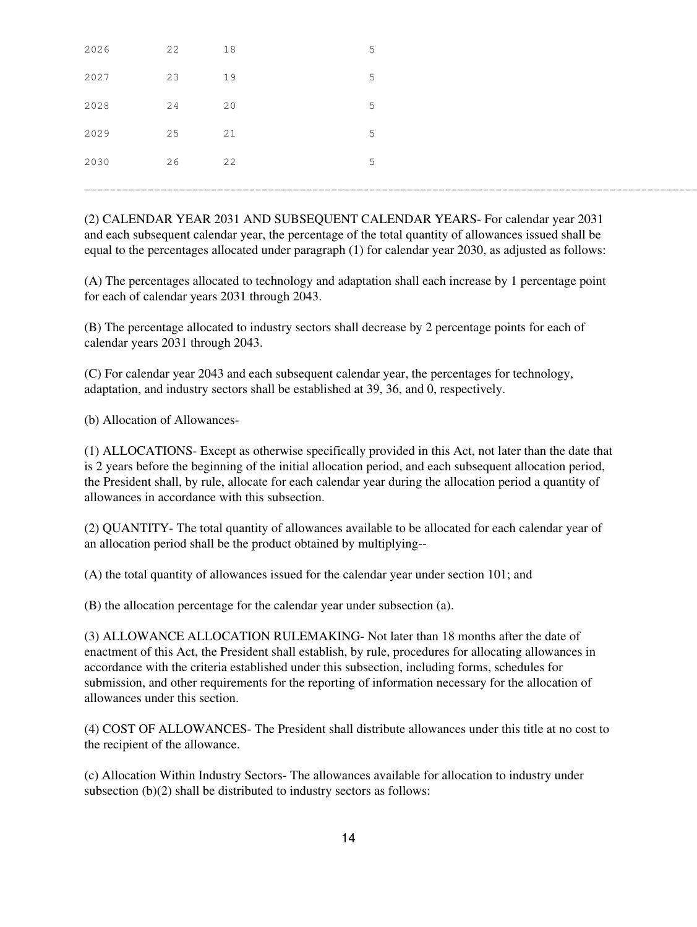| 2026 | 22 | 18 | $\overline{a}$ |  |
|------|----|----|----------------|--|
| 2027 | 23 | 19 |                |  |
| 2028 | 24 | 20 | $-$            |  |
| 2029 | 25 | 21 |                |  |
| 2030 | 26 | 22 |                |  |
|      |    |    |                |  |

(2) CALENDAR YEAR 2031 AND SUBSEQUENT CALENDAR YEARS- For calendar year 2031 and each subsequent calendar year, the percentage of the total quantity of allowances issued shall be equal to the percentages allocated under paragraph (1) for calendar year 2030, as adjusted as follows:

(A) The percentages allocated to technology and adaptation shall each increase by 1 percentage point for each of calendar years 2031 through 2043.

(B) The percentage allocated to industry sectors shall decrease by 2 percentage points for each of calendar years 2031 through 2043.

(C) For calendar year 2043 and each subsequent calendar year, the percentages for technology, adaptation, and industry sectors shall be established at 39, 36, and 0, respectively.

(b) Allocation of Allowances-

(1) ALLOCATIONS- Except as otherwise specifically provided in this Act, not later than the date that is 2 years before the beginning of the initial allocation period, and each subsequent allocation period, the President shall, by rule, allocate for each calendar year during the allocation period a quantity of allowances in accordance with this subsection.

(2) QUANTITY- The total quantity of allowances available to be allocated for each calendar year of an allocation period shall be the product obtained by multiplying--

(A) the total quantity of allowances issued for the calendar year under section 101; and

(B) the allocation percentage for the calendar year under subsection (a).

(3) ALLOWANCE ALLOCATION RULEMAKING- Not later than 18 months after the date of enactment of this Act, the President shall establish, by rule, procedures for allocating allowances in accordance with the criteria established under this subsection, including forms, schedules for submission, and other requirements for the reporting of information necessary for the allocation of allowances under this section.

(4) COST OF ALLOWANCES- The President shall distribute allowances under this title at no cost to the recipient of the allowance.

(c) Allocation Within Industry Sectors- The allowances available for allocation to industry under subsection (b)(2) shall be distributed to industry sectors as follows: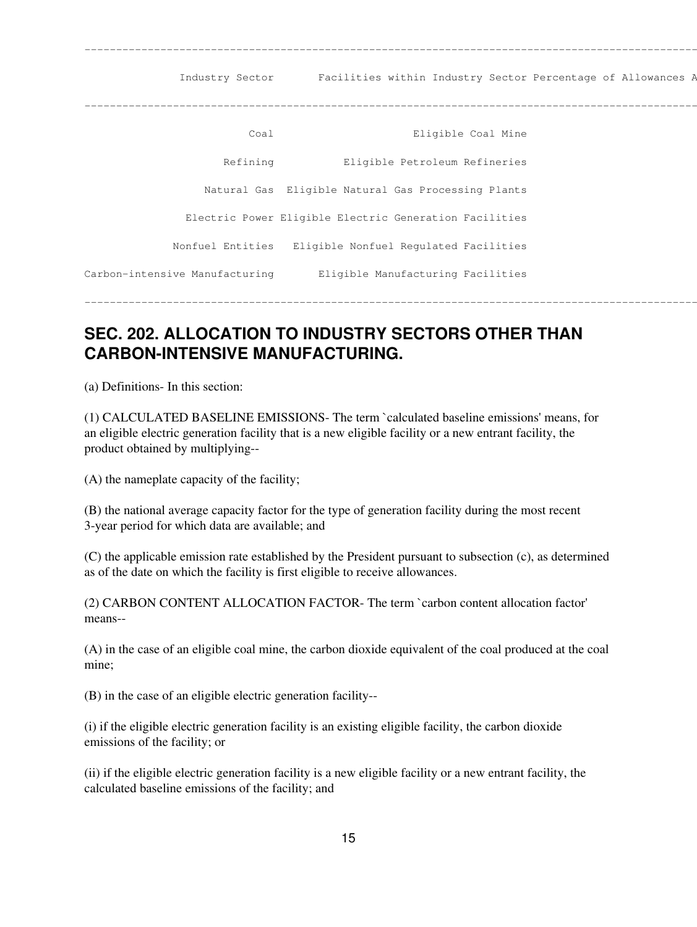---------------------------------------------------------------------------------------------------------------------- Industry Sector Facilities within Industry Sector Percentage of Allowances A ---------------------------------------------------------------------------------------------------------------------- Coal 1200 Coal Mine Refining **Eligible Petroleum Refineries**  Natural Gas Eligible Natural Gas Processing Plants 4 Electric Power Eligible Electric Generation Facilities Nonfuel Entities Eligible Nonfuel Regulated Facilities 4 Carbon-intensive Manufacturing and Eligible Manufacturing Facilities ----------------------------------------------------------------------------------------------------------------------

# **SEC. 202. ALLOCATION TO INDUSTRY SECTORS OTHER THAN CARBON-INTENSIVE MANUFACTURING.**

(a) Definitions- In this section:

(1) CALCULATED BASELINE EMISSIONS- The term `calculated baseline emissions' means, for an eligible electric generation facility that is a new eligible facility or a new entrant facility, the product obtained by multiplying--

(A) the nameplate capacity of the facility;

(B) the national average capacity factor for the type of generation facility during the most recent 3-year period for which data are available; and

(C) the applicable emission rate established by the President pursuant to subsection (c), as determined as of the date on which the facility is first eligible to receive allowances.

(2) CARBON CONTENT ALLOCATION FACTOR- The term `carbon content allocation factor' means--

(A) in the case of an eligible coal mine, the carbon dioxide equivalent of the coal produced at the coal mine;

(B) in the case of an eligible electric generation facility--

(i) if the eligible electric generation facility is an existing eligible facility, the carbon dioxide emissions of the facility; or

(ii) if the eligible electric generation facility is a new eligible facility or a new entrant facility, the calculated baseline emissions of the facility; and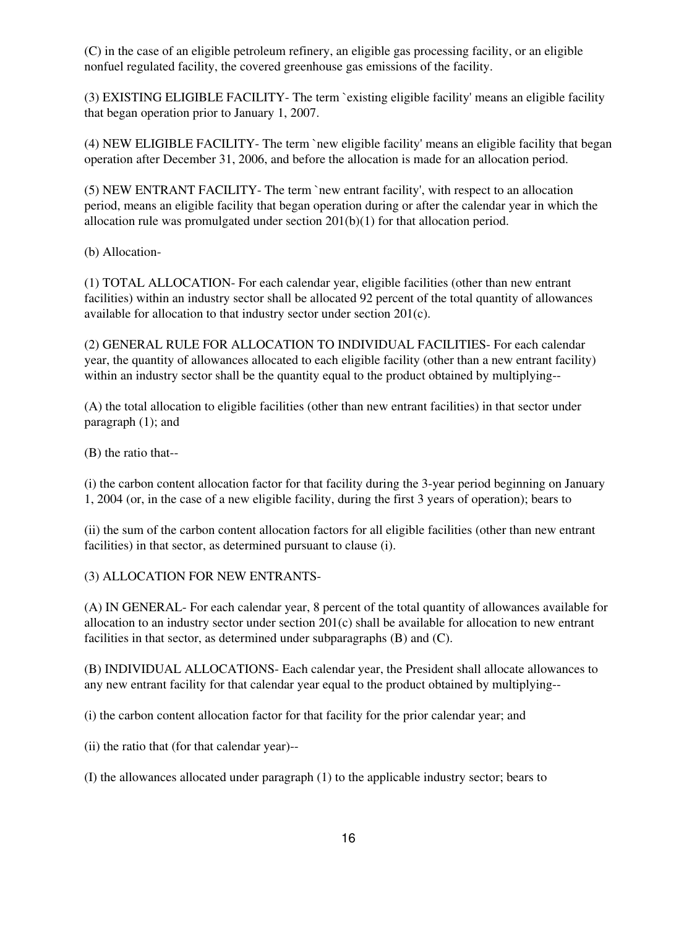(C) in the case of an eligible petroleum refinery, an eligible gas processing facility, or an eligible nonfuel regulated facility, the covered greenhouse gas emissions of the facility.

(3) EXISTING ELIGIBLE FACILITY- The term `existing eligible facility' means an eligible facility that began operation prior to January 1, 2007.

(4) NEW ELIGIBLE FACILITY- The term `new eligible facility' means an eligible facility that began operation after December 31, 2006, and before the allocation is made for an allocation period.

(5) NEW ENTRANT FACILITY- The term `new entrant facility', with respect to an allocation period, means an eligible facility that began operation during or after the calendar year in which the allocation rule was promulgated under section 201(b)(1) for that allocation period.

(b) Allocation-

(1) TOTAL ALLOCATION- For each calendar year, eligible facilities (other than new entrant facilities) within an industry sector shall be allocated 92 percent of the total quantity of allowances available for allocation to that industry sector under section 201(c).

(2) GENERAL RULE FOR ALLOCATION TO INDIVIDUAL FACILITIES- For each calendar year, the quantity of allowances allocated to each eligible facility (other than a new entrant facility) within an industry sector shall be the quantity equal to the product obtained by multiplying--

(A) the total allocation to eligible facilities (other than new entrant facilities) in that sector under paragraph (1); and

(B) the ratio that--

(i) the carbon content allocation factor for that facility during the 3-year period beginning on January 1, 2004 (or, in the case of a new eligible facility, during the first 3 years of operation); bears to

(ii) the sum of the carbon content allocation factors for all eligible facilities (other than new entrant facilities) in that sector, as determined pursuant to clause (i).

(3) ALLOCATION FOR NEW ENTRANTS-

(A) IN GENERAL- For each calendar year, 8 percent of the total quantity of allowances available for allocation to an industry sector under section 201(c) shall be available for allocation to new entrant facilities in that sector, as determined under subparagraphs (B) and (C).

(B) INDIVIDUAL ALLOCATIONS- Each calendar year, the President shall allocate allowances to any new entrant facility for that calendar year equal to the product obtained by multiplying--

(i) the carbon content allocation factor for that facility for the prior calendar year; and

(ii) the ratio that (for that calendar year)--

(I) the allowances allocated under paragraph (1) to the applicable industry sector; bears to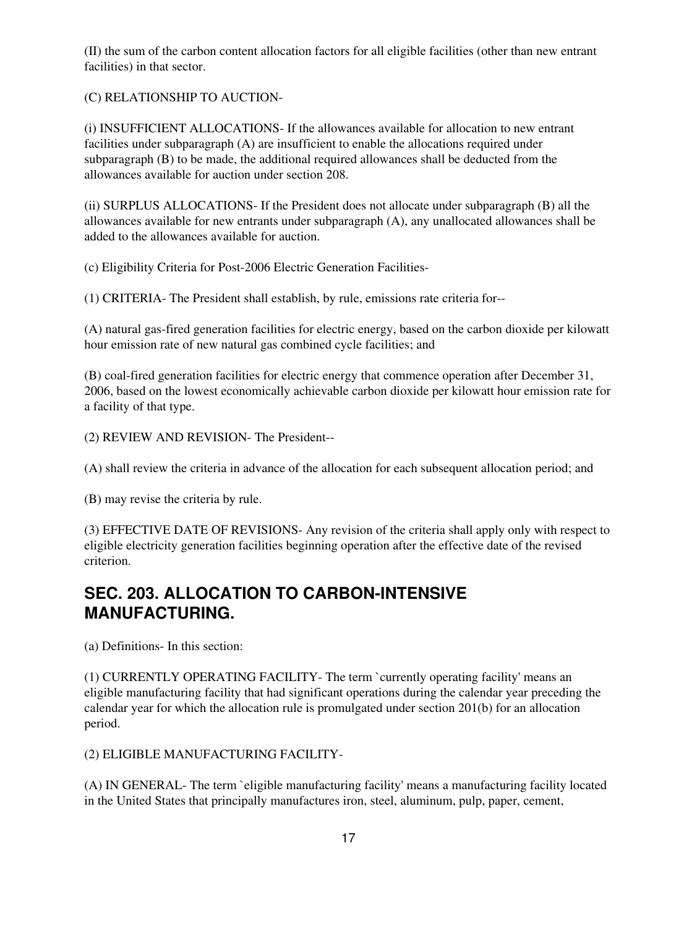(II) the sum of the carbon content allocation factors for all eligible facilities (other than new entrant facilities) in that sector.

(C) RELATIONSHIP TO AUCTION-

(i) INSUFFICIENT ALLOCATIONS- If the allowances available for allocation to new entrant facilities under subparagraph (A) are insufficient to enable the allocations required under subparagraph (B) to be made, the additional required allowances shall be deducted from the allowances available for auction under section 208.

(ii) SURPLUS ALLOCATIONS- If the President does not allocate under subparagraph (B) all the allowances available for new entrants under subparagraph (A), any unallocated allowances shall be added to the allowances available for auction.

(c) Eligibility Criteria for Post-2006 Electric Generation Facilities-

(1) CRITERIA- The President shall establish, by rule, emissions rate criteria for--

(A) natural gas-fired generation facilities for electric energy, based on the carbon dioxide per kilowatt hour emission rate of new natural gas combined cycle facilities; and

(B) coal-fired generation facilities for electric energy that commence operation after December 31, 2006, based on the lowest economically achievable carbon dioxide per kilowatt hour emission rate for a facility of that type.

(2) REVIEW AND REVISION- The President--

(A) shall review the criteria in advance of the allocation for each subsequent allocation period; and

(B) may revise the criteria by rule.

(3) EFFECTIVE DATE OF REVISIONS- Any revision of the criteria shall apply only with respect to eligible electricity generation facilities beginning operation after the effective date of the revised criterion.

### **SEC. 203. ALLOCATION TO CARBON-INTENSIVE MANUFACTURING.**

(a) Definitions- In this section:

(1) CURRENTLY OPERATING FACILITY- The term `currently operating facility' means an eligible manufacturing facility that had significant operations during the calendar year preceding the calendar year for which the allocation rule is promulgated under section 201(b) for an allocation period.

(2) ELIGIBLE MANUFACTURING FACILITY-

(A) IN GENERAL- The term `eligible manufacturing facility' means a manufacturing facility located in the United States that principally manufactures iron, steel, aluminum, pulp, paper, cement,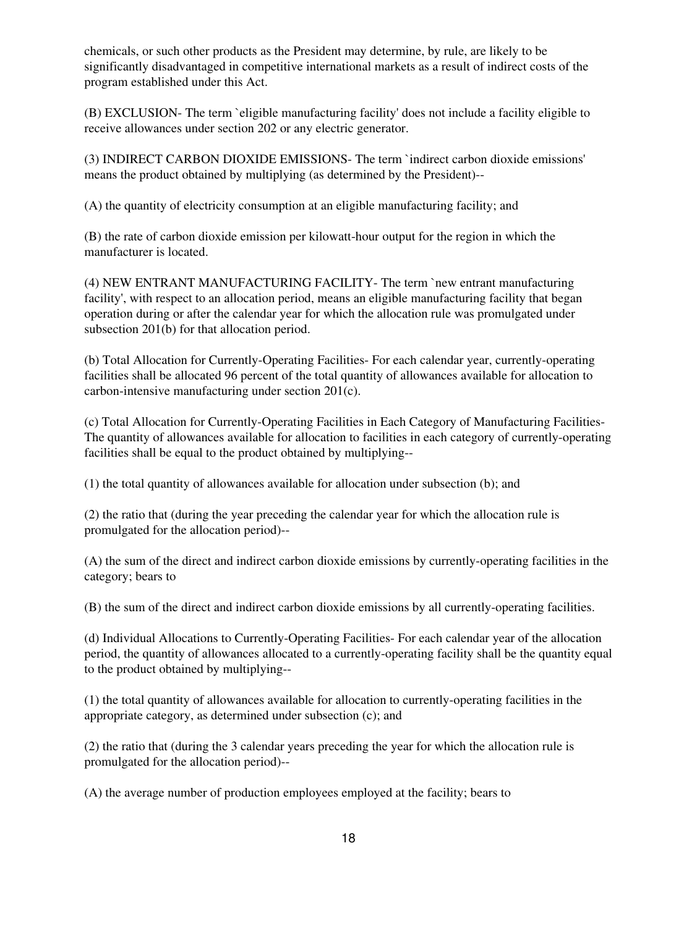chemicals, or such other products as the President may determine, by rule, are likely to be significantly disadvantaged in competitive international markets as a result of indirect costs of the program established under this Act.

(B) EXCLUSION- The term `eligible manufacturing facility' does not include a facility eligible to receive allowances under section 202 or any electric generator.

(3) INDIRECT CARBON DIOXIDE EMISSIONS- The term `indirect carbon dioxide emissions' means the product obtained by multiplying (as determined by the President)--

(A) the quantity of electricity consumption at an eligible manufacturing facility; and

(B) the rate of carbon dioxide emission per kilowatt-hour output for the region in which the manufacturer is located.

(4) NEW ENTRANT MANUFACTURING FACILITY- The term `new entrant manufacturing facility', with respect to an allocation period, means an eligible manufacturing facility that began operation during or after the calendar year for which the allocation rule was promulgated under subsection 201(b) for that allocation period.

(b) Total Allocation for Currently-Operating Facilities- For each calendar year, currently-operating facilities shall be allocated 96 percent of the total quantity of allowances available for allocation to carbon-intensive manufacturing under section 201(c).

(c) Total Allocation for Currently-Operating Facilities in Each Category of Manufacturing Facilities-The quantity of allowances available for allocation to facilities in each category of currently-operating facilities shall be equal to the product obtained by multiplying--

(1) the total quantity of allowances available for allocation under subsection (b); and

(2) the ratio that (during the year preceding the calendar year for which the allocation rule is promulgated for the allocation period)--

(A) the sum of the direct and indirect carbon dioxide emissions by currently-operating facilities in the category; bears to

(B) the sum of the direct and indirect carbon dioxide emissions by all currently-operating facilities.

(d) Individual Allocations to Currently-Operating Facilities- For each calendar year of the allocation period, the quantity of allowances allocated to a currently-operating facility shall be the quantity equal to the product obtained by multiplying--

(1) the total quantity of allowances available for allocation to currently-operating facilities in the appropriate category, as determined under subsection (c); and

(2) the ratio that (during the 3 calendar years preceding the year for which the allocation rule is promulgated for the allocation period)--

(A) the average number of production employees employed at the facility; bears to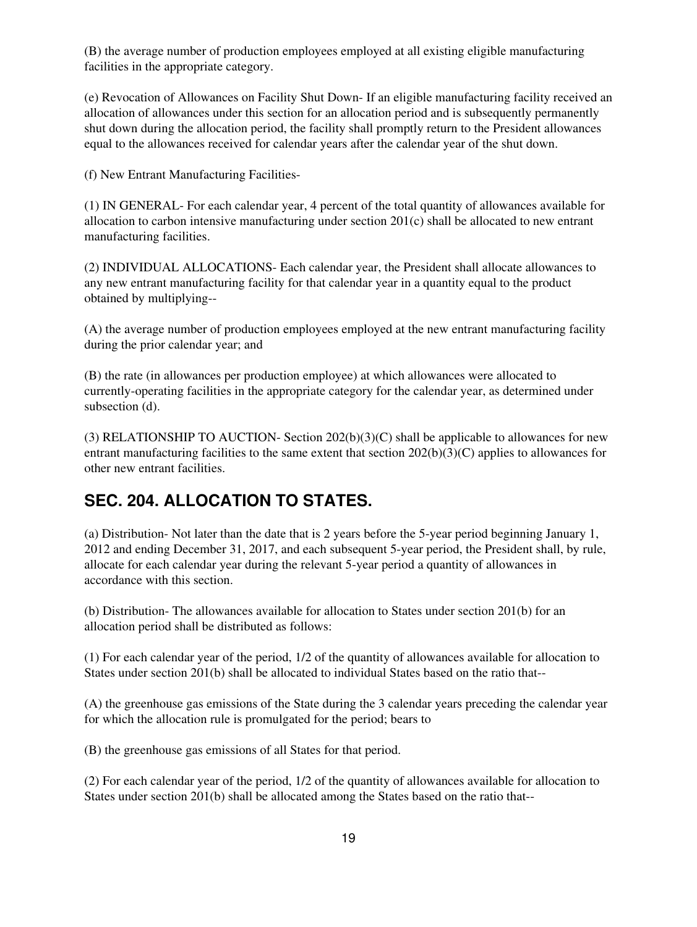(B) the average number of production employees employed at all existing eligible manufacturing facilities in the appropriate category.

(e) Revocation of Allowances on Facility Shut Down- If an eligible manufacturing facility received an allocation of allowances under this section for an allocation period and is subsequently permanently shut down during the allocation period, the facility shall promptly return to the President allowances equal to the allowances received for calendar years after the calendar year of the shut down.

(f) New Entrant Manufacturing Facilities-

(1) IN GENERAL- For each calendar year, 4 percent of the total quantity of allowances available for allocation to carbon intensive manufacturing under section 201(c) shall be allocated to new entrant manufacturing facilities.

(2) INDIVIDUAL ALLOCATIONS- Each calendar year, the President shall allocate allowances to any new entrant manufacturing facility for that calendar year in a quantity equal to the product obtained by multiplying--

(A) the average number of production employees employed at the new entrant manufacturing facility during the prior calendar year; and

(B) the rate (in allowances per production employee) at which allowances were allocated to currently-operating facilities in the appropriate category for the calendar year, as determined under subsection (d).

(3) RELATIONSHIP TO AUCTION- Section  $202(b)(3)(C)$  shall be applicable to allowances for new entrant manufacturing facilities to the same extent that section 202(b)(3)(C) applies to allowances for other new entrant facilities.

### **SEC. 204. ALLOCATION TO STATES.**

(a) Distribution- Not later than the date that is 2 years before the 5-year period beginning January 1, 2012 and ending December 31, 2017, and each subsequent 5-year period, the President shall, by rule, allocate for each calendar year during the relevant 5-year period a quantity of allowances in accordance with this section.

(b) Distribution- The allowances available for allocation to States under section 201(b) for an allocation period shall be distributed as follows:

(1) For each calendar year of the period, 1/2 of the quantity of allowances available for allocation to States under section 201(b) shall be allocated to individual States based on the ratio that--

(A) the greenhouse gas emissions of the State during the 3 calendar years preceding the calendar year for which the allocation rule is promulgated for the period; bears to

(B) the greenhouse gas emissions of all States for that period.

(2) For each calendar year of the period, 1/2 of the quantity of allowances available for allocation to States under section 201(b) shall be allocated among the States based on the ratio that--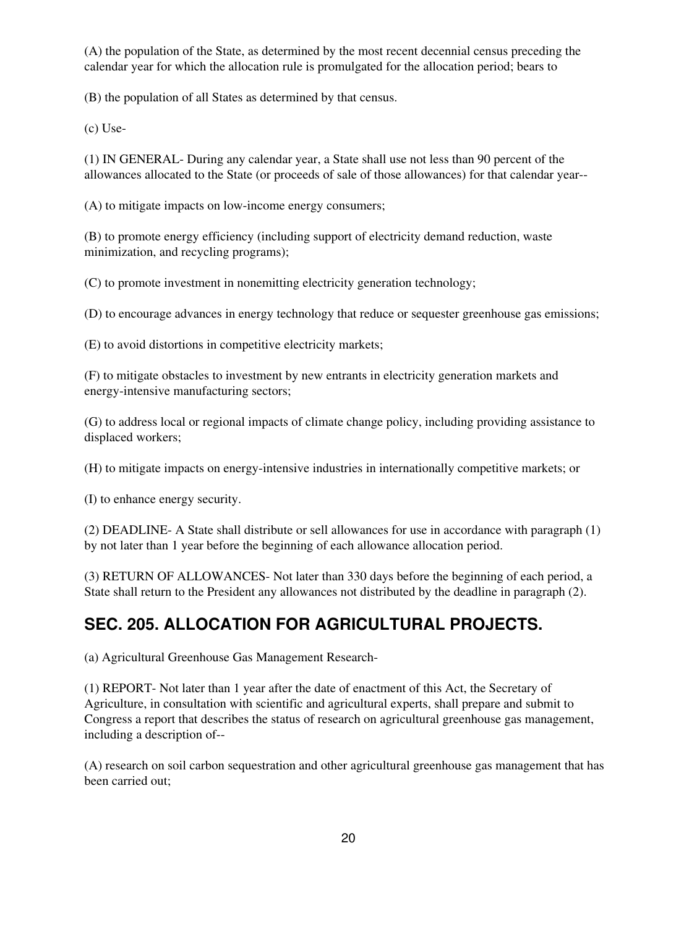(A) the population of the State, as determined by the most recent decennial census preceding the calendar year for which the allocation rule is promulgated for the allocation period; bears to

(B) the population of all States as determined by that census.

(c) Use-

(1) IN GENERAL- During any calendar year, a State shall use not less than 90 percent of the allowances allocated to the State (or proceeds of sale of those allowances) for that calendar year--

(A) to mitigate impacts on low-income energy consumers;

(B) to promote energy efficiency (including support of electricity demand reduction, waste minimization, and recycling programs);

(C) to promote investment in nonemitting electricity generation technology;

(D) to encourage advances in energy technology that reduce or sequester greenhouse gas emissions;

(E) to avoid distortions in competitive electricity markets;

(F) to mitigate obstacles to investment by new entrants in electricity generation markets and energy-intensive manufacturing sectors;

(G) to address local or regional impacts of climate change policy, including providing assistance to displaced workers;

(H) to mitigate impacts on energy-intensive industries in internationally competitive markets; or

(I) to enhance energy security.

(2) DEADLINE- A State shall distribute or sell allowances for use in accordance with paragraph (1) by not later than 1 year before the beginning of each allowance allocation period.

(3) RETURN OF ALLOWANCES- Not later than 330 days before the beginning of each period, a State shall return to the President any allowances not distributed by the deadline in paragraph (2).

### **SEC. 205. ALLOCATION FOR AGRICULTURAL PROJECTS.**

(a) Agricultural Greenhouse Gas Management Research-

(1) REPORT- Not later than 1 year after the date of enactment of this Act, the Secretary of Agriculture, in consultation with scientific and agricultural experts, shall prepare and submit to Congress a report that describes the status of research on agricultural greenhouse gas management, including a description of--

(A) research on soil carbon sequestration and other agricultural greenhouse gas management that has been carried out;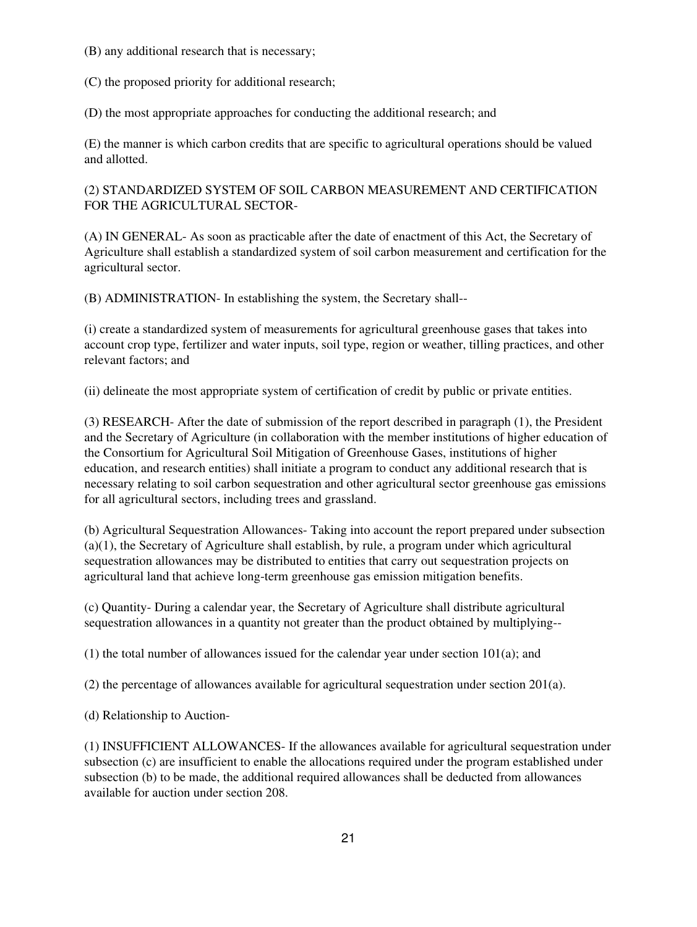(B) any additional research that is necessary;

(C) the proposed priority for additional research;

(D) the most appropriate approaches for conducting the additional research; and

(E) the manner is which carbon credits that are specific to agricultural operations should be valued and allotted.

#### (2) STANDARDIZED SYSTEM OF SOIL CARBON MEASUREMENT AND CERTIFICATION FOR THE AGRICULTURAL SECTOR-

(A) IN GENERAL- As soon as practicable after the date of enactment of this Act, the Secretary of Agriculture shall establish a standardized system of soil carbon measurement and certification for the agricultural sector.

(B) ADMINISTRATION- In establishing the system, the Secretary shall--

(i) create a standardized system of measurements for agricultural greenhouse gases that takes into account crop type, fertilizer and water inputs, soil type, region or weather, tilling practices, and other relevant factors; and

(ii) delineate the most appropriate system of certification of credit by public or private entities.

(3) RESEARCH- After the date of submission of the report described in paragraph (1), the President and the Secretary of Agriculture (in collaboration with the member institutions of higher education of the Consortium for Agricultural Soil Mitigation of Greenhouse Gases, institutions of higher education, and research entities) shall initiate a program to conduct any additional research that is necessary relating to soil carbon sequestration and other agricultural sector greenhouse gas emissions for all agricultural sectors, including trees and grassland.

(b) Agricultural Sequestration Allowances- Taking into account the report prepared under subsection (a)(1), the Secretary of Agriculture shall establish, by rule, a program under which agricultural sequestration allowances may be distributed to entities that carry out sequestration projects on agricultural land that achieve long-term greenhouse gas emission mitigation benefits.

(c) Quantity- During a calendar year, the Secretary of Agriculture shall distribute agricultural sequestration allowances in a quantity not greater than the product obtained by multiplying--

(1) the total number of allowances issued for the calendar year under section 101(a); and

(2) the percentage of allowances available for agricultural sequestration under section  $201(a)$ .

(d) Relationship to Auction-

(1) INSUFFICIENT ALLOWANCES- If the allowances available for agricultural sequestration under subsection (c) are insufficient to enable the allocations required under the program established under subsection (b) to be made, the additional required allowances shall be deducted from allowances available for auction under section 208.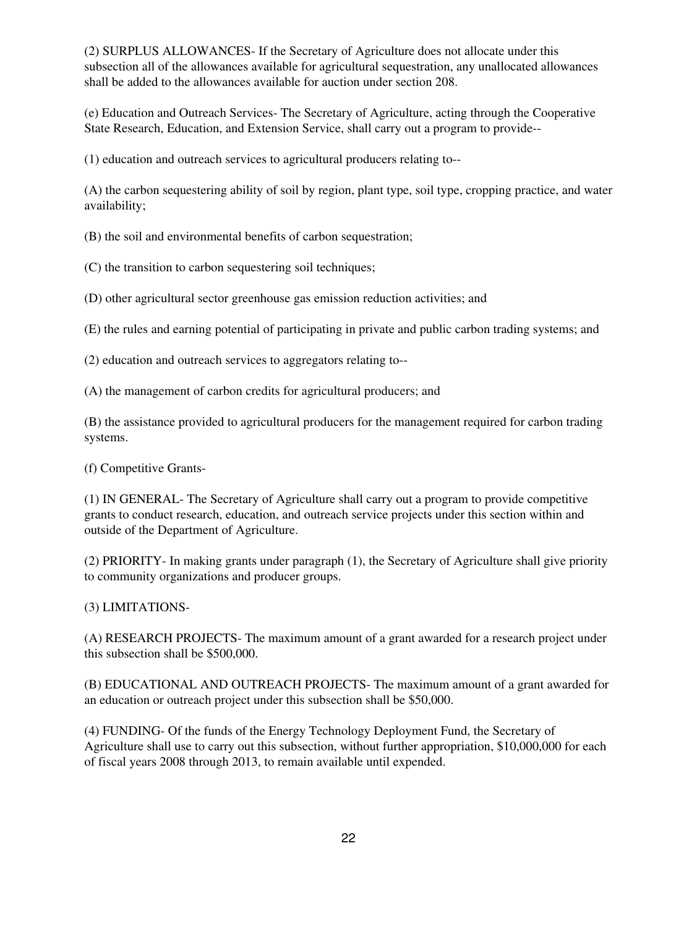(2) SURPLUS ALLOWANCES- If the Secretary of Agriculture does not allocate under this subsection all of the allowances available for agricultural sequestration, any unallocated allowances shall be added to the allowances available for auction under section 208.

(e) Education and Outreach Services- The Secretary of Agriculture, acting through the Cooperative State Research, Education, and Extension Service, shall carry out a program to provide--

(1) education and outreach services to agricultural producers relating to--

(A) the carbon sequestering ability of soil by region, plant type, soil type, cropping practice, and water availability;

(B) the soil and environmental benefits of carbon sequestration;

(C) the transition to carbon sequestering soil techniques;

(D) other agricultural sector greenhouse gas emission reduction activities; and

(E) the rules and earning potential of participating in private and public carbon trading systems; and

(2) education and outreach services to aggregators relating to--

(A) the management of carbon credits for agricultural producers; and

(B) the assistance provided to agricultural producers for the management required for carbon trading systems.

(f) Competitive Grants-

(1) IN GENERAL- The Secretary of Agriculture shall carry out a program to provide competitive grants to conduct research, education, and outreach service projects under this section within and outside of the Department of Agriculture.

(2) PRIORITY- In making grants under paragraph (1), the Secretary of Agriculture shall give priority to community organizations and producer groups.

(3) LIMITATIONS-

(A) RESEARCH PROJECTS- The maximum amount of a grant awarded for a research project under this subsection shall be \$500,000.

(B) EDUCATIONAL AND OUTREACH PROJECTS- The maximum amount of a grant awarded for an education or outreach project under this subsection shall be \$50,000.

(4) FUNDING- Of the funds of the Energy Technology Deployment Fund, the Secretary of Agriculture shall use to carry out this subsection, without further appropriation, \$10,000,000 for each of fiscal years 2008 through 2013, to remain available until expended.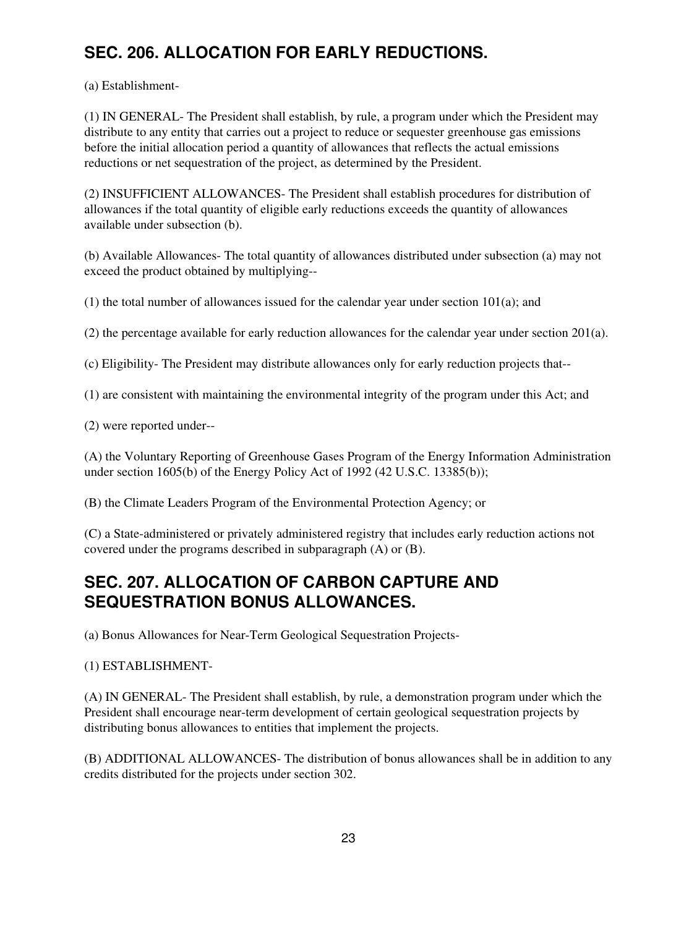# **SEC. 206. ALLOCATION FOR EARLY REDUCTIONS.**

(a) Establishment-

(1) IN GENERAL- The President shall establish, by rule, a program under which the President may distribute to any entity that carries out a project to reduce or sequester greenhouse gas emissions before the initial allocation period a quantity of allowances that reflects the actual emissions reductions or net sequestration of the project, as determined by the President.

(2) INSUFFICIENT ALLOWANCES- The President shall establish procedures for distribution of allowances if the total quantity of eligible early reductions exceeds the quantity of allowances available under subsection (b).

(b) Available Allowances- The total quantity of allowances distributed under subsection (a) may not exceed the product obtained by multiplying--

(1) the total number of allowances issued for the calendar year under section 101(a); and

(2) the percentage available for early reduction allowances for the calendar year under section 201(a).

(c) Eligibility- The President may distribute allowances only for early reduction projects that--

(1) are consistent with maintaining the environmental integrity of the program under this Act; and

(2) were reported under--

(A) the Voluntary Reporting of Greenhouse Gases Program of the Energy Information Administration under section 1605(b) of the Energy Policy Act of 1992 (42 U.S.C. 13385(b));

(B) the Climate Leaders Program of the Environmental Protection Agency; or

(C) a State-administered or privately administered registry that includes early reduction actions not covered under the programs described in subparagraph (A) or (B).

## **SEC. 207. ALLOCATION OF CARBON CAPTURE AND SEQUESTRATION BONUS ALLOWANCES.**

(a) Bonus Allowances for Near-Term Geological Sequestration Projects-

(1) ESTABLISHMENT-

(A) IN GENERAL- The President shall establish, by rule, a demonstration program under which the President shall encourage near-term development of certain geological sequestration projects by distributing bonus allowances to entities that implement the projects.

(B) ADDITIONAL ALLOWANCES- The distribution of bonus allowances shall be in addition to any credits distributed for the projects under section 302.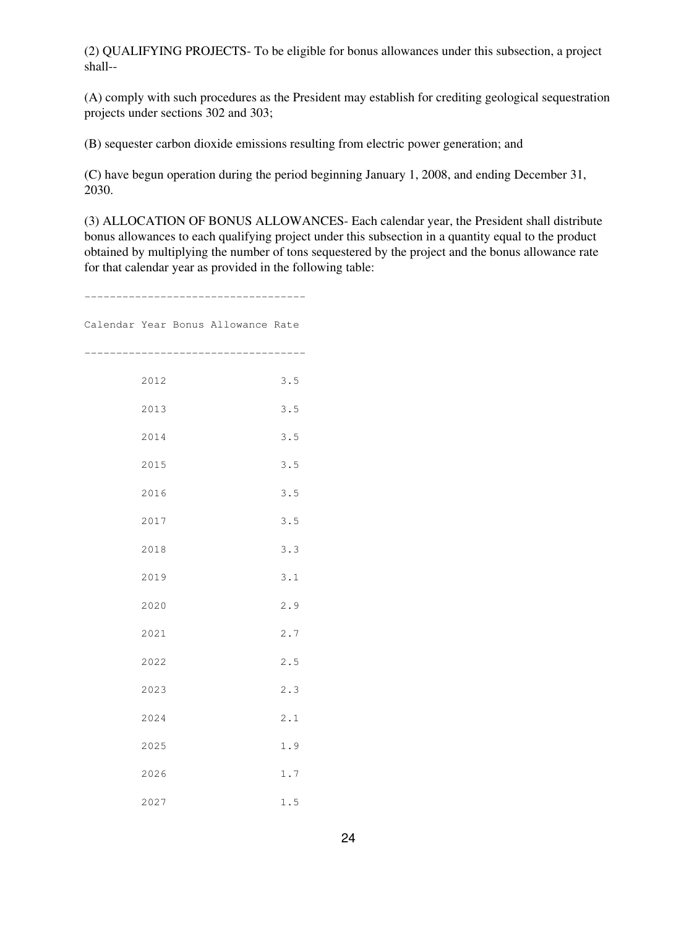(2) QUALIFYING PROJECTS- To be eligible for bonus allowances under this subsection, a project shall--

(A) comply with such procedures as the President may establish for crediting geological sequestration projects under sections 302 and 303;

(B) sequester carbon dioxide emissions resulting from electric power generation; and

(C) have begun operation during the period beginning January 1, 2008, and ending December 31, 2030.

(3) ALLOCATION OF BONUS ALLOWANCES- Each calendar year, the President shall distribute bonus allowances to each qualifying project under this subsection in a quantity equal to the product obtained by multiplying the number of tons sequestered by the project and the bonus allowance rate for that calendar year as provided in the following table:

-----------------------------------

Calendar Year Bonus Allowance Rate

----------------------------------- 2012 3.5 2013 3.5 2014 3.5 2015 3.5 2016 3.5 2017 3.5 2018 3.3 2019 3.1 2020 2.9 2021 2.7 2022 2.5 2023 2.3 2024 2.1 2025 1.9 2026 1.7 2027 1.5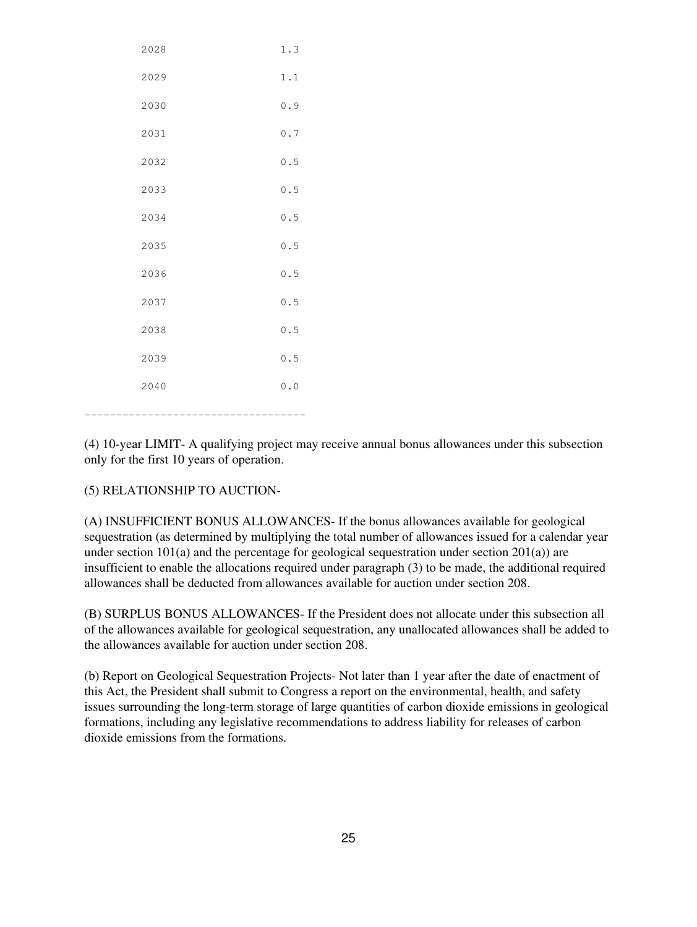| 2028 | 1.3 |
|------|-----|
| 2029 | 1.1 |
| 2030 | 0.9 |
| 2031 | 0.7 |
| 2032 | 0.5 |
| 2033 | 0.5 |
| 2034 | 0.5 |
| 2035 | 0.5 |
| 2036 | 0.5 |
| 2037 | 0.5 |
| 2038 | 0.5 |
| 2039 | 0.5 |
| 2040 | 0.0 |
|      |     |

(4) 10-year LIMIT- A qualifying project may receive annual bonus allowances under this subsection only for the first 10 years of operation.

(5) RELATIONSHIP TO AUCTION-

(A) INSUFFICIENT BONUS ALLOWANCES- If the bonus allowances available for geological sequestration (as determined by multiplying the total number of allowances issued for a calendar year under section  $101(a)$  and the percentage for geological sequestration under section  $201(a)$ ) are insufficient to enable the allocations required under paragraph (3) to be made, the additional required allowances shall be deducted from allowances available for auction under section 208.

(B) SURPLUS BONUS ALLOWANCES- If the President does not allocate under this subsection all of the allowances available for geological sequestration, any unallocated allowances shall be added to the allowances available for auction under section 208.

(b) Report on Geological Sequestration Projects- Not later than 1 year after the date of enactment of this Act, the President shall submit to Congress a report on the environmental, health, and safety issues surrounding the long-term storage of large quantities of carbon dioxide emissions in geological formations, including any legislative recommendations to address liability for releases of carbon dioxide emissions from the formations.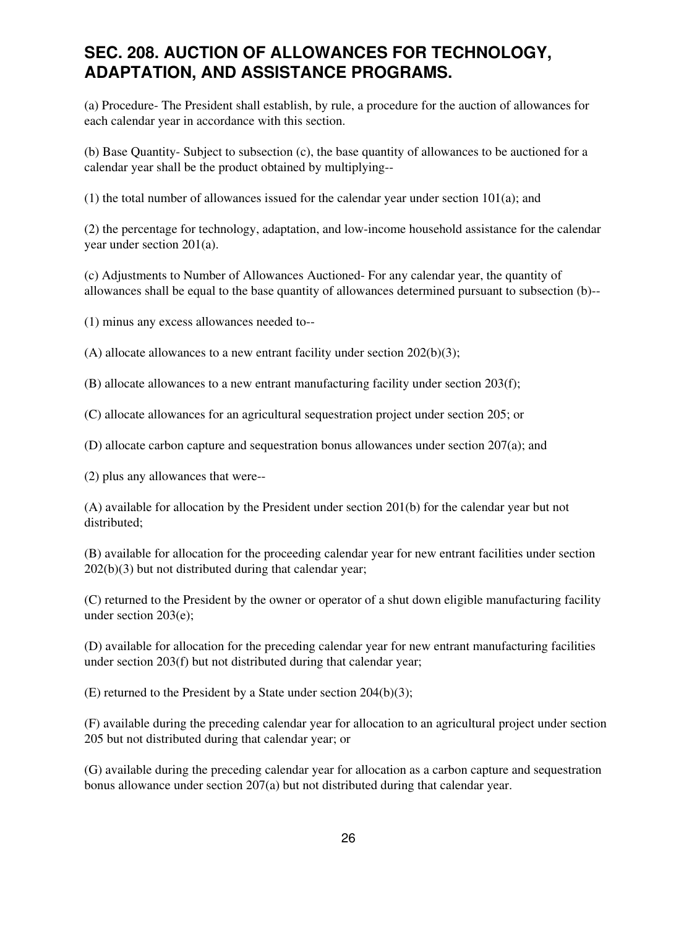### **SEC. 208. AUCTION OF ALLOWANCES FOR TECHNOLOGY, ADAPTATION, AND ASSISTANCE PROGRAMS.**

(a) Procedure- The President shall establish, by rule, a procedure for the auction of allowances for each calendar year in accordance with this section.

(b) Base Quantity- Subject to subsection (c), the base quantity of allowances to be auctioned for a calendar year shall be the product obtained by multiplying--

(1) the total number of allowances issued for the calendar year under section 101(a); and

(2) the percentage for technology, adaptation, and low-income household assistance for the calendar year under section 201(a).

(c) Adjustments to Number of Allowances Auctioned- For any calendar year, the quantity of allowances shall be equal to the base quantity of allowances determined pursuant to subsection (b)--

(1) minus any excess allowances needed to--

(A) allocate allowances to a new entrant facility under section  $202(b)(3)$ ;

(B) allocate allowances to a new entrant manufacturing facility under section 203(f);

(C) allocate allowances for an agricultural sequestration project under section 205; or

(D) allocate carbon capture and sequestration bonus allowances under section 207(a); and

(2) plus any allowances that were--

(A) available for allocation by the President under section 201(b) for the calendar year but not distributed;

(B) available for allocation for the proceeding calendar year for new entrant facilities under section 202(b)(3) but not distributed during that calendar year;

(C) returned to the President by the owner or operator of a shut down eligible manufacturing facility under section 203(e);

(D) available for allocation for the preceding calendar year for new entrant manufacturing facilities under section 203(f) but not distributed during that calendar year;

(E) returned to the President by a State under section 204(b)(3);

(F) available during the preceding calendar year for allocation to an agricultural project under section 205 but not distributed during that calendar year; or

(G) available during the preceding calendar year for allocation as a carbon capture and sequestration bonus allowance under section 207(a) but not distributed during that calendar year.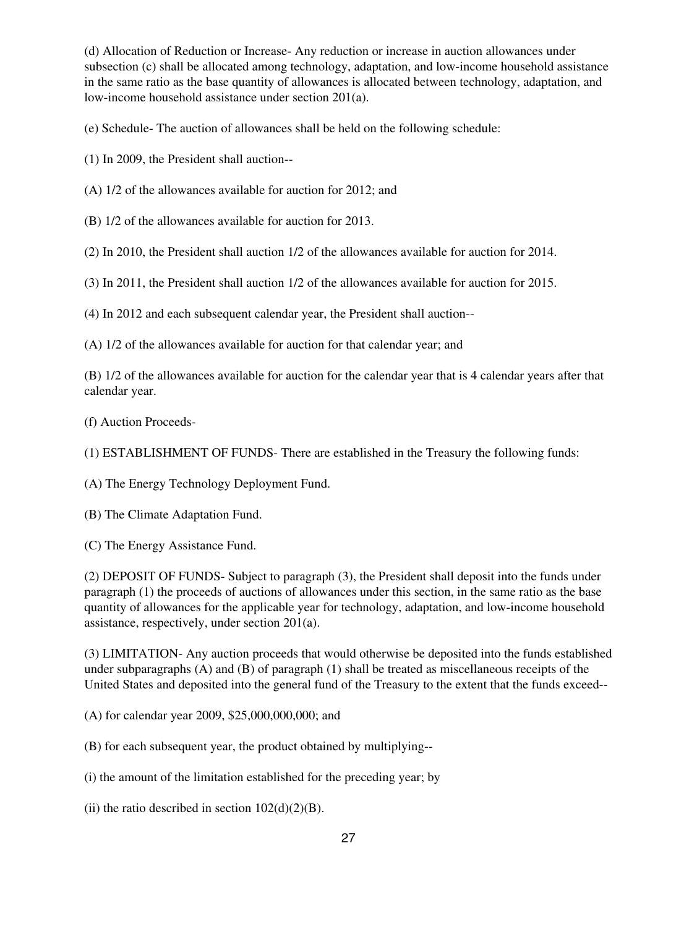(d) Allocation of Reduction or Increase- Any reduction or increase in auction allowances under subsection (c) shall be allocated among technology, adaptation, and low-income household assistance in the same ratio as the base quantity of allowances is allocated between technology, adaptation, and low-income household assistance under section 201(a).

(e) Schedule- The auction of allowances shall be held on the following schedule:

(1) In 2009, the President shall auction--

(A) 1/2 of the allowances available for auction for 2012; and

(B) 1/2 of the allowances available for auction for 2013.

(2) In 2010, the President shall auction 1/2 of the allowances available for auction for 2014.

(3) In 2011, the President shall auction 1/2 of the allowances available for auction for 2015.

(4) In 2012 and each subsequent calendar year, the President shall auction--

(A) 1/2 of the allowances available for auction for that calendar year; and

(B) 1/2 of the allowances available for auction for the calendar year that is 4 calendar years after that calendar year.

(f) Auction Proceeds-

(1) ESTABLISHMENT OF FUNDS- There are established in the Treasury the following funds:

(A) The Energy Technology Deployment Fund.

(B) The Climate Adaptation Fund.

(C) The Energy Assistance Fund.

(2) DEPOSIT OF FUNDS- Subject to paragraph (3), the President shall deposit into the funds under paragraph (1) the proceeds of auctions of allowances under this section, in the same ratio as the base quantity of allowances for the applicable year for technology, adaptation, and low-income household assistance, respectively, under section 201(a).

(3) LIMITATION- Any auction proceeds that would otherwise be deposited into the funds established under subparagraphs (A) and (B) of paragraph (1) shall be treated as miscellaneous receipts of the United States and deposited into the general fund of the Treasury to the extent that the funds exceed--

(A) for calendar year 2009, \$25,000,000,000; and

(B) for each subsequent year, the product obtained by multiplying--

(i) the amount of the limitation established for the preceding year; by

(ii) the ratio described in section  $102(d)(2)(B)$ .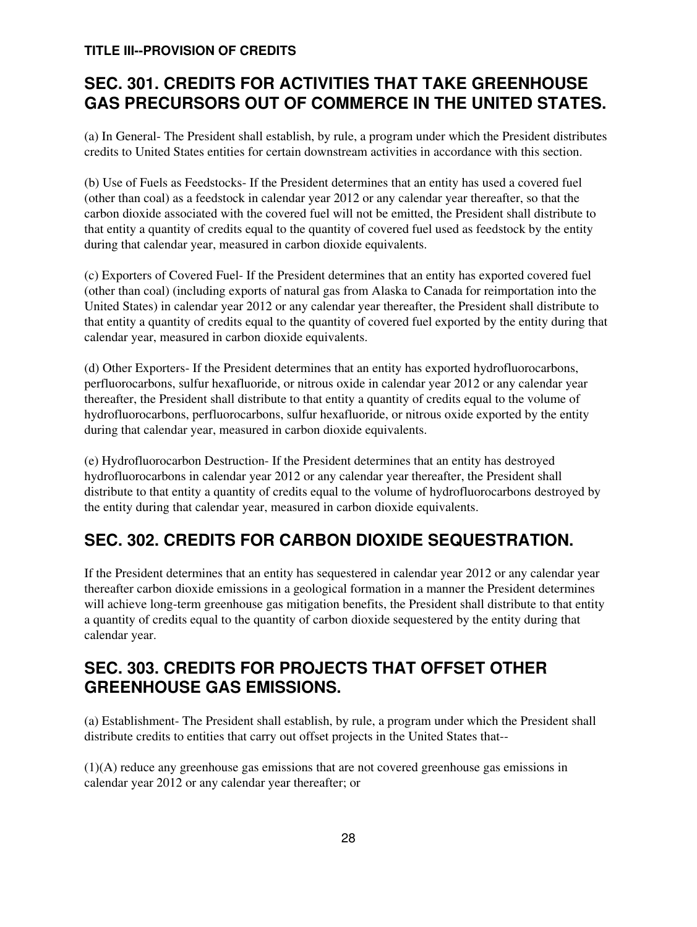### **TITLE III--PROVISION OF CREDITS**

# **SEC. 301. CREDITS FOR ACTIVITIES THAT TAKE GREENHOUSE GAS PRECURSORS OUT OF COMMERCE IN THE UNITED STATES.**

(a) In General- The President shall establish, by rule, a program under which the President distributes credits to United States entities for certain downstream activities in accordance with this section.

(b) Use of Fuels as Feedstocks- If the President determines that an entity has used a covered fuel (other than coal) as a feedstock in calendar year 2012 or any calendar year thereafter, so that the carbon dioxide associated with the covered fuel will not be emitted, the President shall distribute to that entity a quantity of credits equal to the quantity of covered fuel used as feedstock by the entity during that calendar year, measured in carbon dioxide equivalents.

(c) Exporters of Covered Fuel- If the President determines that an entity has exported covered fuel (other than coal) (including exports of natural gas from Alaska to Canada for reimportation into the United States) in calendar year 2012 or any calendar year thereafter, the President shall distribute to that entity a quantity of credits equal to the quantity of covered fuel exported by the entity during that calendar year, measured in carbon dioxide equivalents.

(d) Other Exporters- If the President determines that an entity has exported hydrofluorocarbons, perfluorocarbons, sulfur hexafluoride, or nitrous oxide in calendar year 2012 or any calendar year thereafter, the President shall distribute to that entity a quantity of credits equal to the volume of hydrofluorocarbons, perfluorocarbons, sulfur hexafluoride, or nitrous oxide exported by the entity during that calendar year, measured in carbon dioxide equivalents.

(e) Hydrofluorocarbon Destruction- If the President determines that an entity has destroyed hydrofluorocarbons in calendar year 2012 or any calendar year thereafter, the President shall distribute to that entity a quantity of credits equal to the volume of hydrofluorocarbons destroyed by the entity during that calendar year, measured in carbon dioxide equivalents.

# **SEC. 302. CREDITS FOR CARBON DIOXIDE SEQUESTRATION.**

If the President determines that an entity has sequestered in calendar year 2012 or any calendar year thereafter carbon dioxide emissions in a geological formation in a manner the President determines will achieve long-term greenhouse gas mitigation benefits, the President shall distribute to that entity a quantity of credits equal to the quantity of carbon dioxide sequestered by the entity during that calendar year.

# **SEC. 303. CREDITS FOR PROJECTS THAT OFFSET OTHER GREENHOUSE GAS EMISSIONS.**

(a) Establishment- The President shall establish, by rule, a program under which the President shall distribute credits to entities that carry out offset projects in the United States that--

(1)(A) reduce any greenhouse gas emissions that are not covered greenhouse gas emissions in calendar year 2012 or any calendar year thereafter; or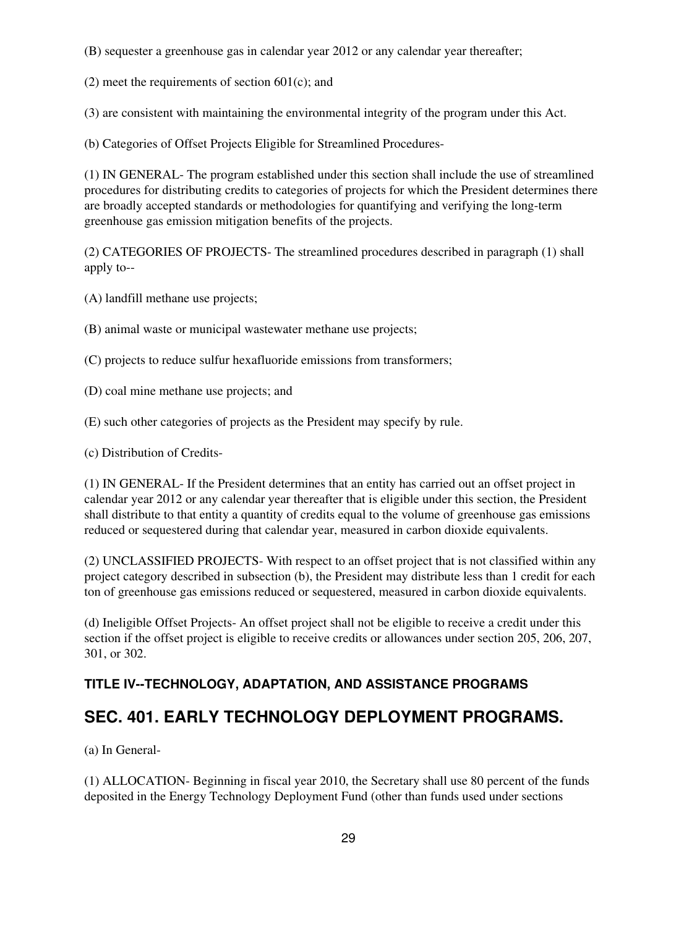(B) sequester a greenhouse gas in calendar year 2012 or any calendar year thereafter;

(2) meet the requirements of section 601(c); and

(3) are consistent with maintaining the environmental integrity of the program under this Act.

(b) Categories of Offset Projects Eligible for Streamlined Procedures-

(1) IN GENERAL- The program established under this section shall include the use of streamlined procedures for distributing credits to categories of projects for which the President determines there are broadly accepted standards or methodologies for quantifying and verifying the long-term greenhouse gas emission mitigation benefits of the projects.

(2) CATEGORIES OF PROJECTS- The streamlined procedures described in paragraph (1) shall apply to--

- (A) landfill methane use projects;
- (B) animal waste or municipal wastewater methane use projects;

(C) projects to reduce sulfur hexafluoride emissions from transformers;

- (D) coal mine methane use projects; and
- (E) such other categories of projects as the President may specify by rule.
- (c) Distribution of Credits-

(1) IN GENERAL- If the President determines that an entity has carried out an offset project in calendar year 2012 or any calendar year thereafter that is eligible under this section, the President shall distribute to that entity a quantity of credits equal to the volume of greenhouse gas emissions reduced or sequestered during that calendar year, measured in carbon dioxide equivalents.

(2) UNCLASSIFIED PROJECTS- With respect to an offset project that is not classified within any project category described in subsection (b), the President may distribute less than 1 credit for each ton of greenhouse gas emissions reduced or sequestered, measured in carbon dioxide equivalents.

(d) Ineligible Offset Projects- An offset project shall not be eligible to receive a credit under this section if the offset project is eligible to receive credits or allowances under section 205, 206, 207, 301, or 302.

### **TITLE IV--TECHNOLOGY, ADAPTATION, AND ASSISTANCE PROGRAMS**

### **SEC. 401. EARLY TECHNOLOGY DEPLOYMENT PROGRAMS.**

(a) In General-

(1) ALLOCATION- Beginning in fiscal year 2010, the Secretary shall use 80 percent of the funds deposited in the Energy Technology Deployment Fund (other than funds used under sections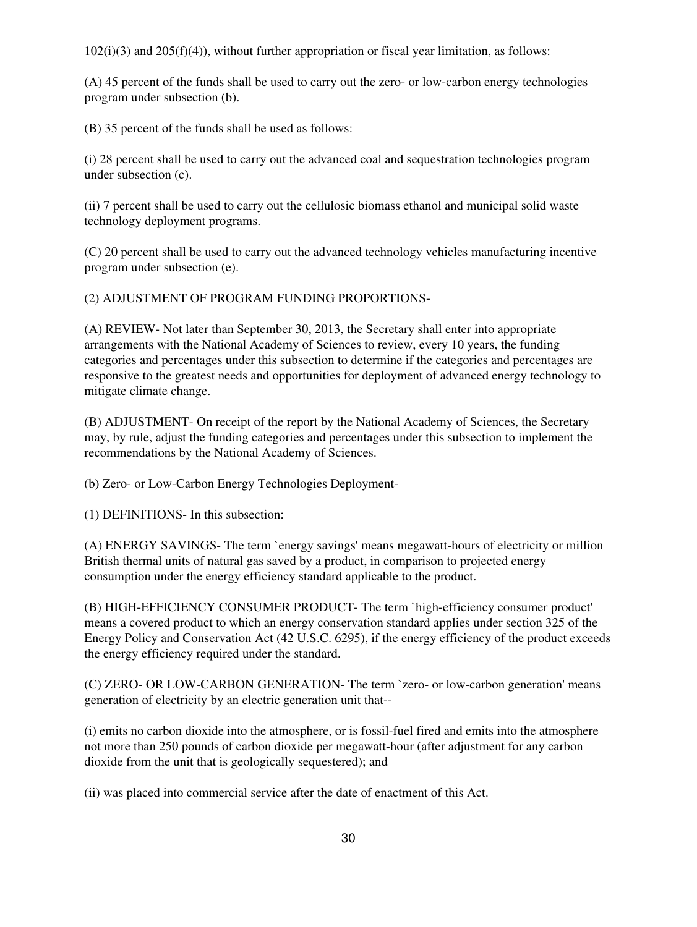102(i)(3) and 205(f)(4)), without further appropriation or fiscal year limitation, as follows:

(A) 45 percent of the funds shall be used to carry out the zero- or low-carbon energy technologies program under subsection (b).

(B) 35 percent of the funds shall be used as follows:

(i) 28 percent shall be used to carry out the advanced coal and sequestration technologies program under subsection (c).

(ii) 7 percent shall be used to carry out the cellulosic biomass ethanol and municipal solid waste technology deployment programs.

(C) 20 percent shall be used to carry out the advanced technology vehicles manufacturing incentive program under subsection (e).

(2) ADJUSTMENT OF PROGRAM FUNDING PROPORTIONS-

(A) REVIEW- Not later than September 30, 2013, the Secretary shall enter into appropriate arrangements with the National Academy of Sciences to review, every 10 years, the funding categories and percentages under this subsection to determine if the categories and percentages are responsive to the greatest needs and opportunities for deployment of advanced energy technology to mitigate climate change.

(B) ADJUSTMENT- On receipt of the report by the National Academy of Sciences, the Secretary may, by rule, adjust the funding categories and percentages under this subsection to implement the recommendations by the National Academy of Sciences.

(b) Zero- or Low-Carbon Energy Technologies Deployment-

(1) DEFINITIONS- In this subsection:

(A) ENERGY SAVINGS- The term `energy savings' means megawatt-hours of electricity or million British thermal units of natural gas saved by a product, in comparison to projected energy consumption under the energy efficiency standard applicable to the product.

(B) HIGH-EFFICIENCY CONSUMER PRODUCT- The term `high-efficiency consumer product' means a covered product to which an energy conservation standard applies under section 325 of the Energy Policy and Conservation Act (42 U.S.C. 6295), if the energy efficiency of the product exceeds the energy efficiency required under the standard.

(C) ZERO- OR LOW-CARBON GENERATION- The term `zero- or low-carbon generation' means generation of electricity by an electric generation unit that--

(i) emits no carbon dioxide into the atmosphere, or is fossil-fuel fired and emits into the atmosphere not more than 250 pounds of carbon dioxide per megawatt-hour (after adjustment for any carbon dioxide from the unit that is geologically sequestered); and

(ii) was placed into commercial service after the date of enactment of this Act.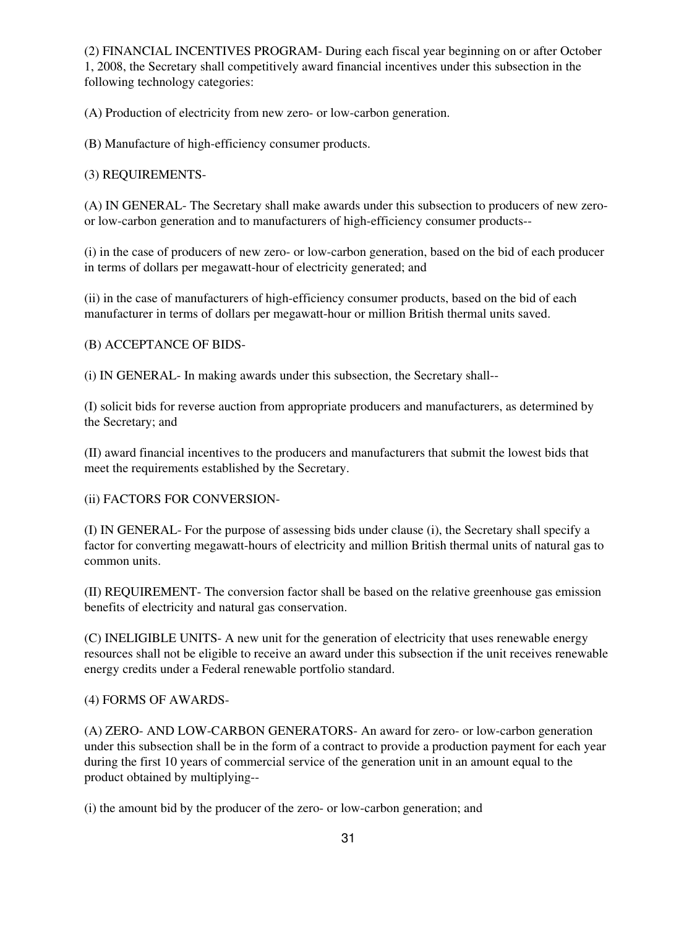(2) FINANCIAL INCENTIVES PROGRAM- During each fiscal year beginning on or after October 1, 2008, the Secretary shall competitively award financial incentives under this subsection in the following technology categories:

(A) Production of electricity from new zero- or low-carbon generation.

(B) Manufacture of high-efficiency consumer products.

(3) REQUIREMENTS-

(A) IN GENERAL- The Secretary shall make awards under this subsection to producers of new zeroor low-carbon generation and to manufacturers of high-efficiency consumer products--

(i) in the case of producers of new zero- or low-carbon generation, based on the bid of each producer in terms of dollars per megawatt-hour of electricity generated; and

(ii) in the case of manufacturers of high-efficiency consumer products, based on the bid of each manufacturer in terms of dollars per megawatt-hour or million British thermal units saved.

#### (B) ACCEPTANCE OF BIDS-

(i) IN GENERAL- In making awards under this subsection, the Secretary shall--

(I) solicit bids for reverse auction from appropriate producers and manufacturers, as determined by the Secretary; and

(II) award financial incentives to the producers and manufacturers that submit the lowest bids that meet the requirements established by the Secretary.

(ii) FACTORS FOR CONVERSION-

(I) IN GENERAL- For the purpose of assessing bids under clause (i), the Secretary shall specify a factor for converting megawatt-hours of electricity and million British thermal units of natural gas to common units.

(II) REQUIREMENT- The conversion factor shall be based on the relative greenhouse gas emission benefits of electricity and natural gas conservation.

(C) INELIGIBLE UNITS- A new unit for the generation of electricity that uses renewable energy resources shall not be eligible to receive an award under this subsection if the unit receives renewable energy credits under a Federal renewable portfolio standard.

#### (4) FORMS OF AWARDS-

(A) ZERO- AND LOW-CARBON GENERATORS- An award for zero- or low-carbon generation under this subsection shall be in the form of a contract to provide a production payment for each year during the first 10 years of commercial service of the generation unit in an amount equal to the product obtained by multiplying--

(i) the amount bid by the producer of the zero- or low-carbon generation; and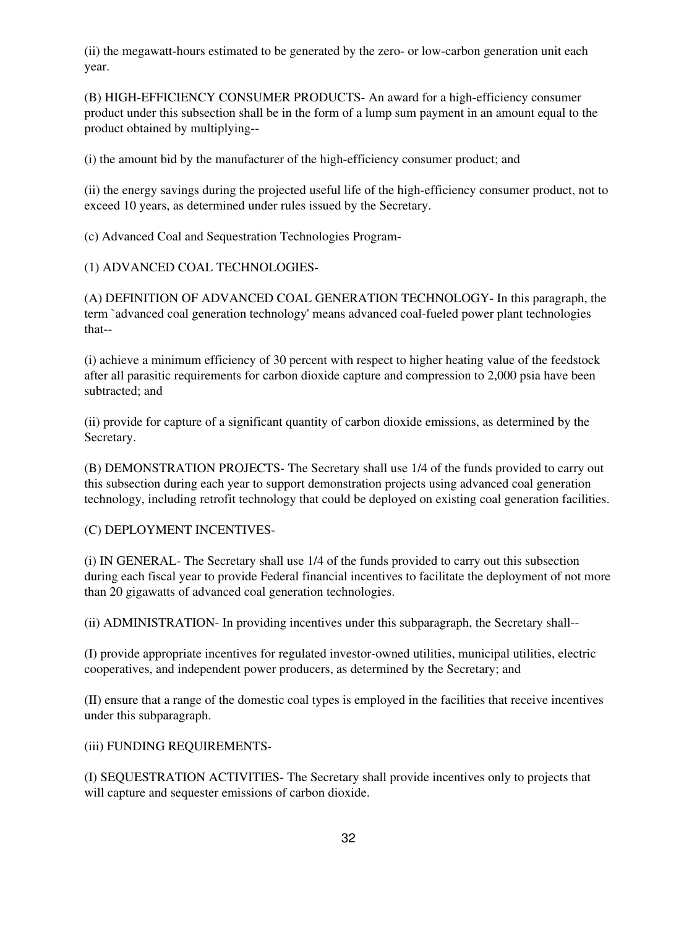(ii) the megawatt-hours estimated to be generated by the zero- or low-carbon generation unit each year.

(B) HIGH-EFFICIENCY CONSUMER PRODUCTS- An award for a high-efficiency consumer product under this subsection shall be in the form of a lump sum payment in an amount equal to the product obtained by multiplying--

(i) the amount bid by the manufacturer of the high-efficiency consumer product; and

(ii) the energy savings during the projected useful life of the high-efficiency consumer product, not to exceed 10 years, as determined under rules issued by the Secretary.

(c) Advanced Coal and Sequestration Technologies Program-

(1) ADVANCED COAL TECHNOLOGIES-

(A) DEFINITION OF ADVANCED COAL GENERATION TECHNOLOGY- In this paragraph, the term `advanced coal generation technology' means advanced coal-fueled power plant technologies that--

(i) achieve a minimum efficiency of 30 percent with respect to higher heating value of the feedstock after all parasitic requirements for carbon dioxide capture and compression to 2,000 psia have been subtracted; and

(ii) provide for capture of a significant quantity of carbon dioxide emissions, as determined by the Secretary.

(B) DEMONSTRATION PROJECTS- The Secretary shall use 1/4 of the funds provided to carry out this subsection during each year to support demonstration projects using advanced coal generation technology, including retrofit technology that could be deployed on existing coal generation facilities.

(C) DEPLOYMENT INCENTIVES-

(i) IN GENERAL- The Secretary shall use 1/4 of the funds provided to carry out this subsection during each fiscal year to provide Federal financial incentives to facilitate the deployment of not more than 20 gigawatts of advanced coal generation technologies.

(ii) ADMINISTRATION- In providing incentives under this subparagraph, the Secretary shall--

(I) provide appropriate incentives for regulated investor-owned utilities, municipal utilities, electric cooperatives, and independent power producers, as determined by the Secretary; and

(II) ensure that a range of the domestic coal types is employed in the facilities that receive incentives under this subparagraph.

(iii) FUNDING REQUIREMENTS-

(I) SEQUESTRATION ACTIVITIES- The Secretary shall provide incentives only to projects that will capture and sequester emissions of carbon dioxide.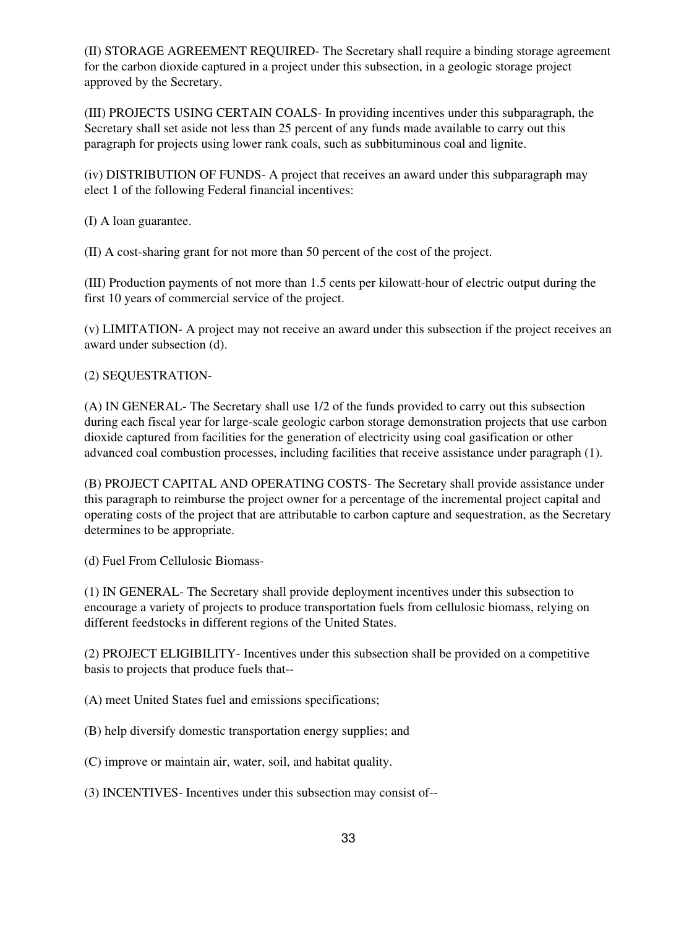(II) STORAGE AGREEMENT REQUIRED- The Secretary shall require a binding storage agreement for the carbon dioxide captured in a project under this subsection, in a geologic storage project approved by the Secretary.

(III) PROJECTS USING CERTAIN COALS- In providing incentives under this subparagraph, the Secretary shall set aside not less than 25 percent of any funds made available to carry out this paragraph for projects using lower rank coals, such as subbituminous coal and lignite.

(iv) DISTRIBUTION OF FUNDS- A project that receives an award under this subparagraph may elect 1 of the following Federal financial incentives:

(I) A loan guarantee.

(II) A cost-sharing grant for not more than 50 percent of the cost of the project.

(III) Production payments of not more than 1.5 cents per kilowatt-hour of electric output during the first 10 years of commercial service of the project.

(v) LIMITATION- A project may not receive an award under this subsection if the project receives an award under subsection (d).

#### (2) SEQUESTRATION-

(A) IN GENERAL- The Secretary shall use 1/2 of the funds provided to carry out this subsection during each fiscal year for large-scale geologic carbon storage demonstration projects that use carbon dioxide captured from facilities for the generation of electricity using coal gasification or other advanced coal combustion processes, including facilities that receive assistance under paragraph (1).

(B) PROJECT CAPITAL AND OPERATING COSTS- The Secretary shall provide assistance under this paragraph to reimburse the project owner for a percentage of the incremental project capital and operating costs of the project that are attributable to carbon capture and sequestration, as the Secretary determines to be appropriate.

(d) Fuel From Cellulosic Biomass-

(1) IN GENERAL- The Secretary shall provide deployment incentives under this subsection to encourage a variety of projects to produce transportation fuels from cellulosic biomass, relying on different feedstocks in different regions of the United States.

(2) PROJECT ELIGIBILITY- Incentives under this subsection shall be provided on a competitive basis to projects that produce fuels that--

(A) meet United States fuel and emissions specifications;

- (B) help diversify domestic transportation energy supplies; and
- (C) improve or maintain air, water, soil, and habitat quality.
- (3) INCENTIVES- Incentives under this subsection may consist of--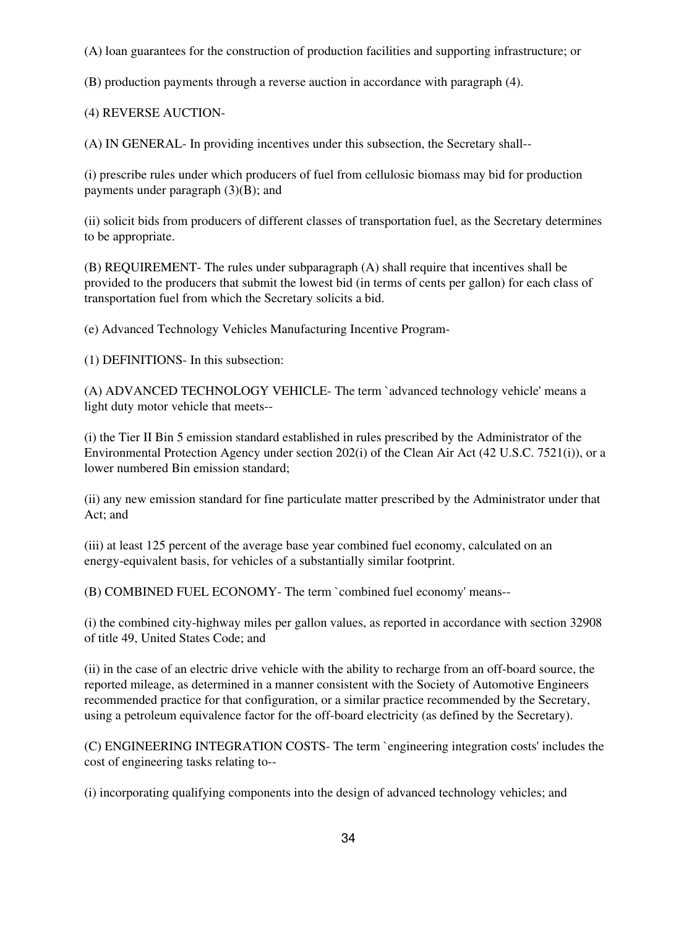(A) loan guarantees for the construction of production facilities and supporting infrastructure; or

(B) production payments through a reverse auction in accordance with paragraph (4).

(4) REVERSE AUCTION-

(A) IN GENERAL- In providing incentives under this subsection, the Secretary shall--

(i) prescribe rules under which producers of fuel from cellulosic biomass may bid for production payments under paragraph (3)(B); and

(ii) solicit bids from producers of different classes of transportation fuel, as the Secretary determines to be appropriate.

(B) REQUIREMENT- The rules under subparagraph (A) shall require that incentives shall be provided to the producers that submit the lowest bid (in terms of cents per gallon) for each class of transportation fuel from which the Secretary solicits a bid.

(e) Advanced Technology Vehicles Manufacturing Incentive Program-

(1) DEFINITIONS- In this subsection:

(A) ADVANCED TECHNOLOGY VEHICLE- The term `advanced technology vehicle' means a light duty motor vehicle that meets--

(i) the Tier II Bin 5 emission standard established in rules prescribed by the Administrator of the Environmental Protection Agency under section 202(i) of the Clean Air Act (42 U.S.C. 7521(i)), or a lower numbered Bin emission standard;

(ii) any new emission standard for fine particulate matter prescribed by the Administrator under that Act; and

(iii) at least 125 percent of the average base year combined fuel economy, calculated on an energy-equivalent basis, for vehicles of a substantially similar footprint.

(B) COMBINED FUEL ECONOMY- The term `combined fuel economy' means--

(i) the combined city-highway miles per gallon values, as reported in accordance with section 32908 of title 49, United States Code; and

(ii) in the case of an electric drive vehicle with the ability to recharge from an off-board source, the reported mileage, as determined in a manner consistent with the Society of Automotive Engineers recommended practice for that configuration, or a similar practice recommended by the Secretary, using a petroleum equivalence factor for the off-board electricity (as defined by the Secretary).

(C) ENGINEERING INTEGRATION COSTS- The term `engineering integration costs' includes the cost of engineering tasks relating to--

(i) incorporating qualifying components into the design of advanced technology vehicles; and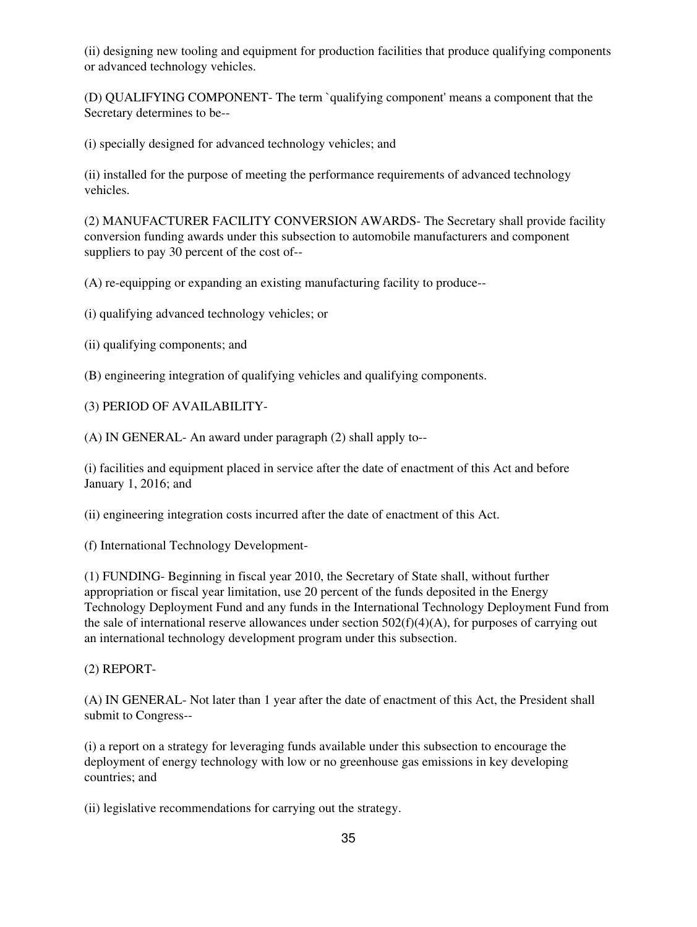(ii) designing new tooling and equipment for production facilities that produce qualifying components or advanced technology vehicles.

(D) QUALIFYING COMPONENT- The term `qualifying component' means a component that the Secretary determines to be--

(i) specially designed for advanced technology vehicles; and

(ii) installed for the purpose of meeting the performance requirements of advanced technology vehicles.

(2) MANUFACTURER FACILITY CONVERSION AWARDS- The Secretary shall provide facility conversion funding awards under this subsection to automobile manufacturers and component suppliers to pay 30 percent of the cost of--

(A) re-equipping or expanding an existing manufacturing facility to produce--

(i) qualifying advanced technology vehicles; or

(ii) qualifying components; and

(B) engineering integration of qualifying vehicles and qualifying components.

(3) PERIOD OF AVAILABILITY-

(A) IN GENERAL- An award under paragraph (2) shall apply to--

(i) facilities and equipment placed in service after the date of enactment of this Act and before January 1, 2016; and

(ii) engineering integration costs incurred after the date of enactment of this Act.

(f) International Technology Development-

(1) FUNDING- Beginning in fiscal year 2010, the Secretary of State shall, without further appropriation or fiscal year limitation, use 20 percent of the funds deposited in the Energy Technology Deployment Fund and any funds in the International Technology Deployment Fund from the sale of international reserve allowances under section  $502(f)(4)(A)$ , for purposes of carrying out an international technology development program under this subsection.

(2) REPORT-

(A) IN GENERAL- Not later than 1 year after the date of enactment of this Act, the President shall submit to Congress--

(i) a report on a strategy for leveraging funds available under this subsection to encourage the deployment of energy technology with low or no greenhouse gas emissions in key developing countries; and

(ii) legislative recommendations for carrying out the strategy.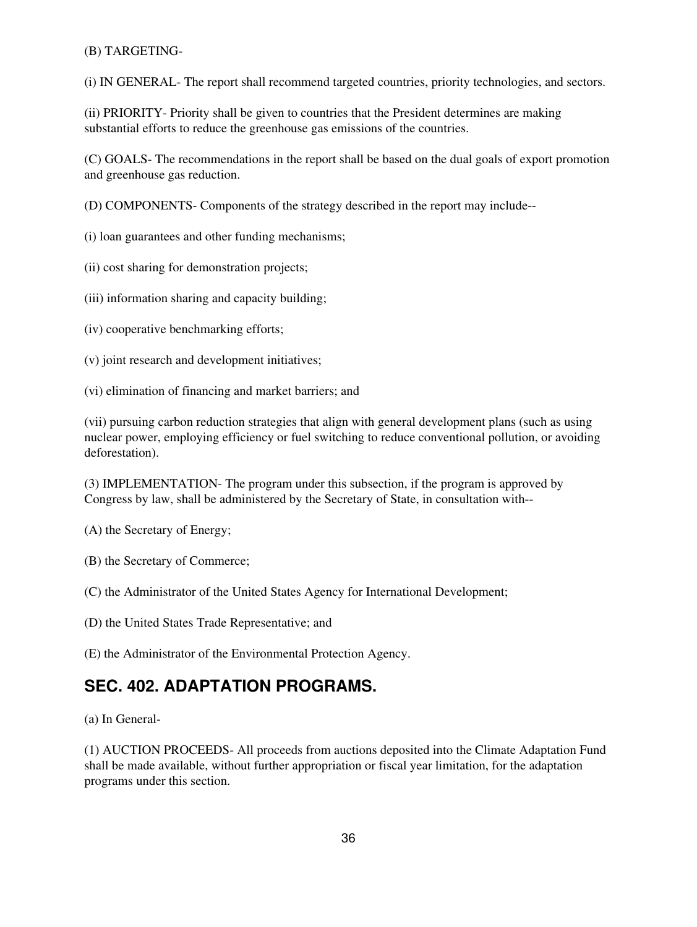#### (B) TARGETING-

(i) IN GENERAL- The report shall recommend targeted countries, priority technologies, and sectors.

(ii) PRIORITY- Priority shall be given to countries that the President determines are making substantial efforts to reduce the greenhouse gas emissions of the countries.

(C) GOALS- The recommendations in the report shall be based on the dual goals of export promotion and greenhouse gas reduction.

(D) COMPONENTS- Components of the strategy described in the report may include--

(i) loan guarantees and other funding mechanisms;

(ii) cost sharing for demonstration projects;

(iii) information sharing and capacity building;

(iv) cooperative benchmarking efforts;

(v) joint research and development initiatives;

(vi) elimination of financing and market barriers; and

(vii) pursuing carbon reduction strategies that align with general development plans (such as using nuclear power, employing efficiency or fuel switching to reduce conventional pollution, or avoiding deforestation).

(3) IMPLEMENTATION- The program under this subsection, if the program is approved by Congress by law, shall be administered by the Secretary of State, in consultation with--

(A) the Secretary of Energy;

(B) the Secretary of Commerce;

(C) the Administrator of the United States Agency for International Development;

(D) the United States Trade Representative; and

(E) the Administrator of the Environmental Protection Agency.

### **SEC. 402. ADAPTATION PROGRAMS.**

(a) In General-

(1) AUCTION PROCEEDS- All proceeds from auctions deposited into the Climate Adaptation Fund shall be made available, without further appropriation or fiscal year limitation, for the adaptation programs under this section.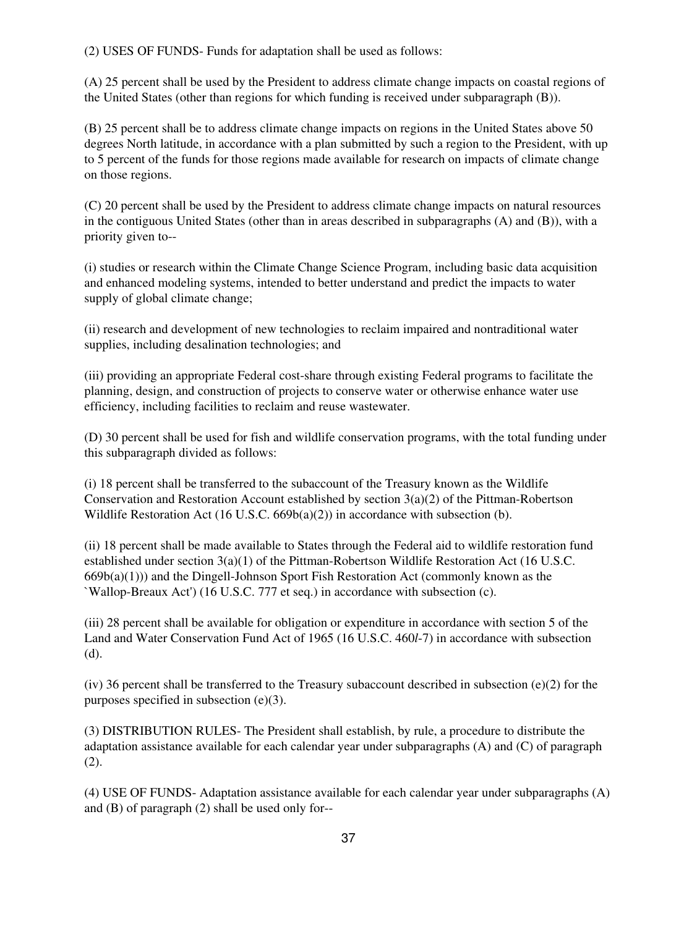(2) USES OF FUNDS- Funds for adaptation shall be used as follows:

(A) 25 percent shall be used by the President to address climate change impacts on coastal regions of the United States (other than regions for which funding is received under subparagraph (B)).

(B) 25 percent shall be to address climate change impacts on regions in the United States above 50 degrees North latitude, in accordance with a plan submitted by such a region to the President, with up to 5 percent of the funds for those regions made available for research on impacts of climate change on those regions.

(C) 20 percent shall be used by the President to address climate change impacts on natural resources in the contiguous United States (other than in areas described in subparagraphs (A) and (B)), with a priority given to--

(i) studies or research within the Climate Change Science Program, including basic data acquisition and enhanced modeling systems, intended to better understand and predict the impacts to water supply of global climate change;

(ii) research and development of new technologies to reclaim impaired and nontraditional water supplies, including desalination technologies; and

(iii) providing an appropriate Federal cost-share through existing Federal programs to facilitate the planning, design, and construction of projects to conserve water or otherwise enhance water use efficiency, including facilities to reclaim and reuse wastewater.

(D) 30 percent shall be used for fish and wildlife conservation programs, with the total funding under this subparagraph divided as follows:

(i) 18 percent shall be transferred to the subaccount of the Treasury known as the Wildlife Conservation and Restoration Account established by section  $3(a)(2)$  of the Pittman-Robertson Wildlife Restoration Act (16 U.S.C. 669b(a)(2)) in accordance with subsection (b).

(ii) 18 percent shall be made available to States through the Federal aid to wildlife restoration fund established under section 3(a)(1) of the Pittman-Robertson Wildlife Restoration Act (16 U.S.C.  $669b(a)(1)$ ) and the Dingell-Johnson Sport Fish Restoration Act (commonly known as the `Wallop-Breaux Act') (16 U.S.C. 777 et seq.) in accordance with subsection (c).

(iii) 28 percent shall be available for obligation or expenditure in accordance with section 5 of the Land and Water Conservation Fund Act of 1965 (16 U.S.C. 460*l*-7) in accordance with subsection (d).

(iv) 36 percent shall be transferred to the Treasury subaccount described in subsection (e)(2) for the purposes specified in subsection (e)(3).

(3) DISTRIBUTION RULES- The President shall establish, by rule, a procedure to distribute the adaptation assistance available for each calendar year under subparagraphs (A) and (C) of paragraph (2).

(4) USE OF FUNDS- Adaptation assistance available for each calendar year under subparagraphs (A) and (B) of paragraph (2) shall be used only for--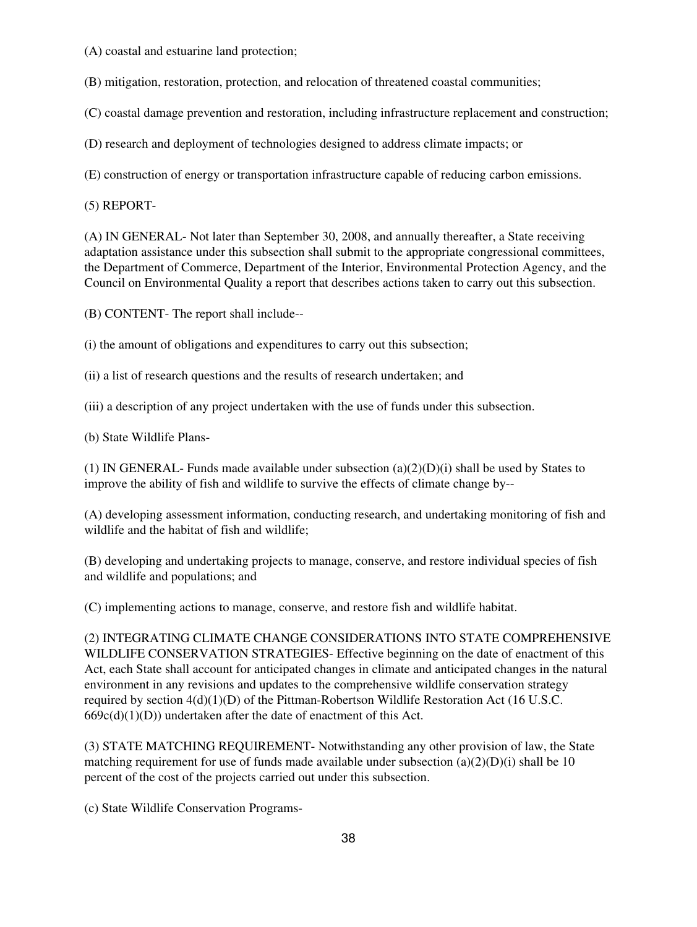(A) coastal and estuarine land protection;

(B) mitigation, restoration, protection, and relocation of threatened coastal communities;

(C) coastal damage prevention and restoration, including infrastructure replacement and construction;

(D) research and deployment of technologies designed to address climate impacts; or

(E) construction of energy or transportation infrastructure capable of reducing carbon emissions.

(5) REPORT-

(A) IN GENERAL- Not later than September 30, 2008, and annually thereafter, a State receiving adaptation assistance under this subsection shall submit to the appropriate congressional committees, the Department of Commerce, Department of the Interior, Environmental Protection Agency, and the Council on Environmental Quality a report that describes actions taken to carry out this subsection.

(B) CONTENT- The report shall include--

(i) the amount of obligations and expenditures to carry out this subsection;

(ii) a list of research questions and the results of research undertaken; and

(iii) a description of any project undertaken with the use of funds under this subsection.

(b) State Wildlife Plans-

(1) IN GENERAL- Funds made available under subsection  $(a)(2)(D)(i)$  shall be used by States to improve the ability of fish and wildlife to survive the effects of climate change by--

(A) developing assessment information, conducting research, and undertaking monitoring of fish and wildlife and the habitat of fish and wildlife;

(B) developing and undertaking projects to manage, conserve, and restore individual species of fish and wildlife and populations; and

(C) implementing actions to manage, conserve, and restore fish and wildlife habitat.

(2) INTEGRATING CLIMATE CHANGE CONSIDERATIONS INTO STATE COMPREHENSIVE WILDLIFE CONSERVATION STRATEGIES- Effective beginning on the date of enactment of this Act, each State shall account for anticipated changes in climate and anticipated changes in the natural environment in any revisions and updates to the comprehensive wildlife conservation strategy required by section  $4(d)(1)(D)$  of the Pittman-Robertson Wildlife Restoration Act (16 U.S.C.  $669c(d)(1)(D)$ ) undertaken after the date of enactment of this Act.

(3) STATE MATCHING REQUIREMENT- Notwithstanding any other provision of law, the State matching requirement for use of funds made available under subsection (a)(2)(D)(i) shall be 10 percent of the cost of the projects carried out under this subsection.

(c) State Wildlife Conservation Programs-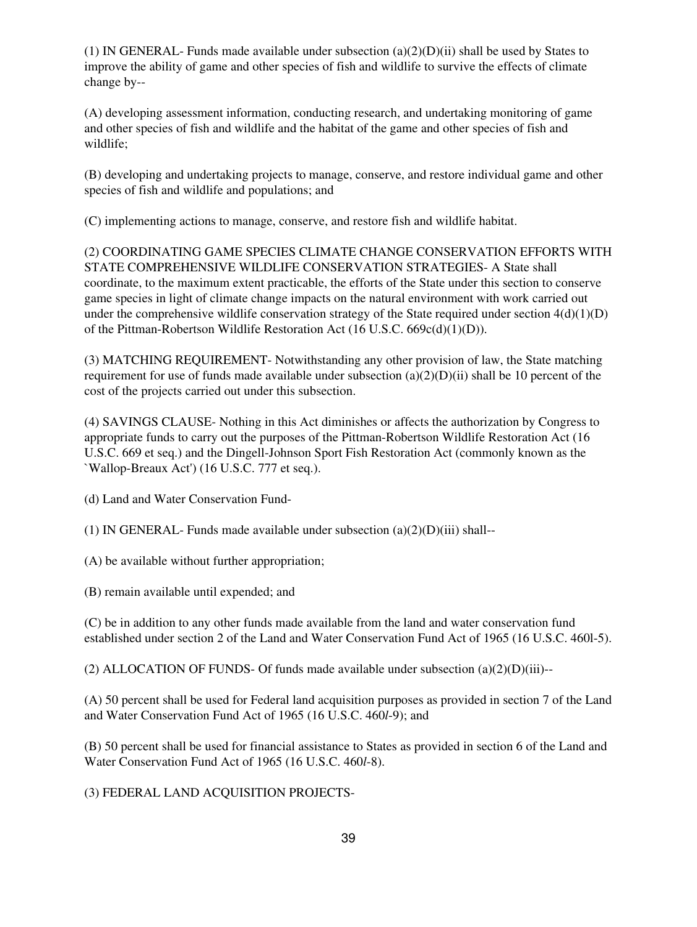(1) IN GENERAL- Funds made available under subsection  $(a)(2)(D)(ii)$  shall be used by States to improve the ability of game and other species of fish and wildlife to survive the effects of climate change by--

(A) developing assessment information, conducting research, and undertaking monitoring of game and other species of fish and wildlife and the habitat of the game and other species of fish and wildlife;

(B) developing and undertaking projects to manage, conserve, and restore individual game and other species of fish and wildlife and populations; and

(C) implementing actions to manage, conserve, and restore fish and wildlife habitat.

(2) COORDINATING GAME SPECIES CLIMATE CHANGE CONSERVATION EFFORTS WITH STATE COMPREHENSIVE WILDLIFE CONSERVATION STRATEGIES- A State shall coordinate, to the maximum extent practicable, the efforts of the State under this section to conserve game species in light of climate change impacts on the natural environment with work carried out under the comprehensive wildlife conservation strategy of the State required under section  $4(d)(1)(D)$ of the Pittman-Robertson Wildlife Restoration Act (16 U.S.C. 669c(d)(1)(D)).

(3) MATCHING REQUIREMENT- Notwithstanding any other provision of law, the State matching requirement for use of funds made available under subsection  $(a)(2)(D)(ii)$  shall be 10 percent of the cost of the projects carried out under this subsection.

(4) SAVINGS CLAUSE- Nothing in this Act diminishes or affects the authorization by Congress to appropriate funds to carry out the purposes of the Pittman-Robertson Wildlife Restoration Act (16 U.S.C. 669 et seq.) and the Dingell-Johnson Sport Fish Restoration Act (commonly known as the `Wallop-Breaux Act') (16 U.S.C. 777 et seq.).

(d) Land and Water Conservation Fund-

(1) IN GENERAL- Funds made available under subsection  $(a)(2)(D)(iii)$  shall--

(A) be available without further appropriation;

(B) remain available until expended; and

(C) be in addition to any other funds made available from the land and water conservation fund established under section 2 of the Land and Water Conservation Fund Act of 1965 (16 U.S.C. 460l-5).

(2) ALLOCATION OF FUNDS- Of funds made available under subsection (a)(2)(D)(iii)--

(A) 50 percent shall be used for Federal land acquisition purposes as provided in section 7 of the Land and Water Conservation Fund Act of 1965 (16 U.S.C. 460*l*-9); and

(B) 50 percent shall be used for financial assistance to States as provided in section 6 of the Land and Water Conservation Fund Act of 1965 (16 U.S.C. 460*l*-8).

(3) FEDERAL LAND ACQUISITION PROJECTS-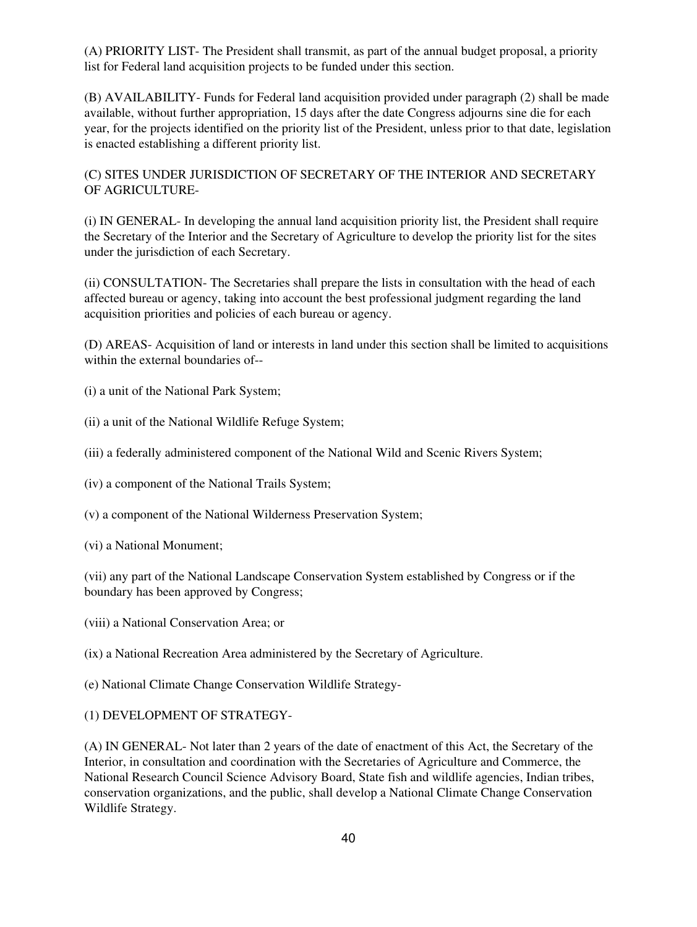(A) PRIORITY LIST- The President shall transmit, as part of the annual budget proposal, a priority list for Federal land acquisition projects to be funded under this section.

(B) AVAILABILITY- Funds for Federal land acquisition provided under paragraph (2) shall be made available, without further appropriation, 15 days after the date Congress adjourns sine die for each year, for the projects identified on the priority list of the President, unless prior to that date, legislation is enacted establishing a different priority list.

(C) SITES UNDER JURISDICTION OF SECRETARY OF THE INTERIOR AND SECRETARY OF AGRICULTURE-

(i) IN GENERAL- In developing the annual land acquisition priority list, the President shall require the Secretary of the Interior and the Secretary of Agriculture to develop the priority list for the sites under the jurisdiction of each Secretary.

(ii) CONSULTATION- The Secretaries shall prepare the lists in consultation with the head of each affected bureau or agency, taking into account the best professional judgment regarding the land acquisition priorities and policies of each bureau or agency.

(D) AREAS- Acquisition of land or interests in land under this section shall be limited to acquisitions within the external boundaries of--

(i) a unit of the National Park System;

- (ii) a unit of the National Wildlife Refuge System;
- (iii) a federally administered component of the National Wild and Scenic Rivers System;
- (iv) a component of the National Trails System;
- (v) a component of the National Wilderness Preservation System;
- (vi) a National Monument;

(vii) any part of the National Landscape Conservation System established by Congress or if the boundary has been approved by Congress;

(viii) a National Conservation Area; or

(ix) a National Recreation Area administered by the Secretary of Agriculture.

- (e) National Climate Change Conservation Wildlife Strategy-
- (1) DEVELOPMENT OF STRATEGY-

(A) IN GENERAL- Not later than 2 years of the date of enactment of this Act, the Secretary of the Interior, in consultation and coordination with the Secretaries of Agriculture and Commerce, the National Research Council Science Advisory Board, State fish and wildlife agencies, Indian tribes, conservation organizations, and the public, shall develop a National Climate Change Conservation Wildlife Strategy.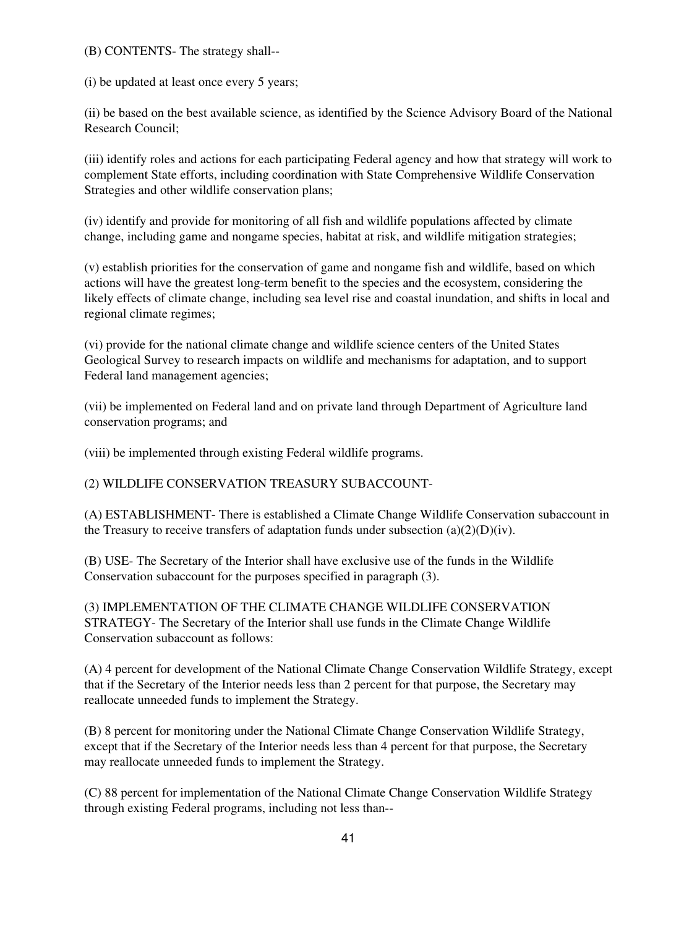(B) CONTENTS- The strategy shall--

(i) be updated at least once every 5 years;

(ii) be based on the best available science, as identified by the Science Advisory Board of the National Research Council;

(iii) identify roles and actions for each participating Federal agency and how that strategy will work to complement State efforts, including coordination with State Comprehensive Wildlife Conservation Strategies and other wildlife conservation plans;

(iv) identify and provide for monitoring of all fish and wildlife populations affected by climate change, including game and nongame species, habitat at risk, and wildlife mitigation strategies;

(v) establish priorities for the conservation of game and nongame fish and wildlife, based on which actions will have the greatest long-term benefit to the species and the ecosystem, considering the likely effects of climate change, including sea level rise and coastal inundation, and shifts in local and regional climate regimes;

(vi) provide for the national climate change and wildlife science centers of the United States Geological Survey to research impacts on wildlife and mechanisms for adaptation, and to support Federal land management agencies;

(vii) be implemented on Federal land and on private land through Department of Agriculture land conservation programs; and

(viii) be implemented through existing Federal wildlife programs.

(2) WILDLIFE CONSERVATION TREASURY SUBACCOUNT-

(A) ESTABLISHMENT- There is established a Climate Change Wildlife Conservation subaccount in the Treasury to receive transfers of adaptation funds under subsection  $(a)(2)(D)(iv)$ .

(B) USE- The Secretary of the Interior shall have exclusive use of the funds in the Wildlife Conservation subaccount for the purposes specified in paragraph (3).

(3) IMPLEMENTATION OF THE CLIMATE CHANGE WILDLIFE CONSERVATION STRATEGY- The Secretary of the Interior shall use funds in the Climate Change Wildlife Conservation subaccount as follows:

(A) 4 percent for development of the National Climate Change Conservation Wildlife Strategy, except that if the Secretary of the Interior needs less than 2 percent for that purpose, the Secretary may reallocate unneeded funds to implement the Strategy.

(B) 8 percent for monitoring under the National Climate Change Conservation Wildlife Strategy, except that if the Secretary of the Interior needs less than 4 percent for that purpose, the Secretary may reallocate unneeded funds to implement the Strategy.

(C) 88 percent for implementation of the National Climate Change Conservation Wildlife Strategy through existing Federal programs, including not less than--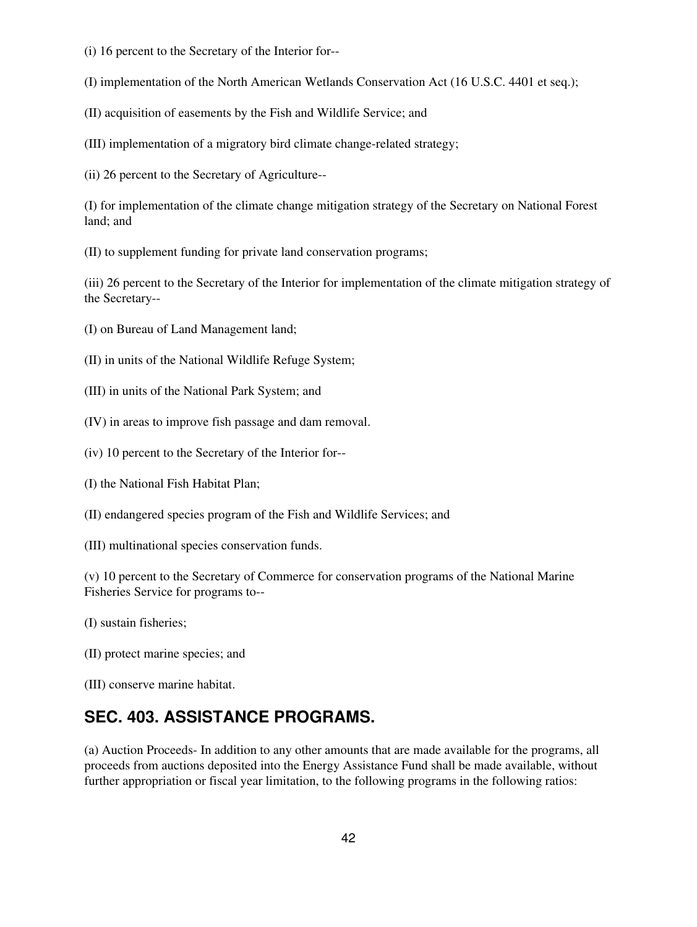- (i) 16 percent to the Secretary of the Interior for--
- (I) implementation of the North American Wetlands Conservation Act (16 U.S.C. 4401 et seq.);
- (II) acquisition of easements by the Fish and Wildlife Service; and
- (III) implementation of a migratory bird climate change-related strategy;
- (ii) 26 percent to the Secretary of Agriculture--

(I) for implementation of the climate change mitigation strategy of the Secretary on National Forest land; and

(II) to supplement funding for private land conservation programs;

(iii) 26 percent to the Secretary of the Interior for implementation of the climate mitigation strategy of the Secretary--

- (I) on Bureau of Land Management land;
- (II) in units of the National Wildlife Refuge System;
- (III) in units of the National Park System; and
- (IV) in areas to improve fish passage and dam removal.
- (iv) 10 percent to the Secretary of the Interior for--
- (I) the National Fish Habitat Plan;
- (II) endangered species program of the Fish and Wildlife Services; and
- (III) multinational species conservation funds.

(v) 10 percent to the Secretary of Commerce for conservation programs of the National Marine Fisheries Service for programs to--

- (I) sustain fisheries;
- (II) protect marine species; and
- (III) conserve marine habitat.

### **SEC. 403. ASSISTANCE PROGRAMS.**

(a) Auction Proceeds- In addition to any other amounts that are made available for the programs, all proceeds from auctions deposited into the Energy Assistance Fund shall be made available, without further appropriation or fiscal year limitation, to the following programs in the following ratios: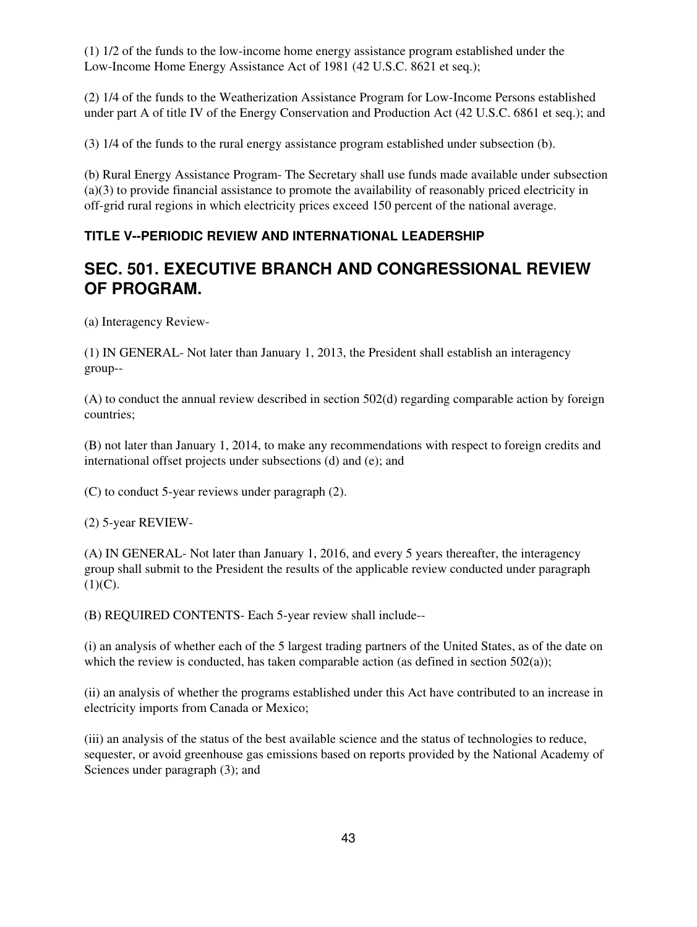(1) 1/2 of the funds to the low-income home energy assistance program established under the Low-Income Home Energy Assistance Act of 1981 (42 U.S.C. 8621 et seq.);

(2) 1/4 of the funds to the Weatherization Assistance Program for Low-Income Persons established under part A of title IV of the Energy Conservation and Production Act (42 U.S.C. 6861 et seq.); and

(3) 1/4 of the funds to the rural energy assistance program established under subsection (b).

(b) Rural Energy Assistance Program- The Secretary shall use funds made available under subsection (a)(3) to provide financial assistance to promote the availability of reasonably priced electricity in off-grid rural regions in which electricity prices exceed 150 percent of the national average.

### **TITLE V--PERIODIC REVIEW AND INTERNATIONAL LEADERSHIP**

## **SEC. 501. EXECUTIVE BRANCH AND CONGRESSIONAL REVIEW OF PROGRAM.**

(a) Interagency Review-

(1) IN GENERAL- Not later than January 1, 2013, the President shall establish an interagency group--

(A) to conduct the annual review described in section 502(d) regarding comparable action by foreign countries;

(B) not later than January 1, 2014, to make any recommendations with respect to foreign credits and international offset projects under subsections (d) and (e); and

(C) to conduct 5-year reviews under paragraph (2).

(2) 5-year REVIEW-

(A) IN GENERAL- Not later than January 1, 2016, and every 5 years thereafter, the interagency group shall submit to the President the results of the applicable review conducted under paragraph  $(1)(C).$ 

(B) REQUIRED CONTENTS- Each 5-year review shall include--

(i) an analysis of whether each of the 5 largest trading partners of the United States, as of the date on which the review is conducted, has taken comparable action (as defined in section  $502(a)$ );

(ii) an analysis of whether the programs established under this Act have contributed to an increase in electricity imports from Canada or Mexico;

(iii) an analysis of the status of the best available science and the status of technologies to reduce, sequester, or avoid greenhouse gas emissions based on reports provided by the National Academy of Sciences under paragraph (3); and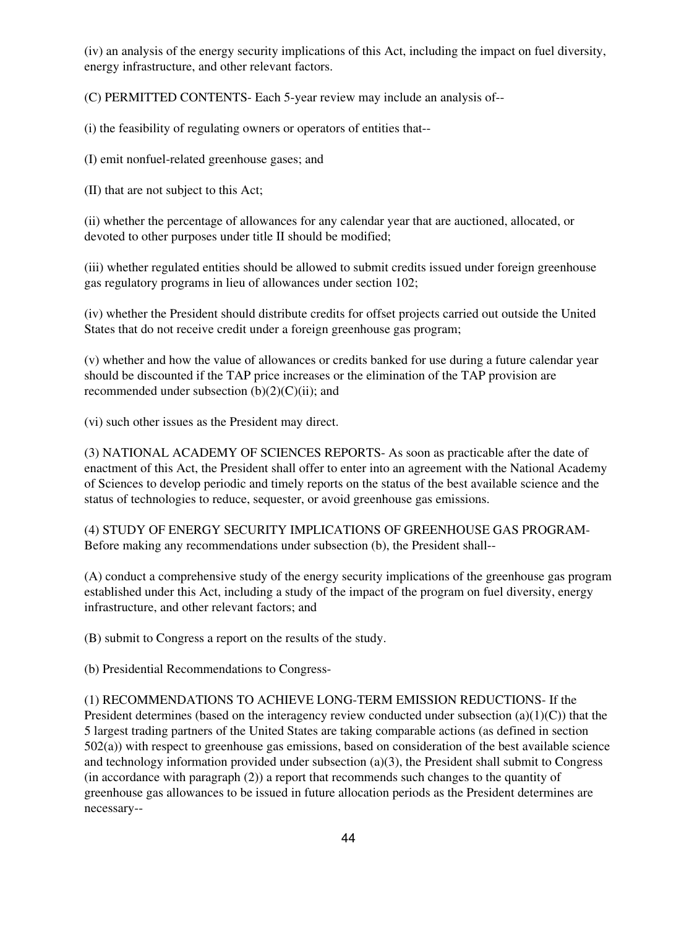(iv) an analysis of the energy security implications of this Act, including the impact on fuel diversity, energy infrastructure, and other relevant factors.

(C) PERMITTED CONTENTS- Each 5-year review may include an analysis of--

(i) the feasibility of regulating owners or operators of entities that--

(I) emit nonfuel-related greenhouse gases; and

(II) that are not subject to this Act;

(ii) whether the percentage of allowances for any calendar year that are auctioned, allocated, or devoted to other purposes under title II should be modified;

(iii) whether regulated entities should be allowed to submit credits issued under foreign greenhouse gas regulatory programs in lieu of allowances under section 102;

(iv) whether the President should distribute credits for offset projects carried out outside the United States that do not receive credit under a foreign greenhouse gas program;

(v) whether and how the value of allowances or credits banked for use during a future calendar year should be discounted if the TAP price increases or the elimination of the TAP provision are recommended under subsection  $(b)(2)(C)(ii)$ ; and

(vi) such other issues as the President may direct.

(3) NATIONAL ACADEMY OF SCIENCES REPORTS- As soon as practicable after the date of enactment of this Act, the President shall offer to enter into an agreement with the National Academy of Sciences to develop periodic and timely reports on the status of the best available science and the status of technologies to reduce, sequester, or avoid greenhouse gas emissions.

(4) STUDY OF ENERGY SECURITY IMPLICATIONS OF GREENHOUSE GAS PROGRAM-Before making any recommendations under subsection (b), the President shall--

(A) conduct a comprehensive study of the energy security implications of the greenhouse gas program established under this Act, including a study of the impact of the program on fuel diversity, energy infrastructure, and other relevant factors; and

(B) submit to Congress a report on the results of the study.

(b) Presidential Recommendations to Congress-

(1) RECOMMENDATIONS TO ACHIEVE LONG-TERM EMISSION REDUCTIONS- If the President determines (based on the interagency review conducted under subsection (a)(1)(C)) that the 5 largest trading partners of the United States are taking comparable actions (as defined in section 502(a)) with respect to greenhouse gas emissions, based on consideration of the best available science and technology information provided under subsection (a)(3), the President shall submit to Congress (in accordance with paragraph (2)) a report that recommends such changes to the quantity of greenhouse gas allowances to be issued in future allocation periods as the President determines are necessary--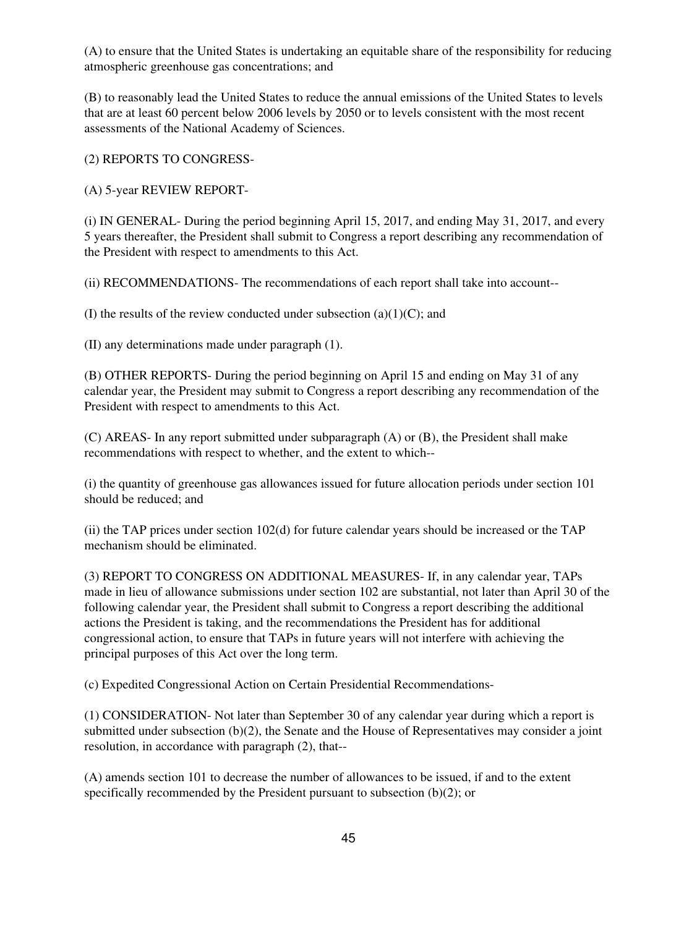(A) to ensure that the United States is undertaking an equitable share of the responsibility for reducing atmospheric greenhouse gas concentrations; and

(B) to reasonably lead the United States to reduce the annual emissions of the United States to levels that are at least 60 percent below 2006 levels by 2050 or to levels consistent with the most recent assessments of the National Academy of Sciences.

(2) REPORTS TO CONGRESS-

(A) 5-year REVIEW REPORT-

(i) IN GENERAL- During the period beginning April 15, 2017, and ending May 31, 2017, and every 5 years thereafter, the President shall submit to Congress a report describing any recommendation of the President with respect to amendments to this Act.

(ii) RECOMMENDATIONS- The recommendations of each report shall take into account--

(I) the results of the review conducted under subsection (a)(1)(C); and

(II) any determinations made under paragraph (1).

(B) OTHER REPORTS- During the period beginning on April 15 and ending on May 31 of any calendar year, the President may submit to Congress a report describing any recommendation of the President with respect to amendments to this Act.

(C) AREAS- In any report submitted under subparagraph (A) or (B), the President shall make recommendations with respect to whether, and the extent to which--

(i) the quantity of greenhouse gas allowances issued for future allocation periods under section 101 should be reduced; and

(ii) the TAP prices under section 102(d) for future calendar years should be increased or the TAP mechanism should be eliminated.

(3) REPORT TO CONGRESS ON ADDITIONAL MEASURES- If, in any calendar year, TAPs made in lieu of allowance submissions under section 102 are substantial, not later than April 30 of the following calendar year, the President shall submit to Congress a report describing the additional actions the President is taking, and the recommendations the President has for additional congressional action, to ensure that TAPs in future years will not interfere with achieving the principal purposes of this Act over the long term.

(c) Expedited Congressional Action on Certain Presidential Recommendations-

(1) CONSIDERATION- Not later than September 30 of any calendar year during which a report is submitted under subsection (b)(2), the Senate and the House of Representatives may consider a joint resolution, in accordance with paragraph (2), that--

(A) amends section 101 to decrease the number of allowances to be issued, if and to the extent specifically recommended by the President pursuant to subsection (b)(2); or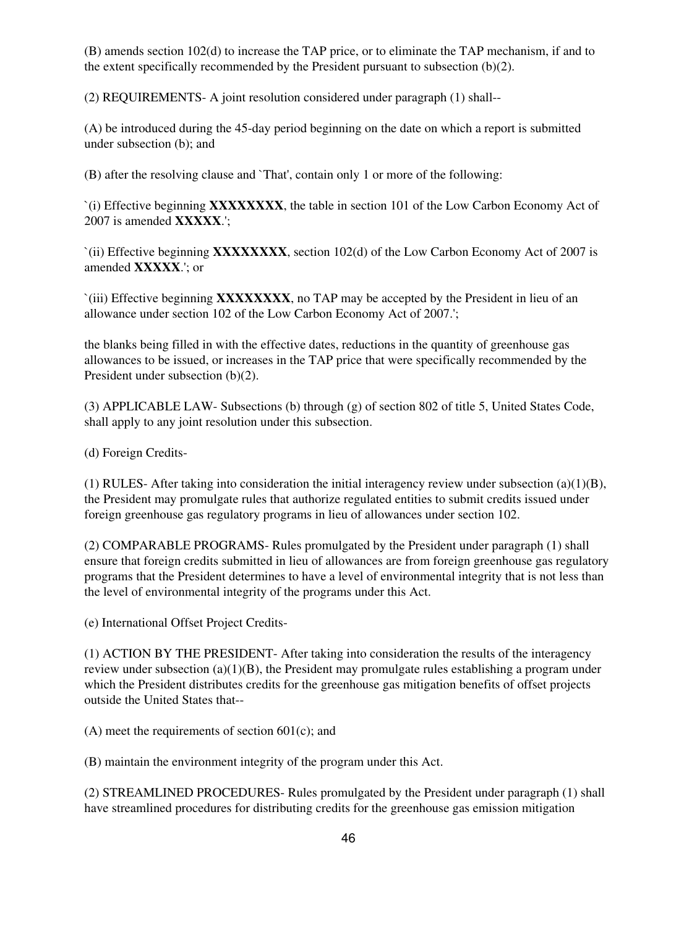(B) amends section 102(d) to increase the TAP price, or to eliminate the TAP mechanism, if and to the extent specifically recommended by the President pursuant to subsection (b)(2).

(2) REQUIREMENTS- A joint resolution considered under paragraph (1) shall--

(A) be introduced during the 45-day period beginning on the date on which a report is submitted under subsection (b); and

(B) after the resolving clause and `That', contain only 1 or more of the following:

`(i) Effective beginning **XXXXXXXX**, the table in section 101 of the Low Carbon Economy Act of 2007 is amended **XXXXX**.';

`(ii) Effective beginning **XXXXXXXX**, section 102(d) of the Low Carbon Economy Act of 2007 is amended **XXXXX**.'; or

`(iii) Effective beginning **XXXXXXXX**, no TAP may be accepted by the President in lieu of an allowance under section 102 of the Low Carbon Economy Act of 2007.';

the blanks being filled in with the effective dates, reductions in the quantity of greenhouse gas allowances to be issued, or increases in the TAP price that were specifically recommended by the President under subsection (b)(2).

(3) APPLICABLE LAW- Subsections (b) through (g) of section 802 of title 5, United States Code, shall apply to any joint resolution under this subsection.

(d) Foreign Credits-

(1) RULES- After taking into consideration the initial interagency review under subsection (a)(1)(B), the President may promulgate rules that authorize regulated entities to submit credits issued under foreign greenhouse gas regulatory programs in lieu of allowances under section 102.

(2) COMPARABLE PROGRAMS- Rules promulgated by the President under paragraph (1) shall ensure that foreign credits submitted in lieu of allowances are from foreign greenhouse gas regulatory programs that the President determines to have a level of environmental integrity that is not less than the level of environmental integrity of the programs under this Act.

(e) International Offset Project Credits-

(1) ACTION BY THE PRESIDENT- After taking into consideration the results of the interagency review under subsection (a)(1)(B), the President may promulgate rules establishing a program under which the President distributes credits for the greenhouse gas mitigation benefits of offset projects outside the United States that--

(A) meet the requirements of section 601(c); and

(B) maintain the environment integrity of the program under this Act.

(2) STREAMLINED PROCEDURES- Rules promulgated by the President under paragraph (1) shall have streamlined procedures for distributing credits for the greenhouse gas emission mitigation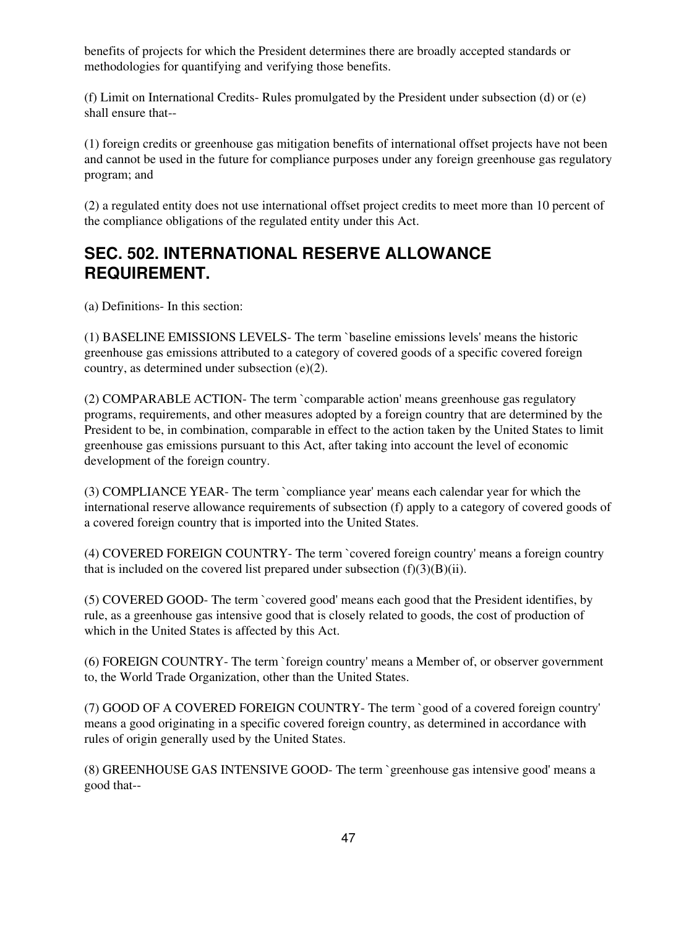benefits of projects for which the President determines there are broadly accepted standards or methodologies for quantifying and verifying those benefits.

(f) Limit on International Credits- Rules promulgated by the President under subsection (d) or (e) shall ensure that--

(1) foreign credits or greenhouse gas mitigation benefits of international offset projects have not been and cannot be used in the future for compliance purposes under any foreign greenhouse gas regulatory program; and

(2) a regulated entity does not use international offset project credits to meet more than 10 percent of the compliance obligations of the regulated entity under this Act.

## **SEC. 502. INTERNATIONAL RESERVE ALLOWANCE REQUIREMENT.**

(a) Definitions- In this section:

(1) BASELINE EMISSIONS LEVELS- The term `baseline emissions levels' means the historic greenhouse gas emissions attributed to a category of covered goods of a specific covered foreign country, as determined under subsection (e)(2).

(2) COMPARABLE ACTION- The term `comparable action' means greenhouse gas regulatory programs, requirements, and other measures adopted by a foreign country that are determined by the President to be, in combination, comparable in effect to the action taken by the United States to limit greenhouse gas emissions pursuant to this Act, after taking into account the level of economic development of the foreign country.

(3) COMPLIANCE YEAR- The term `compliance year' means each calendar year for which the international reserve allowance requirements of subsection (f) apply to a category of covered goods of a covered foreign country that is imported into the United States.

(4) COVERED FOREIGN COUNTRY- The term `covered foreign country' means a foreign country that is included on the covered list prepared under subsection  $(f)(3)(B)(ii)$ .

(5) COVERED GOOD- The term `covered good' means each good that the President identifies, by rule, as a greenhouse gas intensive good that is closely related to goods, the cost of production of which in the United States is affected by this Act.

(6) FOREIGN COUNTRY- The term `foreign country' means a Member of, or observer government to, the World Trade Organization, other than the United States.

(7) GOOD OF A COVERED FOREIGN COUNTRY- The term `good of a covered foreign country' means a good originating in a specific covered foreign country, as determined in accordance with rules of origin generally used by the United States.

(8) GREENHOUSE GAS INTENSIVE GOOD- The term `greenhouse gas intensive good' means a good that--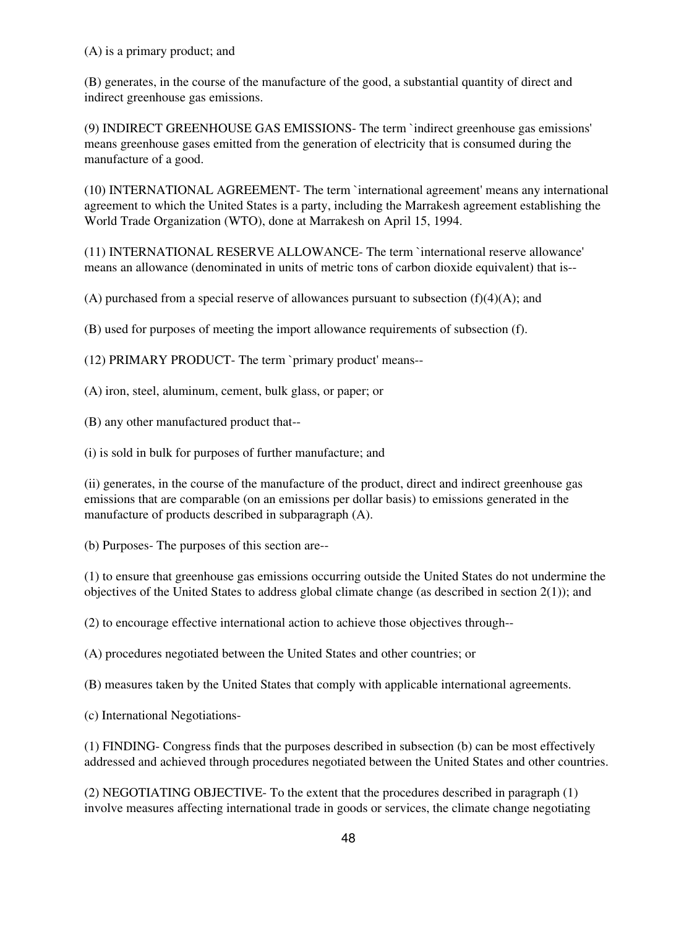(A) is a primary product; and

(B) generates, in the course of the manufacture of the good, a substantial quantity of direct and indirect greenhouse gas emissions.

(9) INDIRECT GREENHOUSE GAS EMISSIONS- The term `indirect greenhouse gas emissions' means greenhouse gases emitted from the generation of electricity that is consumed during the manufacture of a good.

(10) INTERNATIONAL AGREEMENT- The term `international agreement' means any international agreement to which the United States is a party, including the Marrakesh agreement establishing the World Trade Organization (WTO), done at Marrakesh on April 15, 1994.

(11) INTERNATIONAL RESERVE ALLOWANCE- The term `international reserve allowance' means an allowance (denominated in units of metric tons of carbon dioxide equivalent) that is--

(A) purchased from a special reserve of allowances pursuant to subsection  $(f)(4)(A)$ ; and

(B) used for purposes of meeting the import allowance requirements of subsection (f).

(12) PRIMARY PRODUCT- The term `primary product' means--

(A) iron, steel, aluminum, cement, bulk glass, or paper; or

(B) any other manufactured product that--

(i) is sold in bulk for purposes of further manufacture; and

(ii) generates, in the course of the manufacture of the product, direct and indirect greenhouse gas emissions that are comparable (on an emissions per dollar basis) to emissions generated in the manufacture of products described in subparagraph (A).

(b) Purposes- The purposes of this section are--

(1) to ensure that greenhouse gas emissions occurring outside the United States do not undermine the objectives of the United States to address global climate change (as described in section  $2(1)$ ); and

(2) to encourage effective international action to achieve those objectives through--

(A) procedures negotiated between the United States and other countries; or

(B) measures taken by the United States that comply with applicable international agreements.

(c) International Negotiations-

(1) FINDING- Congress finds that the purposes described in subsection (b) can be most effectively addressed and achieved through procedures negotiated between the United States and other countries.

(2) NEGOTIATING OBJECTIVE- To the extent that the procedures described in paragraph (1) involve measures affecting international trade in goods or services, the climate change negotiating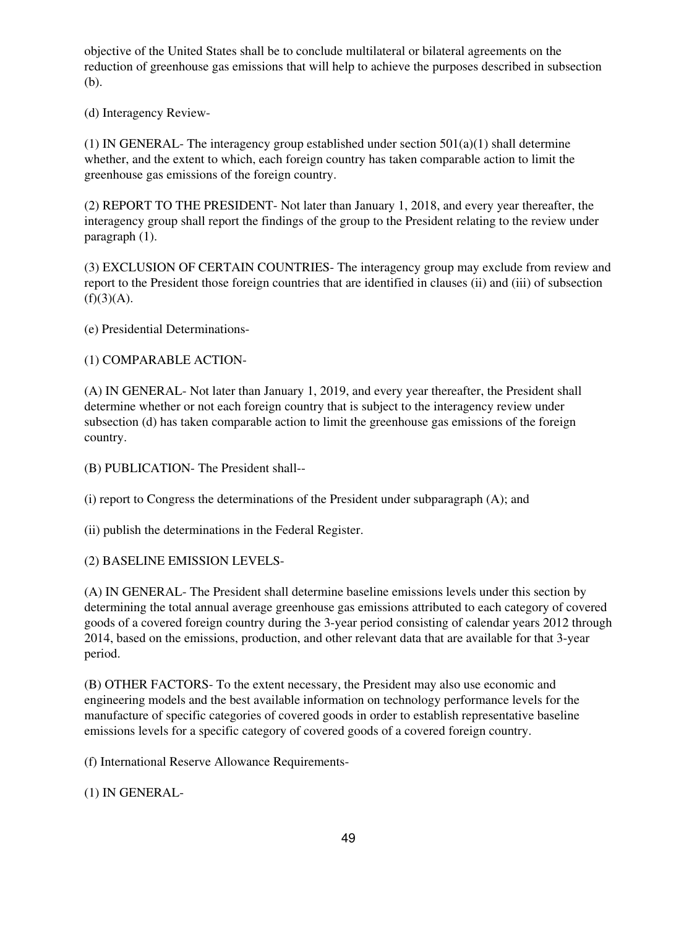objective of the United States shall be to conclude multilateral or bilateral agreements on the reduction of greenhouse gas emissions that will help to achieve the purposes described in subsection (b).

(d) Interagency Review-

(1) IN GENERAL- The interagency group established under section  $501(a)(1)$  shall determine whether, and the extent to which, each foreign country has taken comparable action to limit the greenhouse gas emissions of the foreign country.

(2) REPORT TO THE PRESIDENT- Not later than January 1, 2018, and every year thereafter, the interagency group shall report the findings of the group to the President relating to the review under paragraph (1).

(3) EXCLUSION OF CERTAIN COUNTRIES- The interagency group may exclude from review and report to the President those foreign countries that are identified in clauses (ii) and (iii) of subsection  $(f)(3)(A).$ 

(e) Presidential Determinations-

(1) COMPARABLE ACTION-

(A) IN GENERAL- Not later than January 1, 2019, and every year thereafter, the President shall determine whether or not each foreign country that is subject to the interagency review under subsection (d) has taken comparable action to limit the greenhouse gas emissions of the foreign country.

(B) PUBLICATION- The President shall--

(i) report to Congress the determinations of the President under subparagraph (A); and

(ii) publish the determinations in the Federal Register.

(2) BASELINE EMISSION LEVELS-

(A) IN GENERAL- The President shall determine baseline emissions levels under this section by determining the total annual average greenhouse gas emissions attributed to each category of covered goods of a covered foreign country during the 3-year period consisting of calendar years 2012 through 2014, based on the emissions, production, and other relevant data that are available for that 3-year period.

(B) OTHER FACTORS- To the extent necessary, the President may also use economic and engineering models and the best available information on technology performance levels for the manufacture of specific categories of covered goods in order to establish representative baseline emissions levels for a specific category of covered goods of a covered foreign country.

(f) International Reserve Allowance Requirements-

(1) IN GENERAL-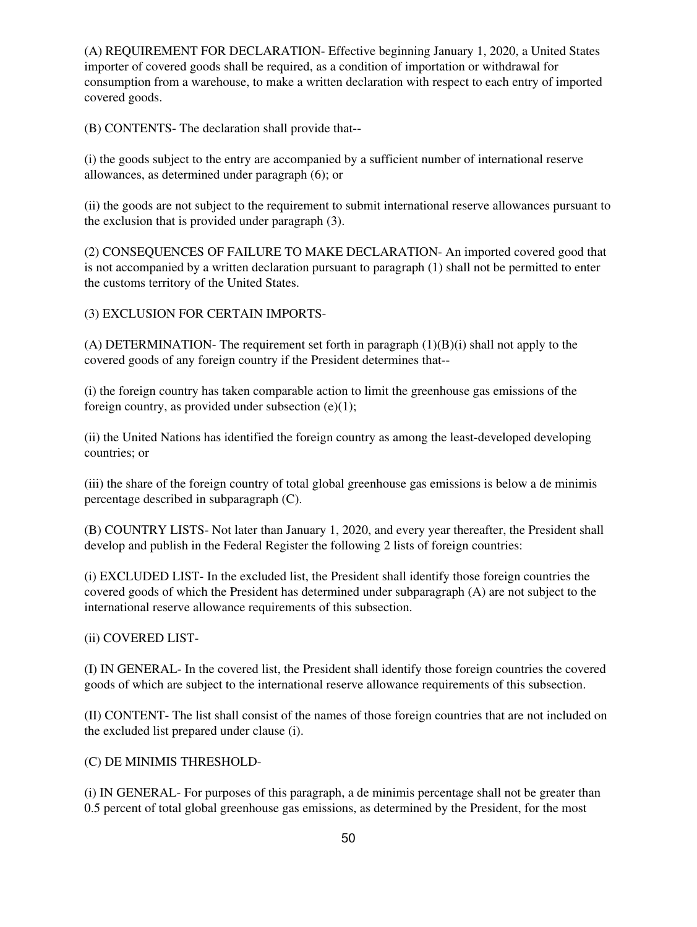(A) REQUIREMENT FOR DECLARATION- Effective beginning January 1, 2020, a United States importer of covered goods shall be required, as a condition of importation or withdrawal for consumption from a warehouse, to make a written declaration with respect to each entry of imported covered goods.

(B) CONTENTS- The declaration shall provide that--

(i) the goods subject to the entry are accompanied by a sufficient number of international reserve allowances, as determined under paragraph (6); or

(ii) the goods are not subject to the requirement to submit international reserve allowances pursuant to the exclusion that is provided under paragraph (3).

(2) CONSEQUENCES OF FAILURE TO MAKE DECLARATION- An imported covered good that is not accompanied by a written declaration pursuant to paragraph (1) shall not be permitted to enter the customs territory of the United States.

(3) EXCLUSION FOR CERTAIN IMPORTS-

(A) DETERMINATION- The requirement set forth in paragraph  $(1)(B)(i)$  shall not apply to the covered goods of any foreign country if the President determines that--

(i) the foreign country has taken comparable action to limit the greenhouse gas emissions of the foreign country, as provided under subsection  $(e)(1)$ ;

(ii) the United Nations has identified the foreign country as among the least-developed developing countries; or

(iii) the share of the foreign country of total global greenhouse gas emissions is below a de minimis percentage described in subparagraph (C).

(B) COUNTRY LISTS- Not later than January 1, 2020, and every year thereafter, the President shall develop and publish in the Federal Register the following 2 lists of foreign countries:

(i) EXCLUDED LIST- In the excluded list, the President shall identify those foreign countries the covered goods of which the President has determined under subparagraph (A) are not subject to the international reserve allowance requirements of this subsection.

(ii) COVERED LIST-

(I) IN GENERAL- In the covered list, the President shall identify those foreign countries the covered goods of which are subject to the international reserve allowance requirements of this subsection.

(II) CONTENT- The list shall consist of the names of those foreign countries that are not included on the excluded list prepared under clause (i).

#### (C) DE MINIMIS THRESHOLD-

(i) IN GENERAL- For purposes of this paragraph, a de minimis percentage shall not be greater than 0.5 percent of total global greenhouse gas emissions, as determined by the President, for the most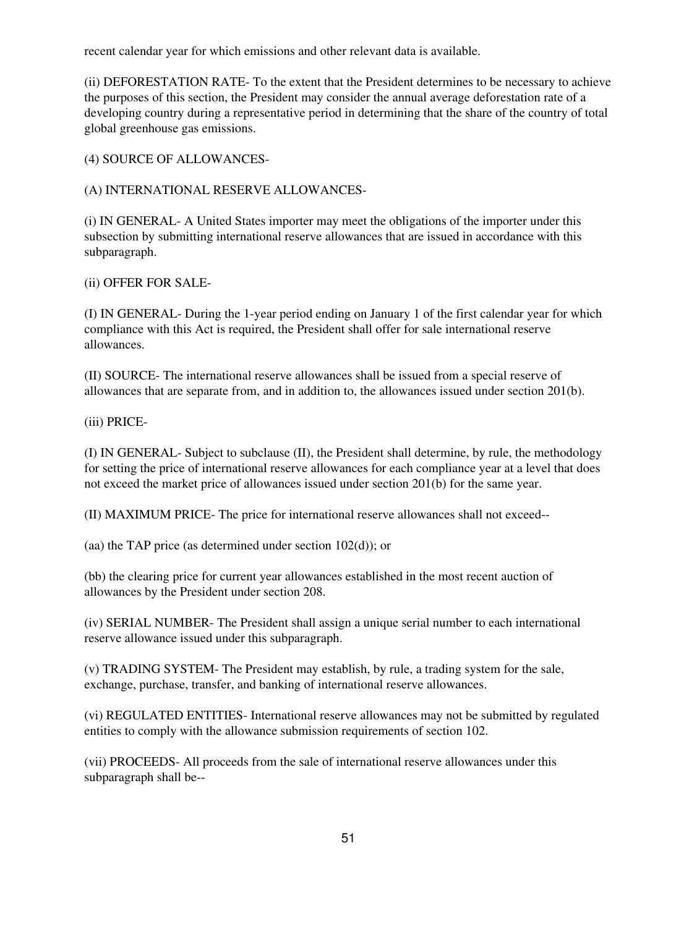recent calendar year for which emissions and other relevant data is available.

(ii) DEFORESTATION RATE- To the extent that the President determines to be necessary to achieve the purposes of this section, the President may consider the annual average deforestation rate of a developing country during a representative period in determining that the share of the country of total global greenhouse gas emissions.

#### (4) SOURCE OF ALLOWANCES-

#### (A) INTERNATIONAL RESERVE ALLOWANCES-

(i) IN GENERAL- A United States importer may meet the obligations of the importer under this subsection by submitting international reserve allowances that are issued in accordance with this subparagraph.

#### (ii) OFFER FOR SALE-

(I) IN GENERAL- During the 1-year period ending on January 1 of the first calendar year for which compliance with this Act is required, the President shall offer for sale international reserve allowances.

(II) SOURCE- The international reserve allowances shall be issued from a special reserve of allowances that are separate from, and in addition to, the allowances issued under section 201(b).

(iii) PRICE-

(I) IN GENERAL- Subject to subclause (II), the President shall determine, by rule, the methodology for setting the price of international reserve allowances for each compliance year at a level that does not exceed the market price of allowances issued under section 201(b) for the same year.

(II) MAXIMUM PRICE- The price for international reserve allowances shall not exceed--

(aa) the TAP price (as determined under section 102(d)); or

(bb) the clearing price for current year allowances established in the most recent auction of allowances by the President under section 208.

(iv) SERIAL NUMBER- The President shall assign a unique serial number to each international reserve allowance issued under this subparagraph.

(v) TRADING SYSTEM- The President may establish, by rule, a trading system for the sale, exchange, purchase, transfer, and banking of international reserve allowances.

(vi) REGULATED ENTITIES- International reserve allowances may not be submitted by regulated entities to comply with the allowance submission requirements of section 102.

(vii) PROCEEDS- All proceeds from the sale of international reserve allowances under this subparagraph shall be--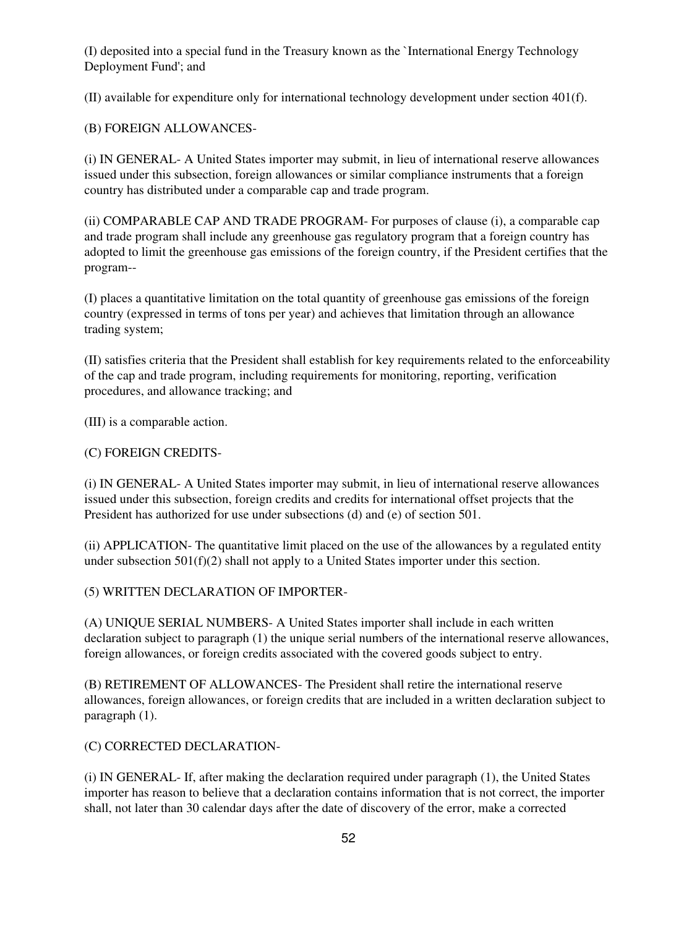(I) deposited into a special fund in the Treasury known as the `International Energy Technology Deployment Fund'; and

(II) available for expenditure only for international technology development under section 401(f).

#### (B) FOREIGN ALLOWANCES-

(i) IN GENERAL- A United States importer may submit, in lieu of international reserve allowances issued under this subsection, foreign allowances or similar compliance instruments that a foreign country has distributed under a comparable cap and trade program.

(ii) COMPARABLE CAP AND TRADE PROGRAM- For purposes of clause (i), a comparable cap and trade program shall include any greenhouse gas regulatory program that a foreign country has adopted to limit the greenhouse gas emissions of the foreign country, if the President certifies that the program--

(I) places a quantitative limitation on the total quantity of greenhouse gas emissions of the foreign country (expressed in terms of tons per year) and achieves that limitation through an allowance trading system;

(II) satisfies criteria that the President shall establish for key requirements related to the enforceability of the cap and trade program, including requirements for monitoring, reporting, verification procedures, and allowance tracking; and

(III) is a comparable action.

#### (C) FOREIGN CREDITS-

(i) IN GENERAL- A United States importer may submit, in lieu of international reserve allowances issued under this subsection, foreign credits and credits for international offset projects that the President has authorized for use under subsections (d) and (e) of section 501.

(ii) APPLICATION- The quantitative limit placed on the use of the allowances by a regulated entity under subsection 501(f)(2) shall not apply to a United States importer under this section.

#### (5) WRITTEN DECLARATION OF IMPORTER-

(A) UNIQUE SERIAL NUMBERS- A United States importer shall include in each written declaration subject to paragraph (1) the unique serial numbers of the international reserve allowances, foreign allowances, or foreign credits associated with the covered goods subject to entry.

(B) RETIREMENT OF ALLOWANCES- The President shall retire the international reserve allowances, foreign allowances, or foreign credits that are included in a written declaration subject to paragraph (1).

#### (C) CORRECTED DECLARATION-

(i) IN GENERAL- If, after making the declaration required under paragraph (1), the United States importer has reason to believe that a declaration contains information that is not correct, the importer shall, not later than 30 calendar days after the date of discovery of the error, make a corrected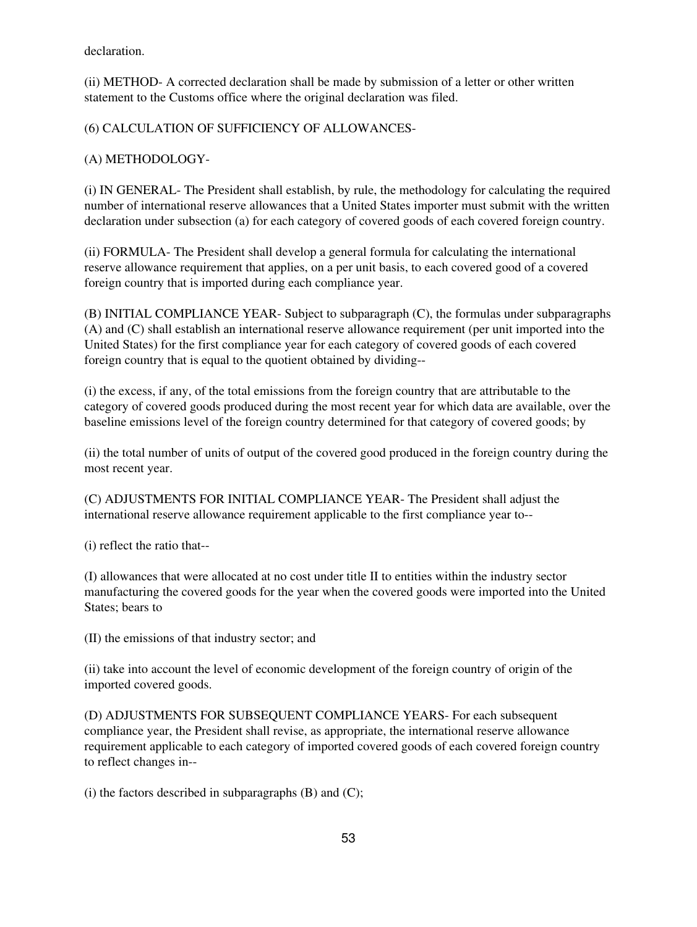declaration.

(ii) METHOD- A corrected declaration shall be made by submission of a letter or other written statement to the Customs office where the original declaration was filed.

(6) CALCULATION OF SUFFICIENCY OF ALLOWANCES-

(A) METHODOLOGY-

(i) IN GENERAL- The President shall establish, by rule, the methodology for calculating the required number of international reserve allowances that a United States importer must submit with the written declaration under subsection (a) for each category of covered goods of each covered foreign country.

(ii) FORMULA- The President shall develop a general formula for calculating the international reserve allowance requirement that applies, on a per unit basis, to each covered good of a covered foreign country that is imported during each compliance year.

(B) INITIAL COMPLIANCE YEAR- Subject to subparagraph (C), the formulas under subparagraphs (A) and (C) shall establish an international reserve allowance requirement (per unit imported into the United States) for the first compliance year for each category of covered goods of each covered foreign country that is equal to the quotient obtained by dividing--

(i) the excess, if any, of the total emissions from the foreign country that are attributable to the category of covered goods produced during the most recent year for which data are available, over the baseline emissions level of the foreign country determined for that category of covered goods; by

(ii) the total number of units of output of the covered good produced in the foreign country during the most recent year.

(C) ADJUSTMENTS FOR INITIAL COMPLIANCE YEAR- The President shall adjust the international reserve allowance requirement applicable to the first compliance year to--

(i) reflect the ratio that--

(I) allowances that were allocated at no cost under title II to entities within the industry sector manufacturing the covered goods for the year when the covered goods were imported into the United States; bears to

(II) the emissions of that industry sector; and

(ii) take into account the level of economic development of the foreign country of origin of the imported covered goods.

(D) ADJUSTMENTS FOR SUBSEQUENT COMPLIANCE YEARS- For each subsequent compliance year, the President shall revise, as appropriate, the international reserve allowance requirement applicable to each category of imported covered goods of each covered foreign country to reflect changes in--

(i) the factors described in subparagraphs  $(B)$  and  $(C)$ ;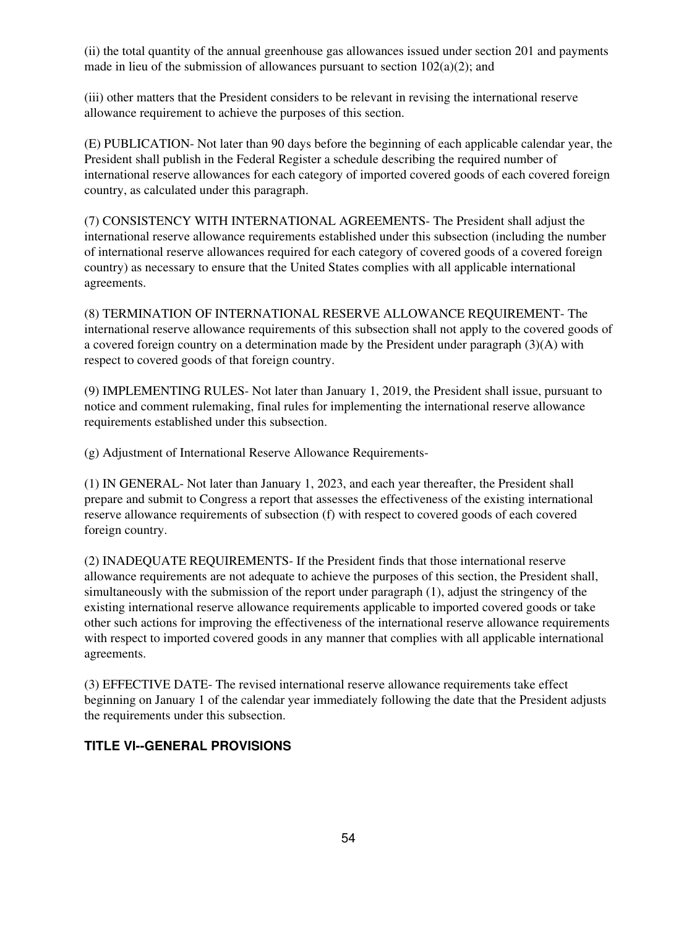(ii) the total quantity of the annual greenhouse gas allowances issued under section 201 and payments made in lieu of the submission of allowances pursuant to section  $102(a)(2)$ ; and

(iii) other matters that the President considers to be relevant in revising the international reserve allowance requirement to achieve the purposes of this section.

(E) PUBLICATION- Not later than 90 days before the beginning of each applicable calendar year, the President shall publish in the Federal Register a schedule describing the required number of international reserve allowances for each category of imported covered goods of each covered foreign country, as calculated under this paragraph.

(7) CONSISTENCY WITH INTERNATIONAL AGREEMENTS- The President shall adjust the international reserve allowance requirements established under this subsection (including the number of international reserve allowances required for each category of covered goods of a covered foreign country) as necessary to ensure that the United States complies with all applicable international agreements.

(8) TERMINATION OF INTERNATIONAL RESERVE ALLOWANCE REQUIREMENT- The international reserve allowance requirements of this subsection shall not apply to the covered goods of a covered foreign country on a determination made by the President under paragraph (3)(A) with respect to covered goods of that foreign country.

(9) IMPLEMENTING RULES- Not later than January 1, 2019, the President shall issue, pursuant to notice and comment rulemaking, final rules for implementing the international reserve allowance requirements established under this subsection.

(g) Adjustment of International Reserve Allowance Requirements-

(1) IN GENERAL- Not later than January 1, 2023, and each year thereafter, the President shall prepare and submit to Congress a report that assesses the effectiveness of the existing international reserve allowance requirements of subsection (f) with respect to covered goods of each covered foreign country.

(2) INADEQUATE REQUIREMENTS- If the President finds that those international reserve allowance requirements are not adequate to achieve the purposes of this section, the President shall, simultaneously with the submission of the report under paragraph (1), adjust the stringency of the existing international reserve allowance requirements applicable to imported covered goods or take other such actions for improving the effectiveness of the international reserve allowance requirements with respect to imported covered goods in any manner that complies with all applicable international agreements.

(3) EFFECTIVE DATE- The revised international reserve allowance requirements take effect beginning on January 1 of the calendar year immediately following the date that the President adjusts the requirements under this subsection.

### **TITLE VI--GENERAL PROVISIONS**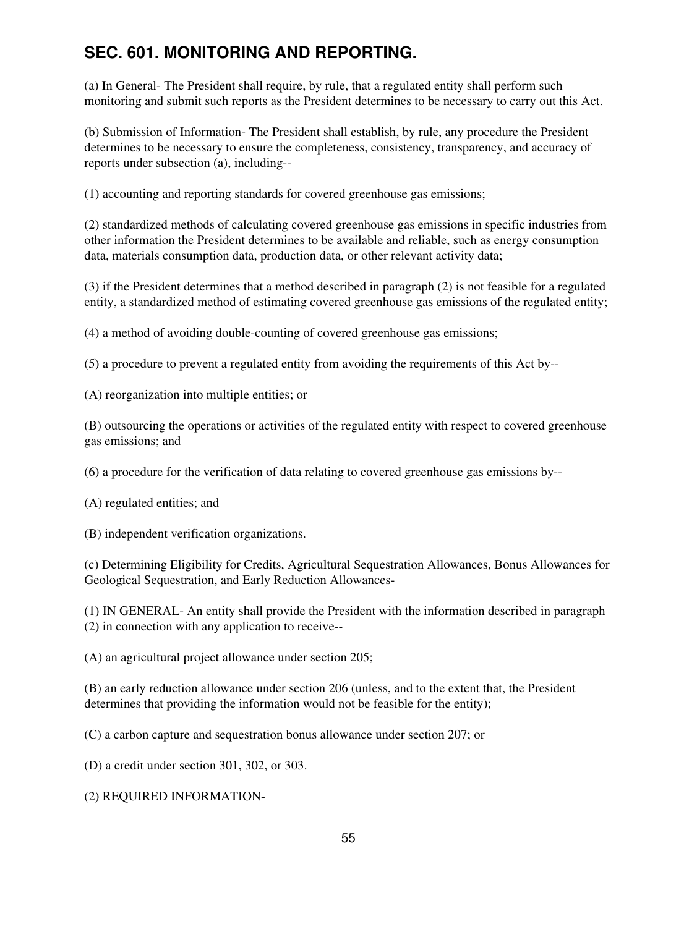# **SEC. 601. MONITORING AND REPORTING.**

(a) In General- The President shall require, by rule, that a regulated entity shall perform such monitoring and submit such reports as the President determines to be necessary to carry out this Act.

(b) Submission of Information- The President shall establish, by rule, any procedure the President determines to be necessary to ensure the completeness, consistency, transparency, and accuracy of reports under subsection (a), including--

(1) accounting and reporting standards for covered greenhouse gas emissions;

(2) standardized methods of calculating covered greenhouse gas emissions in specific industries from other information the President determines to be available and reliable, such as energy consumption data, materials consumption data, production data, or other relevant activity data;

(3) if the President determines that a method described in paragraph (2) is not feasible for a regulated entity, a standardized method of estimating covered greenhouse gas emissions of the regulated entity;

(4) a method of avoiding double-counting of covered greenhouse gas emissions;

(5) a procedure to prevent a regulated entity from avoiding the requirements of this Act by--

(A) reorganization into multiple entities; or

(B) outsourcing the operations or activities of the regulated entity with respect to covered greenhouse gas emissions; and

(6) a procedure for the verification of data relating to covered greenhouse gas emissions by--

(A) regulated entities; and

(B) independent verification organizations.

(c) Determining Eligibility for Credits, Agricultural Sequestration Allowances, Bonus Allowances for Geological Sequestration, and Early Reduction Allowances-

(1) IN GENERAL- An entity shall provide the President with the information described in paragraph (2) in connection with any application to receive--

(A) an agricultural project allowance under section 205;

(B) an early reduction allowance under section 206 (unless, and to the extent that, the President determines that providing the information would not be feasible for the entity);

(C) a carbon capture and sequestration bonus allowance under section 207; or

(D) a credit under section 301, 302, or 303.

(2) REQUIRED INFORMATION-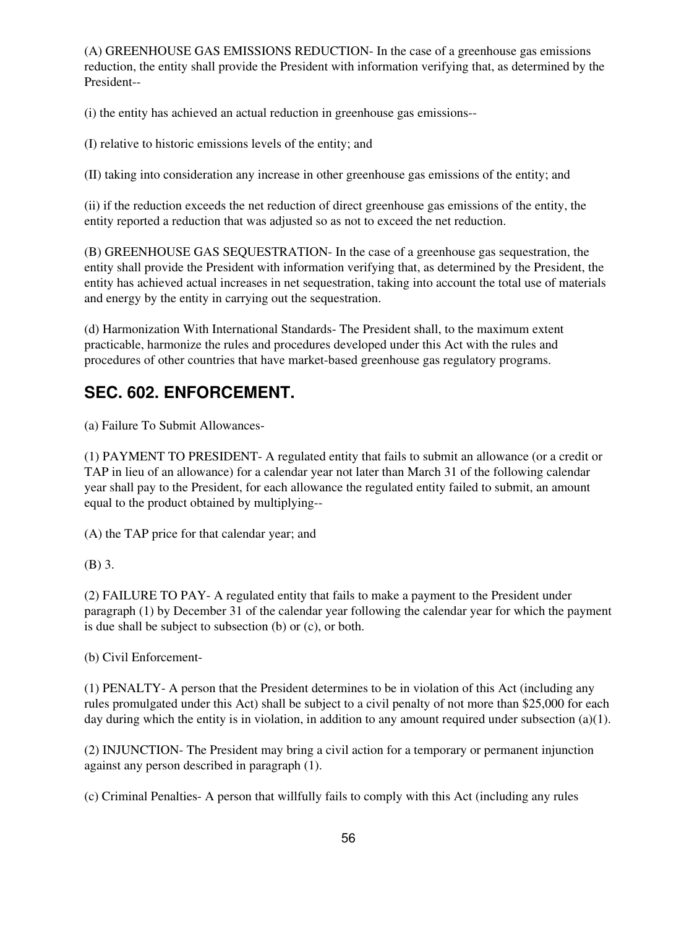(A) GREENHOUSE GAS EMISSIONS REDUCTION- In the case of a greenhouse gas emissions reduction, the entity shall provide the President with information verifying that, as determined by the President--

(i) the entity has achieved an actual reduction in greenhouse gas emissions--

(I) relative to historic emissions levels of the entity; and

(II) taking into consideration any increase in other greenhouse gas emissions of the entity; and

(ii) if the reduction exceeds the net reduction of direct greenhouse gas emissions of the entity, the entity reported a reduction that was adjusted so as not to exceed the net reduction.

(B) GREENHOUSE GAS SEQUESTRATION- In the case of a greenhouse gas sequestration, the entity shall provide the President with information verifying that, as determined by the President, the entity has achieved actual increases in net sequestration, taking into account the total use of materials and energy by the entity in carrying out the sequestration.

(d) Harmonization With International Standards- The President shall, to the maximum extent practicable, harmonize the rules and procedures developed under this Act with the rules and procedures of other countries that have market-based greenhouse gas regulatory programs.

### **SEC. 602. ENFORCEMENT.**

(a) Failure To Submit Allowances-

(1) PAYMENT TO PRESIDENT- A regulated entity that fails to submit an allowance (or a credit or TAP in lieu of an allowance) for a calendar year not later than March 31 of the following calendar year shall pay to the President, for each allowance the regulated entity failed to submit, an amount equal to the product obtained by multiplying--

(A) the TAP price for that calendar year; and

(B) 3.

(2) FAILURE TO PAY- A regulated entity that fails to make a payment to the President under paragraph (1) by December 31 of the calendar year following the calendar year for which the payment is due shall be subject to subsection (b) or (c), or both.

(b) Civil Enforcement-

(1) PENALTY- A person that the President determines to be in violation of this Act (including any rules promulgated under this Act) shall be subject to a civil penalty of not more than \$25,000 for each day during which the entity is in violation, in addition to any amount required under subsection (a)(1).

(2) INJUNCTION- The President may bring a civil action for a temporary or permanent injunction against any person described in paragraph (1).

(c) Criminal Penalties- A person that willfully fails to comply with this Act (including any rules